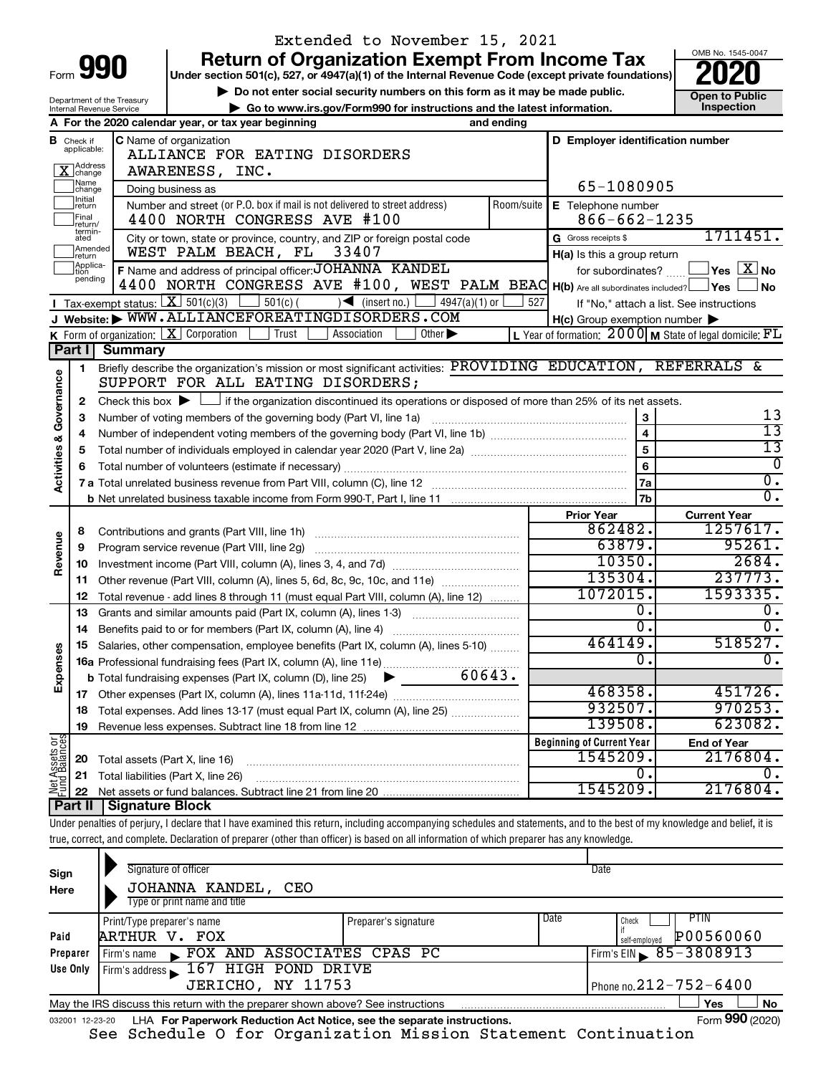|                                |                               |                                | Extended to November 15, 2021                                                                                                                                              |            |                                                     |                                                                     |  |  |  |  |  |  |
|--------------------------------|-------------------------------|--------------------------------|----------------------------------------------------------------------------------------------------------------------------------------------------------------------------|------------|-----------------------------------------------------|---------------------------------------------------------------------|--|--|--|--|--|--|
|                                |                               |                                | <b>Return of Organization Exempt From Income Tax</b>                                                                                                                       |            |                                                     | OMB No. 1545-0047                                                   |  |  |  |  |  |  |
|                                |                               | Form 990                       | Under section 501(c), 527, or 4947(a)(1) of the Internal Revenue Code (except private foundations)                                                                         |            |                                                     |                                                                     |  |  |  |  |  |  |
|                                |                               | Department of the Treasury     | Do not enter social security numbers on this form as it may be made public.                                                                                                |            |                                                     | <b>Open to Public</b>                                               |  |  |  |  |  |  |
|                                |                               | Internal Revenue Service       | Go to www.irs.gov/Form990 for instructions and the latest information.                                                                                                     |            |                                                     | Inspection                                                          |  |  |  |  |  |  |
|                                |                               |                                | A For the 2020 calendar year, or tax year beginning                                                                                                                        | and ending |                                                     |                                                                     |  |  |  |  |  |  |
|                                | <b>B</b> Check if applicable: |                                | C Name of organization                                                                                                                                                     |            | D Employer identification number                    |                                                                     |  |  |  |  |  |  |
|                                |                               |                                | ALLIANCE FOR EATING DISORDERS                                                                                                                                              |            |                                                     |                                                                     |  |  |  |  |  |  |
|                                | X Address<br>Name             |                                | AWARENESS, INC.                                                                                                                                                            |            |                                                     |                                                                     |  |  |  |  |  |  |
|                                | change<br>Initial             |                                | Doing business as                                                                                                                                                          |            | 65-1080905                                          |                                                                     |  |  |  |  |  |  |
|                                | ∣return<br>Final              |                                | Number and street (or P.O. box if mail is not delivered to street address)                                                                                                 | Room/suite | E Telephone number<br>$866 - 662 - 1235$            |                                                                     |  |  |  |  |  |  |
|                                | return/<br>termin-            |                                | 4400 NORTH CONGRESS AVE #100                                                                                                                                               |            |                                                     | 1711451.                                                            |  |  |  |  |  |  |
|                                | ated<br>Amended               |                                | City or town, state or province, country, and ZIP or foreign postal code<br>33407<br>WEST PALM BEACH, FL                                                                   |            | G Gross receipts \$                                 |                                                                     |  |  |  |  |  |  |
|                                | return<br>Applica-<br>Ition   |                                | F Name and address of principal officer: JOHANNA KANDEL                                                                                                                    |            | H(a) Is this a group return                         | $\sqrt{}$ Yes $\sqrt{ \text{X}}$ No                                 |  |  |  |  |  |  |
|                                | pending                       |                                | 4400 NORTH CONGRESS AVE #100, WEST PALM BEAC H(b) Are all subordinates included? Ves                                                                                       |            | for subordinates?                                   | ⊥No                                                                 |  |  |  |  |  |  |
|                                |                               |                                | Tax-exempt status: $X \overline{X}$ 501(c)(3)<br>$\frac{1}{2}$ 501(c) (<br>$\overline{\mathcal{A}}$ (insert no.)  <br>$4947(a)(1)$ or                                      | 527        |                                                     | If "No," attach a list. See instructions                            |  |  |  |  |  |  |
|                                |                               |                                | Website: WWW.ALLIANCEFOREATINGDISORDERS.COM                                                                                                                                |            | $H(c)$ Group exemption number $\blacktriangleright$ |                                                                     |  |  |  |  |  |  |
|                                |                               |                                | K Form of organization: $X$ Corporation<br>Trust<br>Association<br>$\overline{Other}$                                                                                      |            |                                                     | L Year of formation: $2000 \text{ m}$ State of legal domicile: $FL$ |  |  |  |  |  |  |
|                                | <b>Part II</b>                | <b>Summary</b>                 |                                                                                                                                                                            |            |                                                     |                                                                     |  |  |  |  |  |  |
|                                | 1                             |                                | Briefly describe the organization's mission or most significant activities: PROVIDING EDUCATION, REFERRALS &                                                               |            |                                                     |                                                                     |  |  |  |  |  |  |
| Governance                     |                               |                                | SUPPORT FOR ALL EATING DISORDERS;                                                                                                                                          |            |                                                     |                                                                     |  |  |  |  |  |  |
|                                | 2                             |                                | Check this box $\blacktriangleright$ $\Box$ if the organization discontinued its operations or disposed of more than 25% of its net assets.                                |            |                                                     |                                                                     |  |  |  |  |  |  |
|                                | З                             |                                |                                                                                                                                                                            | 3          |                                                     |                                                                     |  |  |  |  |  |  |
|                                | 4                             |                                |                                                                                                                                                                            |            | $\overline{4}$                                      | $\overline{13}$                                                     |  |  |  |  |  |  |
|                                | 5                             |                                |                                                                                                                                                                            |            | $\overline{5}$                                      | $\overline{13}$                                                     |  |  |  |  |  |  |
| <b>Activities &amp;</b>        |                               |                                |                                                                                                                                                                            |            | $6\phantom{a}$                                      | $\overline{0}$                                                      |  |  |  |  |  |  |
|                                |                               |                                |                                                                                                                                                                            |            | 7a                                                  | $\overline{0}$ .                                                    |  |  |  |  |  |  |
|                                |                               |                                |                                                                                                                                                                            |            | <b>7b</b>                                           | $\overline{0}$ .                                                    |  |  |  |  |  |  |
|                                |                               |                                |                                                                                                                                                                            |            | <b>Prior Year</b>                                   | <b>Current Year</b>                                                 |  |  |  |  |  |  |
|                                | 8                             |                                |                                                                                                                                                                            |            | 862482.                                             | 1257617.                                                            |  |  |  |  |  |  |
| Revenue                        | 9                             |                                | Program service revenue (Part VIII, line 2g)                                                                                                                               |            | 63879.                                              | 95261.                                                              |  |  |  |  |  |  |
|                                | 10                            |                                |                                                                                                                                                                            |            | 10350.                                              | 2684.                                                               |  |  |  |  |  |  |
|                                | 11                            |                                | Other revenue (Part VIII, column (A), lines 5, 6d, 8c, 9c, 10c, and 11e)                                                                                                   |            | 135304.                                             | 237773.                                                             |  |  |  |  |  |  |
|                                | 12                            |                                | Total revenue - add lines 8 through 11 (must equal Part VIII, column (A), line 12)                                                                                         |            | 1072015.                                            | 1593335.                                                            |  |  |  |  |  |  |
|                                | 13                            |                                | Grants and similar amounts paid (Part IX, column (A), lines 1-3) <i></i>                                                                                                   |            | 0.<br>σ.                                            | ο.<br>$\overline{0}$ .                                              |  |  |  |  |  |  |
|                                | 14                            |                                |                                                                                                                                                                            |            | 464149.                                             | 518527.                                                             |  |  |  |  |  |  |
| Expenses                       | 15.                           |                                | Salaries, other compensation, employee benefits (Part IX, column (A), lines 5-10)                                                                                          |            | 0                                                   | Ο.                                                                  |  |  |  |  |  |  |
|                                |                               |                                | 60643.                                                                                                                                                                     |            |                                                     |                                                                     |  |  |  |  |  |  |
|                                |                               |                                | <b>b</b> Total fundraising expenses (Part IX, column (D), line 25)                                                                                                         |            | 468358.                                             | 451726.                                                             |  |  |  |  |  |  |
|                                |                               |                                | Total expenses. Add lines 13-17 (must equal Part IX, column (A), line 25)                                                                                                  |            | 932507.                                             | 970253.                                                             |  |  |  |  |  |  |
|                                | 18                            |                                |                                                                                                                                                                            |            | 139508.                                             | 623082.                                                             |  |  |  |  |  |  |
|                                | 19                            |                                |                                                                                                                                                                            |            | <b>Beginning of Current Year</b>                    | <b>End of Year</b>                                                  |  |  |  |  |  |  |
|                                | 20                            | Total assets (Part X, line 16) |                                                                                                                                                                            |            | 1545209.                                            | 2176804.                                                            |  |  |  |  |  |  |
|                                | 21                            |                                | Total liabilities (Part X, line 26)                                                                                                                                        |            | $\mathbf 0$ .                                       | υ.                                                                  |  |  |  |  |  |  |
| Net Assets or<br>Fund Balances | 22                            |                                |                                                                                                                                                                            |            | 1545209.                                            | 2176804.                                                            |  |  |  |  |  |  |
|                                | Part II                       | <b>Signature Block</b>         |                                                                                                                                                                            |            |                                                     |                                                                     |  |  |  |  |  |  |
|                                |                               |                                | Under penalties of perjury, I declare that I have examined this return, including accompanying schedules and statements, and to the best of my knowledge and belief, it is |            |                                                     |                                                                     |  |  |  |  |  |  |
|                                |                               |                                | true, correct, and complete. Declaration of preparer (other than officer) is based on all information of which preparer has any knowledge.                                 |            |                                                     |                                                                     |  |  |  |  |  |  |
|                                |                               |                                |                                                                                                                                                                            |            |                                                     |                                                                     |  |  |  |  |  |  |
| Sign                           |                               |                                | Signature of officer                                                                                                                                                       |            | Date                                                |                                                                     |  |  |  |  |  |  |
|                                |                               |                                | חסים זיסרוואנים גזמוגנטמד                                                                                                                                                  |            |                                                     |                                                                     |  |  |  |  |  |  |

| Sign     | <b>ONTRUS</b> OF DIRECT                                                         |                              | <b>Duw</b>                                  |  |  |  |  |  |  |
|----------|---------------------------------------------------------------------------------|------------------------------|---------------------------------------------|--|--|--|--|--|--|
| Here     | JOHANNA KANDEL, CEO                                                             |                              |                                             |  |  |  |  |  |  |
|          | Type or print name and title                                                    |                              |                                             |  |  |  |  |  |  |
|          | Print/Type preparer's name                                                      | Date<br>Preparer's signature | PTIN<br>Check                               |  |  |  |  |  |  |
| Paid     | ARTHUR V. FOX                                                                   |                              | P00560060<br>self-emploved                  |  |  |  |  |  |  |
| Preparer | FOX AND ASSOCIATES CPAS PC<br>Firm's name<br>$\sim$                             |                              | Firm's EIN $\, 85 - 3808913$                |  |  |  |  |  |  |
| Use Only | Firm's address 167 HIGH POND DRIVE                                              |                              |                                             |  |  |  |  |  |  |
|          | JERICHO, NY 11753                                                               | Phone no. $212 - 752 - 6400$ |                                             |  |  |  |  |  |  |
|          | May the IRS discuss this return with the preparer shown above? See instructions |                              | No<br>Yes                                   |  |  |  |  |  |  |
|          |                                                                                 |                              | $000 \times 00$<br>$\overline{\phantom{0}}$ |  |  |  |  |  |  |

Form **990** (2020)

<sup>032001 12-23-20</sup> LHA For Paperwork Reduction Act Notice, see the separate instructions. LHA **For Paperwork Reduction Act Notice, see the separate instructions. Form 990** (2020) See Schedule O for Organization Mission Statement Continuation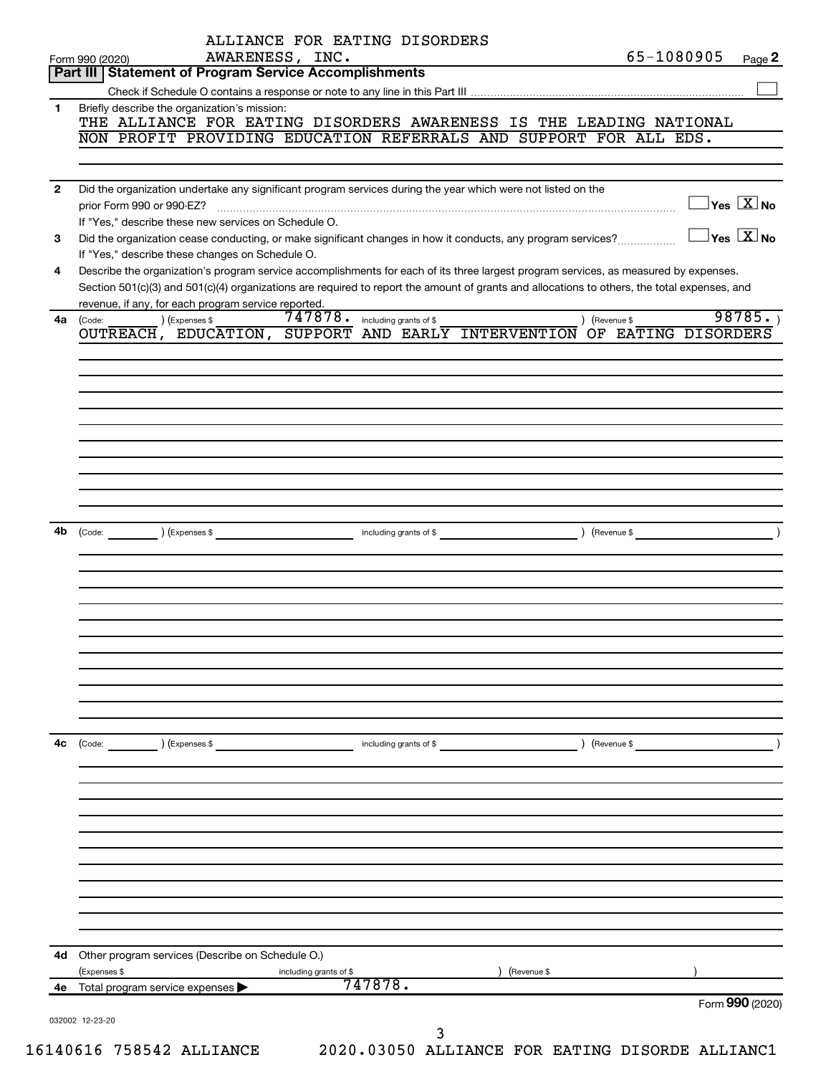|              |                                                                                                                                              | ALLIANCE FOR EATING DISORDERS  |                        |            |               |                                                |
|--------------|----------------------------------------------------------------------------------------------------------------------------------------------|--------------------------------|------------------------|------------|---------------|------------------------------------------------|
|              | Form 990 (2020)<br>Part III   Statement of Program Service Accomplishments                                                                   | AWARENESS, INC.                |                        |            | 65-1080905    | Page 2                                         |
|              |                                                                                                                                              |                                |                        |            |               |                                                |
| $\mathbf 1$  | Briefly describe the organization's mission:                                                                                                 |                                |                        |            |               |                                                |
|              | THE ALLIANCE FOR EATING DISORDERS AWARENESS IS THE LEADING NATIONAL                                                                          |                                |                        |            |               |                                                |
|              | NON PROFIT PROVIDING EDUCATION REFERRALS AND SUPPORT FOR ALL EDS.                                                                            |                                |                        |            |               |                                                |
|              |                                                                                                                                              |                                |                        |            |               |                                                |
| $\mathbf{2}$ | Did the organization undertake any significant program services during the year which were not listed on the                                 |                                |                        |            |               |                                                |
|              | prior Form 990 or 990-EZ?                                                                                                                    |                                |                        |            |               | $\overline{\ }$ Yes $\overline{\ \ \ }$ No     |
|              | If "Yes," describe these new services on Schedule O.                                                                                         |                                |                        |            |               |                                                |
| 3            | Did the organization cease conducting, or make significant changes in how it conducts, any program services?                                 |                                |                        |            |               | $\overline{\ }$ Yes $\overline{\ \text{X}}$ No |
|              | If "Yes," describe these changes on Schedule O.                                                                                              |                                |                        |            |               |                                                |
| 4            | Describe the organization's program service accomplishments for each of its three largest program services, as measured by expenses.         |                                |                        |            |               |                                                |
|              | Section 501(c)(3) and 501(c)(4) organizations are required to report the amount of grants and allocations to others, the total expenses, and |                                |                        |            |               |                                                |
|              | revenue, if any, for each program service reported.                                                                                          |                                |                        |            |               |                                                |
| 4a           | ) (Expenses \$<br>(Code:<br>OUTREACH, EDUCATION, SUPPORT AND EARLY INTERVENTION OF EATING DISORDERS                                          | 747878. including grants of \$ |                        |            | ) (Revenue \$ | 98785.                                         |
|              |                                                                                                                                              |                                |                        |            |               |                                                |
|              |                                                                                                                                              |                                |                        |            |               |                                                |
|              |                                                                                                                                              |                                |                        |            |               |                                                |
|              |                                                                                                                                              |                                |                        |            |               |                                                |
|              |                                                                                                                                              |                                |                        |            |               |                                                |
|              |                                                                                                                                              |                                |                        |            |               |                                                |
|              |                                                                                                                                              |                                |                        |            |               |                                                |
|              |                                                                                                                                              |                                |                        |            |               |                                                |
|              |                                                                                                                                              |                                |                        |            |               |                                                |
|              |                                                                                                                                              |                                |                        |            |               |                                                |
|              |                                                                                                                                              |                                |                        |            |               |                                                |
| 4b           |                                                                                                                                              |                                |                        |            |               |                                                |
|              |                                                                                                                                              |                                |                        |            |               |                                                |
|              |                                                                                                                                              |                                |                        |            |               |                                                |
|              |                                                                                                                                              |                                |                        |            |               |                                                |
|              |                                                                                                                                              |                                |                        |            |               |                                                |
|              |                                                                                                                                              |                                |                        |            |               |                                                |
|              |                                                                                                                                              |                                |                        |            |               |                                                |
|              |                                                                                                                                              |                                |                        |            |               |                                                |
|              |                                                                                                                                              |                                |                        |            |               |                                                |
|              |                                                                                                                                              |                                |                        |            |               |                                                |
|              |                                                                                                                                              |                                |                        |            |               |                                                |
|              |                                                                                                                                              |                                |                        |            |               |                                                |
| 4c           | (Code:<br>) (Expenses \$                                                                                                                     |                                | including grants of \$ |            | ) (Revenue \$ |                                                |
|              |                                                                                                                                              |                                |                        |            |               |                                                |
|              |                                                                                                                                              |                                |                        |            |               |                                                |
|              |                                                                                                                                              |                                |                        |            |               |                                                |
|              |                                                                                                                                              |                                |                        |            |               |                                                |
|              |                                                                                                                                              |                                |                        |            |               |                                                |
|              |                                                                                                                                              |                                |                        |            |               |                                                |
|              |                                                                                                                                              |                                |                        |            |               |                                                |
|              |                                                                                                                                              |                                |                        |            |               |                                                |
|              |                                                                                                                                              |                                |                        |            |               |                                                |
|              |                                                                                                                                              |                                |                        |            |               |                                                |
| 4d           | Other program services (Describe on Schedule O.)                                                                                             |                                |                        |            |               |                                                |
|              | (Expenses \$                                                                                                                                 | including grants of \$         |                        | Revenue \$ |               |                                                |
| 4e           | Total program service expenses                                                                                                               |                                | 747878.                |            |               |                                                |
|              |                                                                                                                                              |                                |                        |            |               | Form 990 (2020)                                |
|              | 032002 12-23-20                                                                                                                              |                                |                        |            |               |                                                |
|              |                                                                                                                                              |                                | 3                      |            |               |                                                |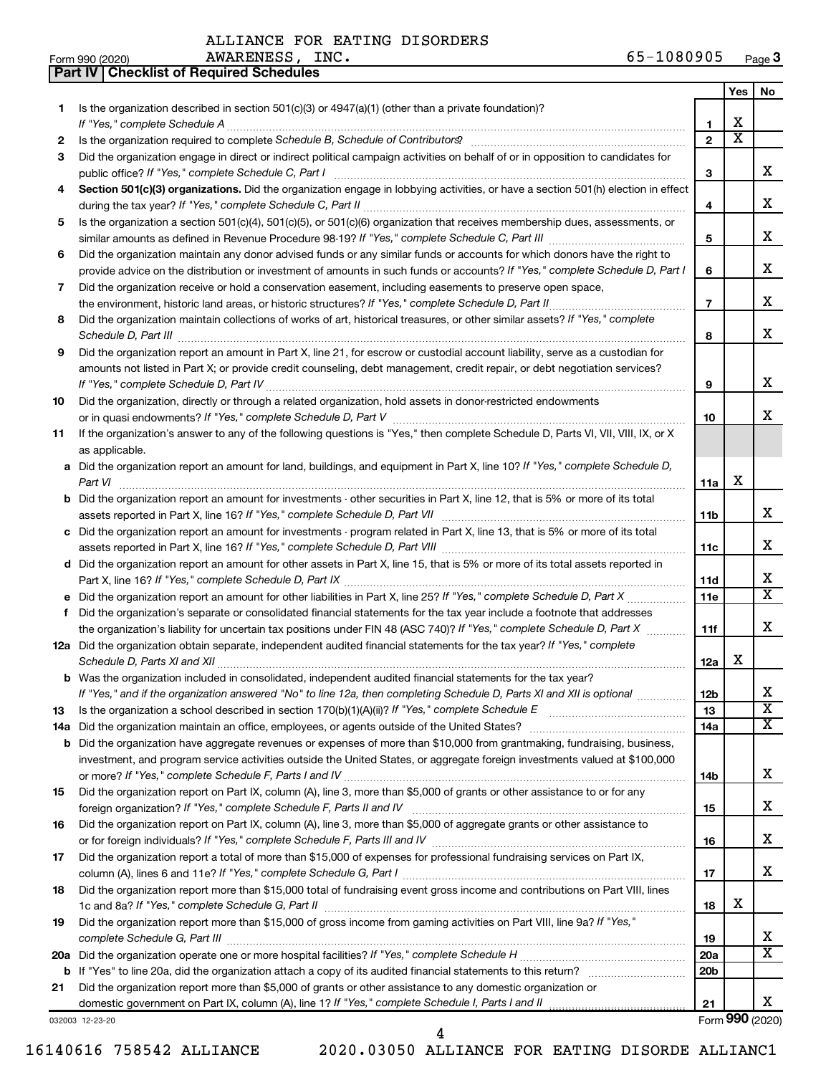AWARENESS, INC.

**Part IV Checklist of Required Schedules**

| Form 990 (2020) | INC.<br><b>AWARENESS</b> | .080905<br>. U O U<br>- O - | Page $3$ |
|-----------------|--------------------------|-----------------------------|----------|
|-----------------|--------------------------|-----------------------------|----------|

|     |                                                                                                                                                                                                                                               |                 | Yes                   | No                      |
|-----|-----------------------------------------------------------------------------------------------------------------------------------------------------------------------------------------------------------------------------------------------|-----------------|-----------------------|-------------------------|
| 1   | Is the organization described in section 501(c)(3) or 4947(a)(1) (other than a private foundation)?                                                                                                                                           |                 |                       |                         |
|     | If "Yes," complete Schedule A                                                                                                                                                                                                                 | 1               | X                     |                         |
| 2   |                                                                                                                                                                                                                                               | $\overline{2}$  | $\overline{\text{x}}$ |                         |
| 3   | Did the organization engage in direct or indirect political campaign activities on behalf of or in opposition to candidates for                                                                                                               |                 |                       |                         |
|     |                                                                                                                                                                                                                                               | 3               |                       | х                       |
| 4   | Section 501(c)(3) organizations. Did the organization engage in lobbying activities, or have a section 501(h) election in effect                                                                                                              |                 |                       |                         |
|     |                                                                                                                                                                                                                                               | 4               |                       | х                       |
| 5   | Is the organization a section 501(c)(4), 501(c)(5), or 501(c)(6) organization that receives membership dues, assessments, or                                                                                                                  |                 |                       |                         |
|     |                                                                                                                                                                                                                                               | 5               |                       | х                       |
| 6   | Did the organization maintain any donor advised funds or any similar funds or accounts for which donors have the right to                                                                                                                     |                 |                       |                         |
|     | provide advice on the distribution or investment of amounts in such funds or accounts? If "Yes," complete Schedule D, Part I                                                                                                                  | 6               |                       | х                       |
| 7   | Did the organization receive or hold a conservation easement, including easements to preserve open space,                                                                                                                                     |                 |                       |                         |
|     |                                                                                                                                                                                                                                               | $\overline{7}$  |                       | х                       |
| 8   | Did the organization maintain collections of works of art, historical treasures, or other similar assets? If "Yes," complete                                                                                                                  |                 |                       |                         |
|     | Schedule D, Part III <b>Marting Community</b> Construction of the University Construction of the University Construction of the University Office O, Part III <b>Construction</b> of the University Office O, Part III <b>Construction</b> of | 8               |                       | х                       |
| 9   | Did the organization report an amount in Part X, line 21, for escrow or custodial account liability, serve as a custodian for                                                                                                                 |                 |                       |                         |
|     | amounts not listed in Part X; or provide credit counseling, debt management, credit repair, or debt negotiation services?                                                                                                                     |                 |                       |                         |
|     |                                                                                                                                                                                                                                               | 9               |                       | х                       |
| 10  | Did the organization, directly or through a related organization, hold assets in donor-restricted endowments                                                                                                                                  |                 |                       |                         |
|     |                                                                                                                                                                                                                                               | 10              |                       | x                       |
| 11  | If the organization's answer to any of the following questions is "Yes," then complete Schedule D, Parts VI, VII, VIII, IX, or X                                                                                                              |                 |                       |                         |
|     | as applicable.                                                                                                                                                                                                                                |                 |                       |                         |
|     | a Did the organization report an amount for land, buildings, and equipment in Part X, line 10? If "Yes," complete Schedule D,                                                                                                                 |                 |                       |                         |
|     | Part VI                                                                                                                                                                                                                                       | 11a             | х                     |                         |
| b   | Did the organization report an amount for investments - other securities in Part X, line 12, that is 5% or more of its total                                                                                                                  |                 |                       |                         |
|     |                                                                                                                                                                                                                                               | 11b             |                       | х                       |
| c   | Did the organization report an amount for investments - program related in Part X, line 13, that is 5% or more of its total                                                                                                                   |                 |                       |                         |
|     |                                                                                                                                                                                                                                               | 11c             |                       | х                       |
| d   | Did the organization report an amount for other assets in Part X, line 15, that is 5% or more of its total assets reported in                                                                                                                 |                 |                       |                         |
|     |                                                                                                                                                                                                                                               | 11d             |                       | x                       |
| е   |                                                                                                                                                                                                                                               | 11 <sub>e</sub> |                       | $\overline{\texttt{x}}$ |
| f   | Did the organization's separate or consolidated financial statements for the tax year include a footnote that addresses                                                                                                                       |                 |                       |                         |
|     | the organization's liability for uncertain tax positions under FIN 48 (ASC 740)? If "Yes," complete Schedule D, Part X                                                                                                                        | 11f             |                       | х                       |
|     | 12a Did the organization obtain separate, independent audited financial statements for the tax year? If "Yes," complete                                                                                                                       |                 |                       |                         |
|     |                                                                                                                                                                                                                                               | 12a             | х                     |                         |
|     | <b>b</b> Was the organization included in consolidated, independent audited financial statements for the tax year?                                                                                                                            |                 |                       |                         |
|     | If "Yes," and if the organization answered "No" to line 12a, then completing Schedule D, Parts XI and XII is optional                                                                                                                         | 12b             |                       | ᅀ                       |
| 13  |                                                                                                                                                                                                                                               | 13              |                       | $\overline{\textbf{x}}$ |
| 14a | Did the organization maintain an office, employees, or agents outside of the United States?                                                                                                                                                   | 14a             |                       | $\overline{\mathbf{X}}$ |
| b   | Did the organization have aggregate revenues or expenses of more than \$10,000 from grantmaking, fundraising, business,                                                                                                                       |                 |                       |                         |
|     | investment, and program service activities outside the United States, or aggregate foreign investments valued at \$100,000                                                                                                                    |                 |                       |                         |
|     |                                                                                                                                                                                                                                               | 14b             |                       | х                       |
| 15  | Did the organization report on Part IX, column (A), line 3, more than \$5,000 of grants or other assistance to or for any                                                                                                                     |                 |                       |                         |
|     |                                                                                                                                                                                                                                               | 15              |                       | х                       |
| 16  | Did the organization report on Part IX, column (A), line 3, more than \$5,000 of aggregate grants or other assistance to                                                                                                                      |                 |                       |                         |
|     |                                                                                                                                                                                                                                               | 16              |                       | х                       |
| 17  | Did the organization report a total of more than \$15,000 of expenses for professional fundraising services on Part IX,                                                                                                                       |                 |                       |                         |
|     |                                                                                                                                                                                                                                               | 17              |                       | х                       |
| 18  | Did the organization report more than \$15,000 total of fundraising event gross income and contributions on Part VIII, lines                                                                                                                  |                 | х                     |                         |
|     |                                                                                                                                                                                                                                               | 18              |                       |                         |
| 19  | Did the organization report more than \$15,000 of gross income from gaming activities on Part VIII, line 9a? If "Yes,"                                                                                                                        |                 |                       | x                       |
|     |                                                                                                                                                                                                                                               | 19              |                       | $\overline{\textbf{X}}$ |
| 20a |                                                                                                                                                                                                                                               | 20a             |                       |                         |
| b   |                                                                                                                                                                                                                                               | 20 <sub>b</sub> |                       |                         |
| 21  | Did the organization report more than \$5,000 of grants or other assistance to any domestic organization or<br>domestic government on Part IX, column (A), line 1? If "Yes," complete Schedule I, Parts I and II                              |                 |                       | х                       |
|     |                                                                                                                                                                                                                                               | 21              |                       | Form 990 (2020)         |
|     | 032003 12-23-20<br>4                                                                                                                                                                                                                          |                 |                       |                         |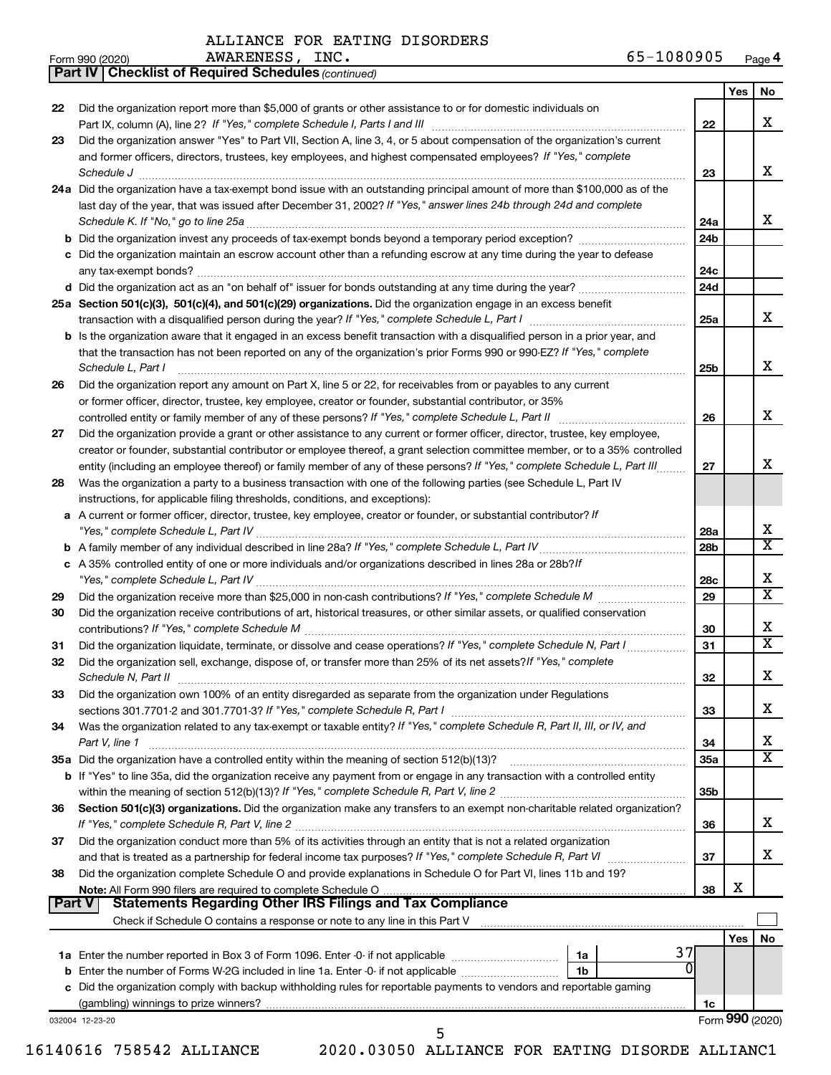|               | <b>Part IV   Checklist of Required Schedules (continued)</b>                                                                                                                 |                 |     |                              |
|---------------|------------------------------------------------------------------------------------------------------------------------------------------------------------------------------|-----------------|-----|------------------------------|
|               |                                                                                                                                                                              |                 | Yes | No                           |
| 22            | Did the organization report more than \$5,000 of grants or other assistance to or for domestic individuals on                                                                |                 |     |                              |
|               |                                                                                                                                                                              | 22              |     | x                            |
| 23            | Did the organization answer "Yes" to Part VII, Section A, line 3, 4, or 5 about compensation of the organization's current                                                   |                 |     |                              |
|               | and former officers, directors, trustees, key employees, and highest compensated employees? If "Yes," complete                                                               |                 |     |                              |
|               | Schedule J                                                                                                                                                                   | 23              |     | x                            |
|               | 24a Did the organization have a tax-exempt bond issue with an outstanding principal amount of more than \$100,000 as of the                                                  |                 |     |                              |
|               | last day of the year, that was issued after December 31, 2002? If "Yes," answer lines 24b through 24d and complete                                                           |                 |     |                              |
|               |                                                                                                                                                                              | 24a             |     | x                            |
|               |                                                                                                                                                                              | 24b             |     |                              |
|               | c Did the organization maintain an escrow account other than a refunding escrow at any time during the year to defease                                                       |                 |     |                              |
|               |                                                                                                                                                                              | 24 <sub>c</sub> |     |                              |
|               |                                                                                                                                                                              | 24d             |     |                              |
|               | 25a Section 501(c)(3), 501(c)(4), and 501(c)(29) organizations. Did the organization engage in an excess benefit                                                             |                 |     |                              |
|               |                                                                                                                                                                              | 25a             |     | x                            |
|               | b Is the organization aware that it engaged in an excess benefit transaction with a disqualified person in a prior year, and                                                 |                 |     |                              |
|               | that the transaction has not been reported on any of the organization's prior Forms 990 or 990-EZ? If "Yes," complete                                                        |                 |     |                              |
|               | Schedule L, Part I                                                                                                                                                           | 25 <sub>b</sub> |     | x                            |
| 26            | Did the organization report any amount on Part X, line 5 or 22, for receivables from or payables to any current                                                              |                 |     |                              |
|               | or former officer, director, trustee, key employee, creator or founder, substantial contributor, or 35%                                                                      |                 |     |                              |
|               |                                                                                                                                                                              | 26              |     | х                            |
|               | controlled entity or family member of any of these persons? If "Yes," complete Schedule L, Part II [ [ [ [ [ [ ] ]]                                                          |                 |     |                              |
| 27            | Did the organization provide a grant or other assistance to any current or former officer, director, trustee, key employee,                                                  |                 |     |                              |
|               | creator or founder, substantial contributor or employee thereof, a grant selection committee member, or to a 35% controlled                                                  |                 |     | x                            |
|               | entity (including an employee thereof) or family member of any of these persons? If "Yes," complete Schedule L, Part III                                                     | 27              |     |                              |
| 28            | Was the organization a party to a business transaction with one of the following parties (see Schedule L, Part IV                                                            |                 |     |                              |
|               | instructions, for applicable filing thresholds, conditions, and exceptions):                                                                                                 |                 |     |                              |
|               | a A current or former officer, director, trustee, key employee, creator or founder, or substantial contributor? If                                                           |                 |     |                              |
|               |                                                                                                                                                                              | 28a             |     | х<br>$\overline{\texttt{x}}$ |
|               |                                                                                                                                                                              | 28b             |     |                              |
|               | c A 35% controlled entity of one or more individuals and/or organizations described in lines 28a or 28b?/f                                                                   |                 |     |                              |
|               |                                                                                                                                                                              | 28c             |     | x                            |
| 29            |                                                                                                                                                                              | 29              |     | $\overline{\textbf{X}}$      |
| 30            | Did the organization receive contributions of art, historical treasures, or other similar assets, or qualified conservation                                                  |                 |     |                              |
|               |                                                                                                                                                                              | 30              |     | х                            |
| 31            | Did the organization liquidate, terminate, or dissolve and cease operations? If "Yes," complete Schedule N, Part I                                                           | 31              |     | $\overline{\texttt{x}}$      |
| 32            | Did the organization sell, exchange, dispose of, or transfer more than 25% of its net assets? If "Yes," complete                                                             |                 |     |                              |
|               | Schedule N, Part II                                                                                                                                                          | 32              |     | X                            |
| 33            | Did the organization own 100% of an entity disregarded as separate from the organization under Regulations                                                                   |                 |     |                              |
|               | sections 301.7701-2 and 301.7701-3? If "Yes," complete Schedule R, Part I [11] [11] [11] [11] [11] sections 301.7701-2 and 301.7701-3? If "Yes," complete Schedule R, Part I | 33              |     | x.                           |
| 34            | Was the organization related to any tax-exempt or taxable entity? If "Yes," complete Schedule R, Part II, III, or IV, and                                                    |                 |     |                              |
|               | Part V, line 1                                                                                                                                                               | 34              |     | x.                           |
|               |                                                                                                                                                                              | <b>35a</b>      |     | $\overline{\textbf{X}}$      |
|               | b If "Yes" to line 35a, did the organization receive any payment from or engage in any transaction with a controlled entity                                                  |                 |     |                              |
|               |                                                                                                                                                                              | 35 <sub>b</sub> |     |                              |
| 36            | Section 501(c)(3) organizations. Did the organization make any transfers to an exempt non-charitable related organization?                                                   |                 |     |                              |
|               | If "Yes," complete Schedule R, Part V, line 2                                                                                                                                | 36              |     | x.                           |
| 37            | Did the organization conduct more than 5% of its activities through an entity that is not a related organization                                                             |                 |     |                              |
|               |                                                                                                                                                                              | 37              |     | x.                           |
| 38            | Did the organization complete Schedule O and provide explanations in Schedule O for Part VI, lines 11b and 19?                                                               |                 |     |                              |
|               |                                                                                                                                                                              | 38              | х   |                              |
| <b>Part V</b> | <b>Statements Regarding Other IRS Filings and Tax Compliance</b>                                                                                                             |                 |     |                              |
|               |                                                                                                                                                                              |                 |     |                              |
|               |                                                                                                                                                                              |                 | Yes | No                           |
|               | 37                                                                                                                                                                           |                 |     |                              |
|               | 0<br>1b                                                                                                                                                                      |                 |     |                              |
|               | c Did the organization comply with backup withholding rules for reportable payments to vendors and reportable gaming                                                         |                 |     |                              |
|               |                                                                                                                                                                              | 1c              |     |                              |
|               | 032004 12-23-20                                                                                                                                                              |                 |     | Form 990 (2020)              |

16140616 758542 ALLIANCE 2020.03050 ALLIANCE FOR EATING DISORDE ALLIANC1

5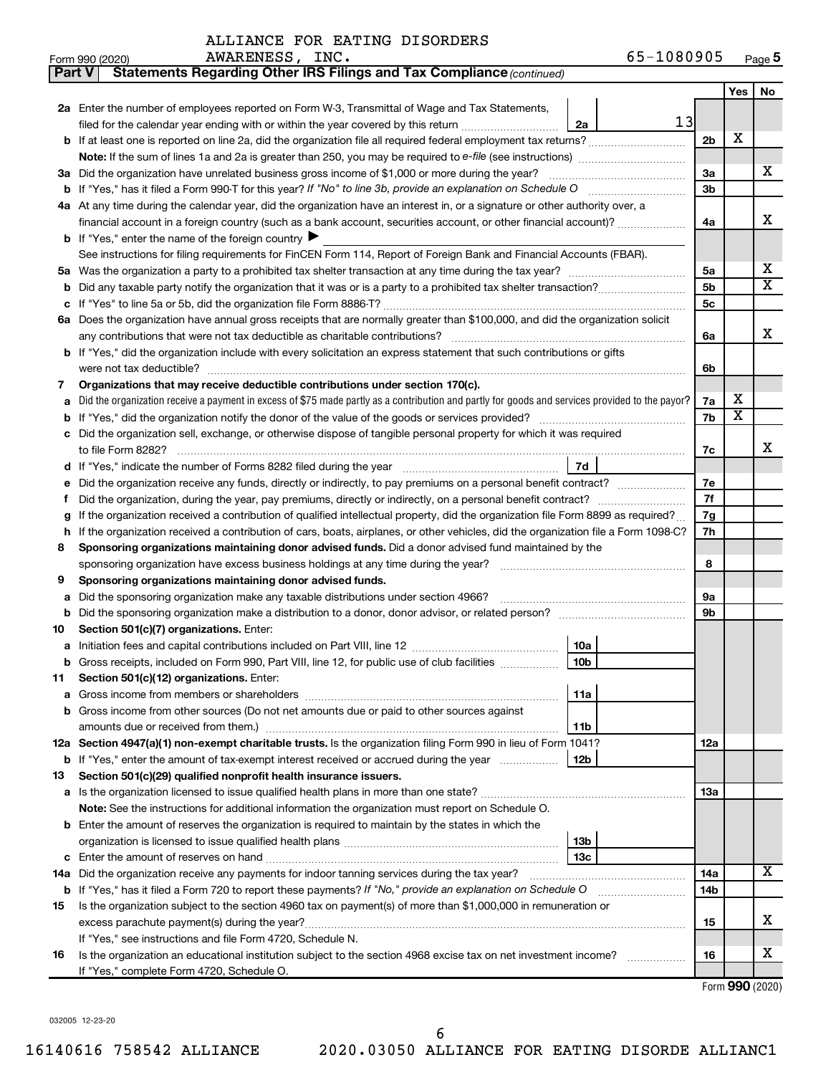| <b>Part V</b>                             | Statements Regarding Other IRS Filings and Tax Compliance (continued)                                                                           |                |                         |                       |  |  |  |  |  |  |
|-------------------------------------------|-------------------------------------------------------------------------------------------------------------------------------------------------|----------------|-------------------------|-----------------------|--|--|--|--|--|--|
|                                           |                                                                                                                                                 |                |                         |                       |  |  |  |  |  |  |
|                                           | 2a Enter the number of employees reported on Form W-3, Transmittal of Wage and Tax Statements,                                                  |                |                         |                       |  |  |  |  |  |  |
|                                           | 13<br>filed for the calendar year ending with or within the year covered by this return<br>2a                                                   |                |                         |                       |  |  |  |  |  |  |
|                                           | <b>b</b> If at least one is reported on line 2a, did the organization file all required federal employment tax returns?                         | 2 <sub>b</sub> | х                       |                       |  |  |  |  |  |  |
|                                           |                                                                                                                                                 |                |                         |                       |  |  |  |  |  |  |
|                                           | 3a Did the organization have unrelated business gross income of \$1,000 or more during the year?                                                | 3a             |                         | x                     |  |  |  |  |  |  |
|                                           |                                                                                                                                                 | 3b             |                         |                       |  |  |  |  |  |  |
|                                           | 4a At any time during the calendar year, did the organization have an interest in, or a signature or other authority over, a                    |                |                         |                       |  |  |  |  |  |  |
|                                           | financial account in a foreign country (such as a bank account, securities account, or other financial account)?                                | 4a             |                         | x                     |  |  |  |  |  |  |
|                                           | <b>b</b> If "Yes," enter the name of the foreign country $\blacktriangleright$                                                                  |                |                         |                       |  |  |  |  |  |  |
|                                           | See instructions for filing requirements for FinCEN Form 114, Report of Foreign Bank and Financial Accounts (FBAR).                             |                |                         |                       |  |  |  |  |  |  |
| 5a                                        |                                                                                                                                                 |                |                         |                       |  |  |  |  |  |  |
| b                                         |                                                                                                                                                 | 5b             |                         | $\overline{\text{X}}$ |  |  |  |  |  |  |
|                                           |                                                                                                                                                 | 5c             |                         |                       |  |  |  |  |  |  |
|                                           | 6a Does the organization have annual gross receipts that are normally greater than \$100,000, and did the organization solicit                  |                |                         |                       |  |  |  |  |  |  |
|                                           |                                                                                                                                                 | 6a             |                         | х                     |  |  |  |  |  |  |
|                                           | b If "Yes," did the organization include with every solicitation an express statement that such contributions or gifts                          |                |                         |                       |  |  |  |  |  |  |
|                                           | were not tax deductible?                                                                                                                        |                |                         |                       |  |  |  |  |  |  |
| 7                                         | Organizations that may receive deductible contributions under section 170(c).                                                                   |                |                         |                       |  |  |  |  |  |  |
|                                           | Did the organization receive a payment in excess of \$75 made partly as a contribution and partly for goods and services provided to the payor? | 7a             | x                       |                       |  |  |  |  |  |  |
| b                                         |                                                                                                                                                 | 7b             | $\overline{\texttt{x}}$ |                       |  |  |  |  |  |  |
|                                           | Did the organization sell, exchange, or otherwise dispose of tangible personal property for which it was required                               |                |                         |                       |  |  |  |  |  |  |
|                                           |                                                                                                                                                 | 7c             |                         | x                     |  |  |  |  |  |  |
|                                           | 7d                                                                                                                                              |                |                         |                       |  |  |  |  |  |  |
|                                           | Did the organization receive any funds, directly or indirectly, to pay premiums on a personal benefit contract?                                 |                |                         |                       |  |  |  |  |  |  |
| Ť                                         |                                                                                                                                                 |                |                         |                       |  |  |  |  |  |  |
| g                                         | If the organization received a contribution of qualified intellectual property, did the organization file Form 8899 as required?                |                |                         |                       |  |  |  |  |  |  |
| h                                         | If the organization received a contribution of cars, boats, airplanes, or other vehicles, did the organization file a Form 1098-C?              |                |                         |                       |  |  |  |  |  |  |
| 8                                         | Sponsoring organizations maintaining donor advised funds. Did a donor advised fund maintained by the                                            |                |                         |                       |  |  |  |  |  |  |
|                                           | sponsoring organization have excess business holdings at any time during the year?                                                              | 8              |                         |                       |  |  |  |  |  |  |
| 9                                         | Sponsoring organizations maintaining donor advised funds.                                                                                       |                |                         |                       |  |  |  |  |  |  |
| а                                         | Did the sponsoring organization make any taxable distributions under section 4966?                                                              | 9а             |                         |                       |  |  |  |  |  |  |
| b                                         | Did the sponsoring organization make a distribution to a donor, donor advisor, or related person?                                               | 9b             |                         |                       |  |  |  |  |  |  |
| 10                                        | Section 501(c)(7) organizations. Enter:                                                                                                         |                |                         |                       |  |  |  |  |  |  |
|                                           | 10a                                                                                                                                             |                |                         |                       |  |  |  |  |  |  |
|                                           | 10 <sub>b</sub><br><b>b</b> Gross receipts, included on Form 990, Part VIII, line 12, for public use of club facilities <i>manument</i>         |                |                         |                       |  |  |  |  |  |  |
| 11.                                       | Section 501(c)(12) organizations. Enter:                                                                                                        |                |                         |                       |  |  |  |  |  |  |
|                                           | 11a                                                                                                                                             |                |                         |                       |  |  |  |  |  |  |
|                                           | b Gross income from other sources (Do not net amounts due or paid to other sources against                                                      |                |                         |                       |  |  |  |  |  |  |
|                                           | amounts due or received from them.)<br>11b                                                                                                      |                |                         |                       |  |  |  |  |  |  |
|                                           | 12a Section 4947(a)(1) non-exempt charitable trusts. Is the organization filing Form 990 in lieu of Form 1041?                                  | 12a            |                         |                       |  |  |  |  |  |  |
|                                           | b If "Yes," enter the amount of tax-exempt interest received or accrued during the year<br>12b                                                  |                |                         |                       |  |  |  |  |  |  |
| 13                                        | Section 501(c)(29) qualified nonprofit health insurance issuers.                                                                                |                |                         |                       |  |  |  |  |  |  |
|                                           | a Is the organization licensed to issue qualified health plans in more than one state?                                                          | 1За            |                         |                       |  |  |  |  |  |  |
|                                           | Note: See the instructions for additional information the organization must report on Schedule O.                                               |                |                         |                       |  |  |  |  |  |  |
|                                           | <b>b</b> Enter the amount of reserves the organization is required to maintain by the states in which the                                       |                |                         |                       |  |  |  |  |  |  |
|                                           | 13b                                                                                                                                             |                |                         |                       |  |  |  |  |  |  |
|                                           | 13c                                                                                                                                             |                |                         | X                     |  |  |  |  |  |  |
|                                           | 14a Did the organization receive any payments for indoor tanning services during the tax year?                                                  | 14a            |                         |                       |  |  |  |  |  |  |
|                                           | <b>b</b> If "Yes," has it filed a Form 720 to report these payments? If "No," provide an explanation on Schedule O                              | 14b            |                         |                       |  |  |  |  |  |  |
| 15                                        | Is the organization subject to the section 4960 tax on payment(s) of more than \$1,000,000 in remuneration or                                   |                |                         | x                     |  |  |  |  |  |  |
|                                           | excess parachute payment(s) during the year?                                                                                                    | 15             |                         |                       |  |  |  |  |  |  |
|                                           | If "Yes," see instructions and file Form 4720, Schedule N.                                                                                      |                |                         | x                     |  |  |  |  |  |  |
| 16                                        | Is the organization an educational institution subject to the section 4968 excise tax on net investment income?                                 | 16             |                         |                       |  |  |  |  |  |  |
| If "Yes," complete Form 4720, Schedule O. |                                                                                                                                                 |                |                         |                       |  |  |  |  |  |  |

Form (2020) **990**

032005 12-23-20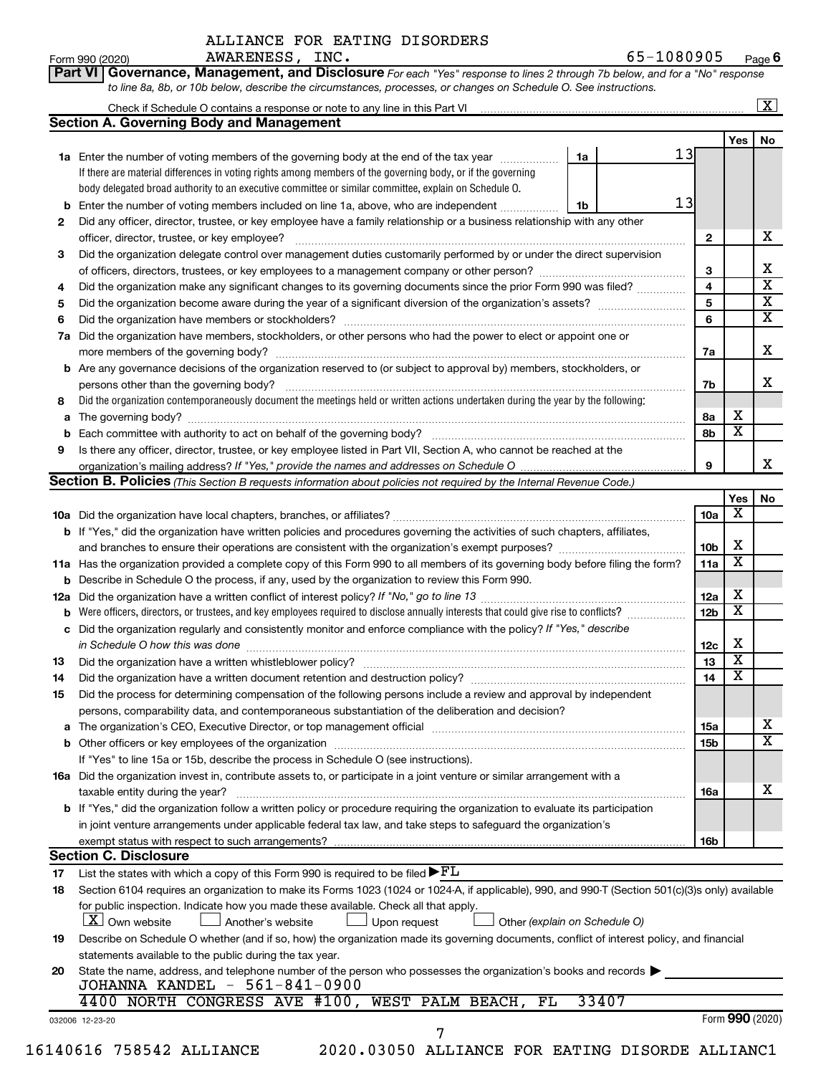**Part VI** Governance, Management, and Disclosure For each "Yes" response to lines 2 through 7b below, and for a "No" response *to line 8a, 8b, or 10b below, describe the circumstances, processes, or changes on Schedule O. See instructions.*

|     | <b>Section A. Governing Body and Management</b>                                                                                                                                     |    |       |    |                 |                         | $\mathbf{X}$ |  |  |  |
|-----|-------------------------------------------------------------------------------------------------------------------------------------------------------------------------------------|----|-------|----|-----------------|-------------------------|--------------|--|--|--|
|     |                                                                                                                                                                                     |    |       |    |                 | Yes $ $                 | No           |  |  |  |
|     | 1a Enter the number of voting members of the governing body at the end of the tax year                                                                                              | 1a |       | 13 |                 |                         |              |  |  |  |
|     | If there are material differences in voting rights among members of the governing body, or if the governing                                                                         |    |       |    |                 |                         |              |  |  |  |
|     | body delegated broad authority to an executive committee or similar committee, explain on Schedule O.                                                                               |    |       |    |                 |                         |              |  |  |  |
|     |                                                                                                                                                                                     |    |       | 13 |                 |                         |              |  |  |  |
| b   | Enter the number of voting members included on line 1a, above, who are independent                                                                                                  | 1b |       |    |                 |                         |              |  |  |  |
| 2   | Did any officer, director, trustee, or key employee have a family relationship or a business relationship with any other                                                            |    |       |    |                 |                         |              |  |  |  |
|     | officer, director, trustee, or key employee?                                                                                                                                        |    |       |    | $\mathbf{2}$    |                         |              |  |  |  |
| 3   | Did the organization delegate control over management duties customarily performed by or under the direct supervision                                                               |    |       |    |                 |                         |              |  |  |  |
|     |                                                                                                                                                                                     |    |       |    | 3               |                         |              |  |  |  |
| 4   | Did the organization make any significant changes to its governing documents since the prior Form 990 was filed?                                                                    |    |       |    | 4               |                         |              |  |  |  |
| 5   |                                                                                                                                                                                     |    |       |    | 5               |                         |              |  |  |  |
| 6   |                                                                                                                                                                                     |    |       |    | 6               |                         |              |  |  |  |
| 7a  | Did the organization have members, stockholders, or other persons who had the power to elect or appoint one or                                                                      |    |       |    |                 |                         |              |  |  |  |
|     |                                                                                                                                                                                     |    |       |    | 7а              |                         |              |  |  |  |
| b   | Are any governance decisions of the organization reserved to (or subject to approval by) members, stockholders, or                                                                  |    |       |    |                 |                         |              |  |  |  |
|     |                                                                                                                                                                                     |    |       |    | 7b              |                         |              |  |  |  |
| 8   | Did the organization contemporaneously document the meetings held or written actions undertaken during the year by the following:                                                   |    |       |    |                 |                         |              |  |  |  |
| a   |                                                                                                                                                                                     |    |       |    | 8а              | х                       |              |  |  |  |
| b   |                                                                                                                                                                                     |    |       |    | 8b              | $\overline{\textbf{x}}$ |              |  |  |  |
| 9   | Is there any officer, director, trustee, or key employee listed in Part VII, Section A, who cannot be reached at the                                                                |    |       |    |                 |                         |              |  |  |  |
|     |                                                                                                                                                                                     |    |       |    | 9               |                         |              |  |  |  |
|     |                                                                                                                                                                                     |    |       |    |                 |                         |              |  |  |  |
|     | <b>Section B. Policies</b> (This Section B requests information about policies not required by the Internal Revenue Code.)                                                          |    |       |    |                 |                         |              |  |  |  |
|     |                                                                                                                                                                                     |    |       |    |                 | Yes<br>х                |              |  |  |  |
|     |                                                                                                                                                                                     |    |       |    | 10a             |                         |              |  |  |  |
|     | <b>b</b> If "Yes," did the organization have written policies and procedures governing the activities of such chapters, affiliates,                                                 |    |       |    |                 |                         |              |  |  |  |
|     |                                                                                                                                                                                     |    |       |    | 10 <sub>b</sub> | X                       |              |  |  |  |
|     | 11a Has the organization provided a complete copy of this Form 990 to all members of its governing body before filing the form?                                                     |    |       |    | 11a             | $\overline{\textbf{x}}$ |              |  |  |  |
|     | <b>b</b> Describe in Schedule O the process, if any, used by the organization to review this Form 990.                                                                              |    |       |    |                 |                         |              |  |  |  |
| 12a |                                                                                                                                                                                     |    |       |    | 12a             | X                       |              |  |  |  |
| b   | Were officers, directors, or trustees, and key employees required to disclose annually interests that could give rise to conflicts?                                                 |    |       |    | 12 <sub>b</sub> | $\overline{\textbf{x}}$ |              |  |  |  |
| с   | Did the organization regularly and consistently monitor and enforce compliance with the policy? If "Yes," describe                                                                  |    |       |    |                 |                         |              |  |  |  |
|     |                                                                                                                                                                                     |    |       |    | 12c             | х                       |              |  |  |  |
| 13  |                                                                                                                                                                                     |    |       |    | 13              | $\overline{\mathbf{X}}$ |              |  |  |  |
| 14  | Did the organization have a written document retention and destruction policy? [11] manufaction model of the organization have a written document retention and destruction policy? |    |       |    | 14              | $\overline{\mathbf{X}}$ |              |  |  |  |
| 15  | Did the process for determining compensation of the following persons include a review and approval by independent                                                                  |    |       |    |                 |                         |              |  |  |  |
|     | persons, comparability data, and contemporaneous substantiation of the deliberation and decision?                                                                                   |    |       |    |                 |                         |              |  |  |  |
|     |                                                                                                                                                                                     |    |       |    | 15a             |                         |              |  |  |  |
| а   |                                                                                                                                                                                     |    |       |    | <b>15b</b>      |                         |              |  |  |  |
|     |                                                                                                                                                                                     |    |       |    |                 |                         |              |  |  |  |
|     | If "Yes" to line 15a or 15b, describe the process in Schedule O (see instructions).                                                                                                 |    |       |    |                 |                         |              |  |  |  |
|     | 16a Did the organization invest in, contribute assets to, or participate in a joint venture or similar arrangement with a                                                           |    |       |    |                 |                         |              |  |  |  |
|     | taxable entity during the year?                                                                                                                                                     |    |       |    | 16a             |                         |              |  |  |  |
|     | b If "Yes," did the organization follow a written policy or procedure requiring the organization to evaluate its participation                                                      |    |       |    |                 |                         |              |  |  |  |
|     | in joint venture arrangements under applicable federal tax law, and take steps to safeguard the organization's                                                                      |    |       |    |                 |                         |              |  |  |  |
|     | exempt status with respect to such arrangements?                                                                                                                                    |    |       |    | 16 <sub>b</sub> |                         |              |  |  |  |
|     | <b>Section C. Disclosure</b>                                                                                                                                                        |    |       |    |                 |                         |              |  |  |  |
| 17  | List the states with which a copy of this Form 990 is required to be filed $\blacktriangleright$ $FL$                                                                               |    |       |    |                 |                         |              |  |  |  |
| 18  | Section 6104 requires an organization to make its Forms 1023 (1024 or 1024-A, if applicable), 990, and 990-T (Section 501(c)(3)s only) available                                    |    |       |    |                 |                         |              |  |  |  |
|     | for public inspection. Indicate how you made these available. Check all that apply.                                                                                                 |    |       |    |                 |                         |              |  |  |  |
|     | <b>X</b> Own website<br>Another's website<br>Upon request<br>Other (explain on Schedule O)                                                                                          |    |       |    |                 |                         |              |  |  |  |
| 19  | Describe on Schedule O whether (and if so, how) the organization made its governing documents, conflict of interest policy, and financial                                           |    |       |    |                 |                         |              |  |  |  |
|     | statements available to the public during the tax year.                                                                                                                             |    |       |    |                 |                         |              |  |  |  |
| 20  | State the name, address, and telephone number of the person who possesses the organization's books and records                                                                      |    |       |    |                 |                         |              |  |  |  |
|     | JOHANNA KANDEL - 561-841-0900                                                                                                                                                       |    |       |    |                 |                         |              |  |  |  |
|     |                                                                                                                                                                                     |    |       |    |                 |                         |              |  |  |  |
|     | 4400 NORTH CONGRESS AVE #100, WEST PALM BEACH,<br>FL                                                                                                                                |    | 33407 |    |                 |                         |              |  |  |  |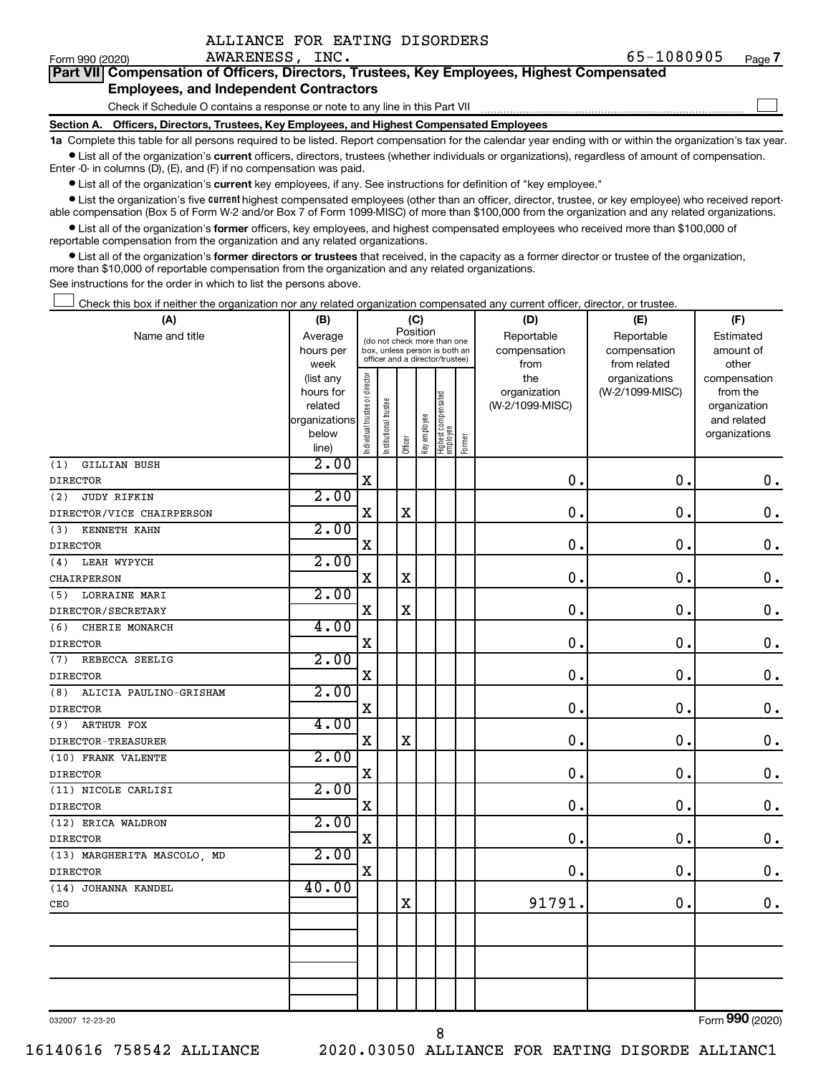| ALLIANCE FOR EATING DISORDERS |  |  |  |  |
|-------------------------------|--|--|--|--|
|-------------------------------|--|--|--|--|

 $\Box$ 

| Part VII Compensation of Officers, Directors, Trustees, Key Employees, Highest Compensated |  |  |  |
|--------------------------------------------------------------------------------------------|--|--|--|
| <b>Employees, and Independent Contractors</b>                                              |  |  |  |

Check if Schedule O contains a response or note to any line in this Part VII

**Section A. Officers, Directors, Trustees, Key Employees, and Highest Compensated Employees**

**1a**  Complete this table for all persons required to be listed. Report compensation for the calendar year ending with or within the organization's tax year.  $\bullet$  List all of the organization's current officers, directors, trustees (whether individuals or organizations), regardless of amount of compensation.

Enter -0- in columns (D), (E), and (F) if no compensation was paid.

**•** List all of the organization's current key employees, if any. See instructions for definition of "key employee."

• List the organization's five *current* highest compensated employees (other than an officer, director, trustee, or key employee) who received reportable compensation (Box 5 of Form W-2 and/or Box 7 of Form 1099-MISC) of more than \$100,000 from the organization and any related organizations.

 $\bullet$  List all of the organization's former officers, key employees, and highest compensated employees who received more than \$100,000 of reportable compensation from the organization and any related organizations.

**•** List all of the organization's former directors or trustees that received, in the capacity as a former director or trustee of the organization, more than \$10,000 of reportable compensation from the organization and any related organizations.

See instructions for the order in which to list the persons above.

Check this box if neither the organization nor any related organization compensated any current officer, director, or trustee.  $\Box$ 

| (A)                           | (B)                  |                                |                                                                  | (C)         |              |                                 |        | (D)             | (E)             | (F)                         |
|-------------------------------|----------------------|--------------------------------|------------------------------------------------------------------|-------------|--------------|---------------------------------|--------|-----------------|-----------------|-----------------------------|
| Name and title                | Average              |                                | Position<br>(do not check more than one                          |             |              |                                 |        | Reportable      | Reportable      | Estimated                   |
|                               | hours per            |                                | box, unless person is both an<br>officer and a director/trustee) |             |              |                                 |        | compensation    | compensation    | amount of                   |
|                               | week                 |                                |                                                                  |             |              |                                 |        | from            | from related    | other                       |
|                               | (list any            |                                |                                                                  |             |              |                                 |        | the             | organizations   | compensation                |
|                               | hours for<br>related |                                |                                                                  |             |              |                                 |        | organization    | (W-2/1099-MISC) | from the                    |
|                               | organizations        |                                |                                                                  |             |              |                                 |        | (W-2/1099-MISC) |                 | organization<br>and related |
|                               | below                |                                |                                                                  |             |              |                                 |        |                 |                 | organizations               |
|                               | line)                | Individual trustee or director | Institutional trustee                                            | Officer     | Key employee | Highest compensated<br>employee | Former |                 |                 |                             |
| (1)<br><b>GILLIAN BUSH</b>    | 2.00                 |                                |                                                                  |             |              |                                 |        |                 |                 |                             |
| <b>DIRECTOR</b>               |                      | $\mathbf X$                    |                                                                  |             |              |                                 |        | 0.              | 0.              | $\mathbf 0$ .               |
| (2)<br><b>JUDY RIFKIN</b>     | 2.00                 |                                |                                                                  |             |              |                                 |        |                 |                 |                             |
| DIRECTOR/VICE CHAIRPERSON     |                      | $\mathbf X$                    |                                                                  | $\rm X$     |              |                                 |        | $\mathbf 0$ .   | $\mathbf 0$ .   | $\mathbf 0$ .               |
| KENNETH KAHN<br>(3)           | 2.00                 |                                |                                                                  |             |              |                                 |        |                 |                 |                             |
| <b>DIRECTOR</b>               |                      | X                              |                                                                  |             |              |                                 |        | $\mathbf 0$ .   | $\mathbf 0$ .   | $\mathbf 0$ .               |
| LEAH WYPYCH<br>(4)            | 2.00                 |                                |                                                                  |             |              |                                 |        |                 |                 |                             |
| CHAIRPERSON                   |                      | $\mathbf X$                    |                                                                  | $\rm X$     |              |                                 |        | $\mathbf 0$ .   | $\mathbf 0$ .   | $\mathbf 0$ .               |
| (5) LORRAINE MARI             | 2.00                 |                                |                                                                  |             |              |                                 |        |                 |                 |                             |
| DIRECTOR/SECRETARY            |                      | $\mathbf X$                    |                                                                  | $\mathbf X$ |              |                                 |        | $\mathbf 0$ .   | $\mathbf 0$ .   | $\mathbf 0$ .               |
| (6)<br>CHERIE MONARCH         | 4.00                 |                                |                                                                  |             |              |                                 |        |                 |                 |                             |
| <b>DIRECTOR</b>               |                      | $\mathbf X$                    |                                                                  |             |              |                                 |        | $\mathbf 0$     | $\mathbf 0$ .   | $\mathbf 0$ .               |
| (7)<br>REBECCA SEELIG         | 2.00                 |                                |                                                                  |             |              |                                 |        |                 |                 |                             |
| <b>DIRECTOR</b>               |                      | $\mathbf X$                    |                                                                  |             |              |                                 |        | $\mathbf 0$     | $\mathbf 0$ .   | $\mathbf 0$ .               |
| (8)<br>ALICIA PAULINO-GRISHAM | 2.00                 |                                |                                                                  |             |              |                                 |        |                 |                 |                             |
| <b>DIRECTOR</b>               |                      | $\mathbf X$                    |                                                                  |             |              |                                 |        | $\mathbf 0$ .   | $\mathbf 0$ .   | $\mathbf 0$ .               |
| <b>ARTHUR FOX</b><br>(9)      | 4.00                 |                                |                                                                  |             |              |                                 |        |                 |                 |                             |
| DIRECTOR-TREASURER            |                      | $\mathbf X$                    |                                                                  | $\mathbf x$ |              |                                 |        | $\mathbf 0$     | $\mathbf 0$ .   | $\mathbf 0$ .               |
| (10) FRANK VALENTE            | 2.00                 |                                |                                                                  |             |              |                                 |        |                 |                 |                             |
| <b>DIRECTOR</b>               |                      | $\mathbf x$                    |                                                                  |             |              |                                 |        | $\mathbf 0$     | $\mathbf 0$ .   | $\mathbf 0$ .               |
| (11) NICOLE CARLISI           | 2.00                 |                                |                                                                  |             |              |                                 |        |                 |                 |                             |
| <b>DIRECTOR</b>               |                      | $\mathbf X$                    |                                                                  |             |              |                                 |        | $\mathbf 0$     | $\mathbf 0$ .   | $\boldsymbol{0}$ .          |
| (12) ERICA WALDRON            | 2.00                 |                                |                                                                  |             |              |                                 |        |                 |                 |                             |
| <b>DIRECTOR</b>               |                      | $\mathbf X$                    |                                                                  |             |              |                                 |        | $\mathbf 0$ .   | $\mathbf 0$ .   | $\mathbf 0$ .               |
| (13) MARGHERITA MASCOLO, MD   | 2.00                 |                                |                                                                  |             |              |                                 |        |                 |                 |                             |
| <b>DIRECTOR</b>               |                      | $\mathbf X$                    |                                                                  |             |              |                                 |        | $\mathbf 0$     | $\mathbf 0$ .   | $\mathbf 0$ .               |
| (14) JOHANNA KANDEL           | 40.00                |                                |                                                                  |             |              |                                 |        |                 |                 |                             |
| CEO                           |                      |                                |                                                                  | $\mathbf x$ |              |                                 |        | 91791           | $\mathbf 0$ .   | $\mathbf 0$ .               |
|                               |                      |                                |                                                                  |             |              |                                 |        |                 |                 |                             |
|                               |                      |                                |                                                                  |             |              |                                 |        |                 |                 |                             |
|                               |                      |                                |                                                                  |             |              |                                 |        |                 |                 |                             |
|                               |                      |                                |                                                                  |             |              |                                 |        |                 |                 |                             |
|                               |                      |                                |                                                                  |             |              |                                 |        |                 |                 |                             |

032007 12-23-20

Form (2020) **990**

16140616 758542 ALLIANCE 2020.03050 ALLIANCE FOR EATING DISORDE ALLIANC1

8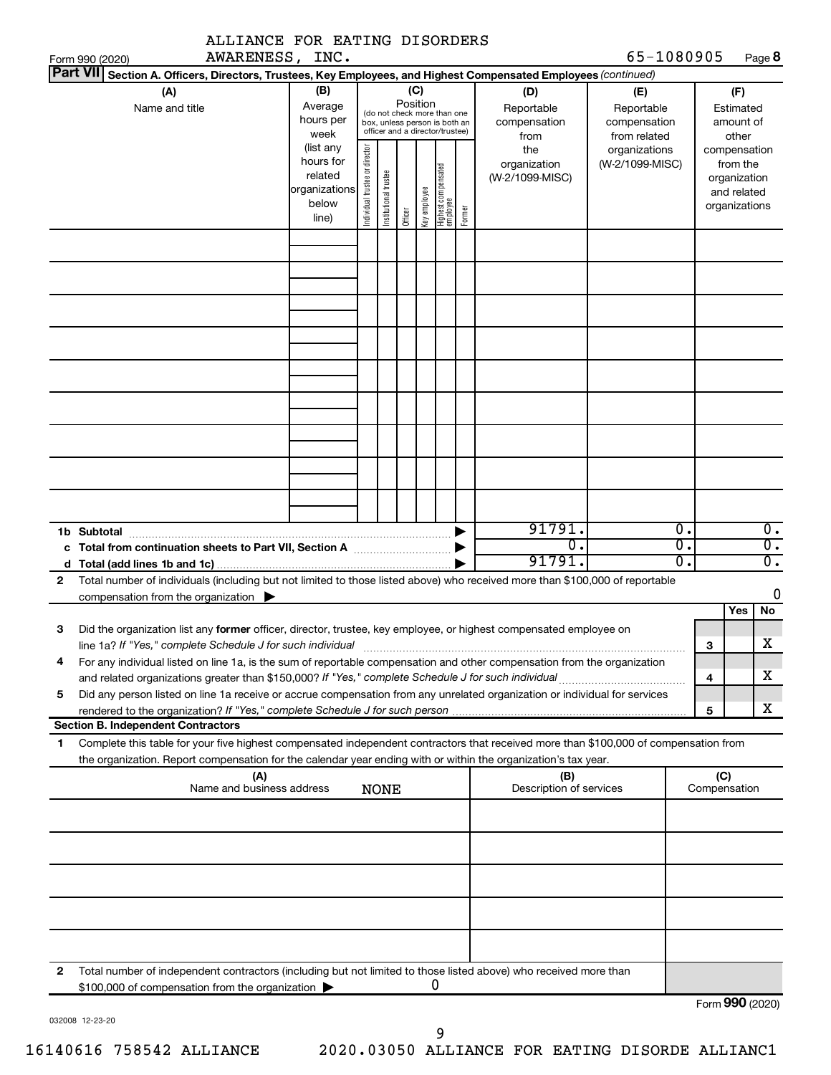| ALLIANCE FOR EATING DISORDERS                                                                                                                                                                                                                               |                                                                      |                                |                       |         |              |                                                                                                 |        |                                           |                                                   |                        |                                                                          |                                      |
|-------------------------------------------------------------------------------------------------------------------------------------------------------------------------------------------------------------------------------------------------------------|----------------------------------------------------------------------|--------------------------------|-----------------------|---------|--------------|-------------------------------------------------------------------------------------------------|--------|-------------------------------------------|---------------------------------------------------|------------------------|--------------------------------------------------------------------------|--------------------------------------|
| AWARENESS, INC.<br>Form 990 (2020)                                                                                                                                                                                                                          |                                                                      |                                |                       |         |              |                                                                                                 |        |                                           | 65-1080905                                        |                        |                                                                          | Page 8                               |
| Part VII Section A. Officers, Directors, Trustees, Key Employees, and Highest Compensated Employees (continued)<br>(A)<br>Name and title                                                                                                                    | (B)<br>Average<br>hours per<br>week                                  |                                |                       | (C)     | Position     | (do not check more than one<br>box, unless person is both an<br>officer and a director/trustee) |        | (D)<br>Reportable<br>compensation<br>from | (E)<br>Reportable<br>compensation<br>from related |                        | (F)<br>Estimated<br>amount of<br>other                                   |                                      |
|                                                                                                                                                                                                                                                             | (list any<br>hours for<br>related<br>organizations<br>below<br>line) | Individual trustee or director | Institutional trustee | Officer | Key employee | Highest compensated<br>employee                                                                 | Former | the<br>organization<br>(W-2/1099-MISC)    | organizations<br>(W-2/1099-MISC)                  |                        | compensation<br>from the<br>organization<br>and related<br>organizations |                                      |
|                                                                                                                                                                                                                                                             |                                                                      |                                |                       |         |              |                                                                                                 |        |                                           |                                                   |                        |                                                                          |                                      |
|                                                                                                                                                                                                                                                             |                                                                      |                                |                       |         |              |                                                                                                 |        |                                           |                                                   |                        |                                                                          |                                      |
|                                                                                                                                                                                                                                                             |                                                                      |                                |                       |         |              |                                                                                                 |        |                                           |                                                   |                        |                                                                          |                                      |
|                                                                                                                                                                                                                                                             |                                                                      |                                |                       |         |              |                                                                                                 |        |                                           |                                                   |                        |                                                                          |                                      |
| 1b Subtotal                                                                                                                                                                                                                                                 |                                                                      |                                |                       |         |              |                                                                                                 |        | 91791.<br>σ.                              |                                                   | $\overline{0}$ .<br>σ. |                                                                          | $\overline{0}$ .<br>$\overline{0}$ . |
|                                                                                                                                                                                                                                                             |                                                                      |                                |                       |         |              |                                                                                                 |        | 91791.                                    |                                                   | σ.                     |                                                                          | $\overline{\mathfrak{0}}$ .          |
| Total number of individuals (including but not limited to those listed above) who received more than \$100,000 of reportable<br>$\mathbf{2}$                                                                                                                |                                                                      |                                |                       |         |              |                                                                                                 |        |                                           |                                                   |                        |                                                                          | 0                                    |
| compensation from the organization $\blacktriangleright$                                                                                                                                                                                                    |                                                                      |                                |                       |         |              |                                                                                                 |        |                                           |                                                   |                        | Yes                                                                      | No                                   |
| Did the organization list any former officer, director, trustee, key employee, or highest compensated employee on<br>З<br>line 1a? If "Yes," complete Schedule J for such individual                                                                        |                                                                      |                                |                       |         |              |                                                                                                 |        |                                           |                                                   |                        | З                                                                        | $\overline{\textbf{X}}$              |
| For any individual listed on line 1a, is the sum of reportable compensation and other compensation from the organization<br>4                                                                                                                               |                                                                      |                                |                       |         |              |                                                                                                 |        |                                           |                                                   |                        | 4                                                                        | x                                    |
| Did any person listed on line 1a receive or accrue compensation from any unrelated organization or individual for services<br>5                                                                                                                             |                                                                      |                                |                       |         |              |                                                                                                 |        |                                           |                                                   |                        |                                                                          |                                      |
| <b>Section B. Independent Contractors</b>                                                                                                                                                                                                                   |                                                                      |                                |                       |         |              |                                                                                                 |        |                                           |                                                   |                        | 5                                                                        | X                                    |
| Complete this table for your five highest compensated independent contractors that received more than \$100,000 of compensation from<br>1<br>the organization. Report compensation for the calendar year ending with or within the organization's tax year. |                                                                      |                                |                       |         |              |                                                                                                 |        |                                           |                                                   |                        |                                                                          |                                      |
| (A)<br>Name and business address                                                                                                                                                                                                                            |                                                                      |                                | <b>NONE</b>           |         |              |                                                                                                 |        | (B)<br>Description of services            |                                                   |                        | (C)<br>Compensation                                                      |                                      |
|                                                                                                                                                                                                                                                             |                                                                      |                                |                       |         |              |                                                                                                 |        |                                           |                                                   |                        |                                                                          |                                      |
|                                                                                                                                                                                                                                                             |                                                                      |                                |                       |         |              |                                                                                                 |        |                                           |                                                   |                        |                                                                          |                                      |
|                                                                                                                                                                                                                                                             |                                                                      |                                |                       |         |              |                                                                                                 |        |                                           |                                                   |                        |                                                                          |                                      |
|                                                                                                                                                                                                                                                             |                                                                      |                                |                       |         |              |                                                                                                 |        |                                           |                                                   |                        |                                                                          |                                      |
| Total number of independent contractors (including but not limited to those listed above) who received more than<br>2<br>\$100,000 of compensation from the organization                                                                                    |                                                                      |                                |                       |         | 0            |                                                                                                 |        |                                           |                                                   |                        |                                                                          |                                      |
|                                                                                                                                                                                                                                                             |                                                                      |                                |                       |         |              |                                                                                                 |        |                                           |                                                   |                        | Form 990 (2020)                                                          |                                      |

032008 12-23-20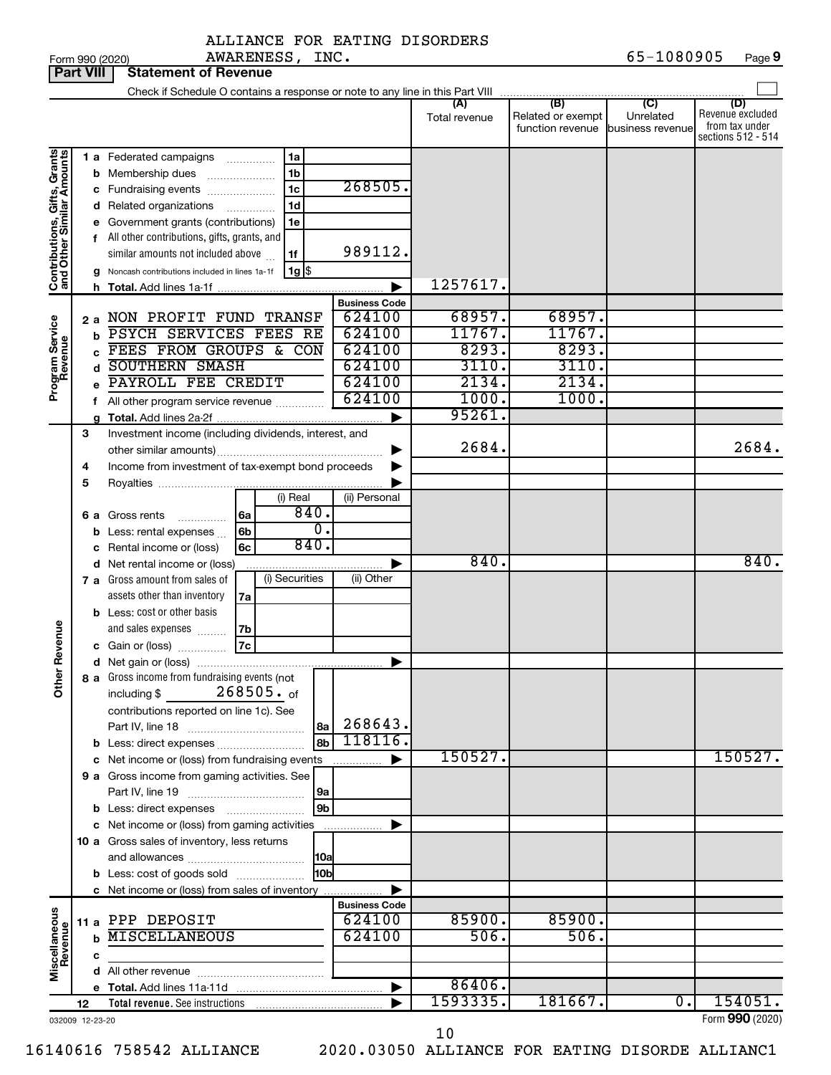| <b>Part VIII</b>                                          |    |   | <b>Statement of Revenue</b>                                                                  |                      |                      |                                                               |                             |                                                                 |
|-----------------------------------------------------------|----|---|----------------------------------------------------------------------------------------------|----------------------|----------------------|---------------------------------------------------------------|-----------------------------|-----------------------------------------------------------------|
|                                                           |    |   | Check if Schedule O contains a response or note to any line in this Part VIII                |                      |                      |                                                               |                             |                                                                 |
|                                                           |    |   |                                                                                              |                      | (A)<br>Total revenue | (B)<br>Related or exempt<br>function revenue business revenue | $\overline{C}$<br>Unrelated | (D)<br>Revenue excluded<br>from tax under<br>sections 512 - 514 |
|                                                           |    |   | 1 a Federated campaigns<br>1a                                                                |                      |                      |                                                               |                             |                                                                 |
|                                                           |    |   | 1 <sub>b</sub><br><b>b</b> Membership dues<br>$\ldots \ldots \ldots \ldots$                  |                      |                      |                                                               |                             |                                                                 |
|                                                           |    |   | 1 <sub>c</sub><br>c Fundraising events                                                       | 268505.              |                      |                                                               |                             |                                                                 |
|                                                           |    |   | 1 <sub>d</sub><br>d Related organizations<br>.                                               |                      |                      |                                                               |                             |                                                                 |
| Contributions, Gifts, Grants<br>and Other Similar Amounts |    |   | 1e<br>Government grants (contributions)                                                      |                      |                      |                                                               |                             |                                                                 |
|                                                           |    |   | f All other contributions, gifts, grants, and                                                |                      |                      |                                                               |                             |                                                                 |
|                                                           |    |   | similar amounts not included above<br>1f                                                     | 989112.              |                      |                                                               |                             |                                                                 |
|                                                           |    |   | $1g$ \$<br>Noncash contributions included in lines 1a-1f                                     |                      |                      |                                                               |                             |                                                                 |
|                                                           |    |   |                                                                                              |                      | 1257617.             |                                                               |                             |                                                                 |
|                                                           |    |   |                                                                                              | <b>Business Code</b> |                      |                                                               |                             |                                                                 |
|                                                           | 2а |   | NON PROFIT FUND TRANSF<br>PSYCH SERVICES FEES RE                                             | 624100<br>624100     | 68957.<br>11767.     | 68957.<br>11767.                                              |                             |                                                                 |
| Program Service<br>Revenue                                |    | b | FEES FROM GROUPS & CON                                                                       | 624100               | 8293.                | 8293.                                                         |                             |                                                                 |
|                                                           |    | d | <b>SOUTHERN SMASH</b>                                                                        | 624100               | 3110.                | 3110.                                                         |                             |                                                                 |
|                                                           |    |   | PAYROLL FEE CREDIT                                                                           | 624100               | 2134.                | 2134.                                                         |                             |                                                                 |
|                                                           |    |   | f All other program service revenue                                                          | 624100               | 1000.                | 1000.                                                         |                             |                                                                 |
|                                                           |    |   |                                                                                              |                      | 95261.               |                                                               |                             |                                                                 |
|                                                           | 3  |   | Investment income (including dividends, interest, and                                        |                      |                      |                                                               |                             |                                                                 |
|                                                           |    |   |                                                                                              |                      | 2684.                |                                                               |                             | 2684.                                                           |
|                                                           | 4  |   | Income from investment of tax-exempt bond proceeds                                           |                      |                      |                                                               |                             |                                                                 |
|                                                           | 5  |   |                                                                                              |                      |                      |                                                               |                             |                                                                 |
|                                                           |    |   | (i) Real                                                                                     | (ii) Personal        |                      |                                                               |                             |                                                                 |
|                                                           | 6а |   | 840.<br>Gross rents<br>6a                                                                    |                      |                      |                                                               |                             |                                                                 |
|                                                           |    |   | $\overline{0}$ .<br>6 <sub>b</sub><br>Less: rental expenses                                  |                      |                      |                                                               |                             |                                                                 |
|                                                           |    | с | 840.<br>6c<br>Rental income or (loss)                                                        |                      |                      |                                                               |                             |                                                                 |
|                                                           |    |   | d Net rental income or (loss)                                                                |                      | 840.                 |                                                               |                             | 840.                                                            |
|                                                           |    |   | (i) Securities<br>7 a Gross amount from sales of                                             | (ii) Other           |                      |                                                               |                             |                                                                 |
|                                                           |    |   | assets other than inventory<br>7a<br><b>b</b> Less: cost or other basis                      |                      |                      |                                                               |                             |                                                                 |
|                                                           |    |   | and sales expenses<br>7b                                                                     |                      |                      |                                                               |                             |                                                                 |
| Revenue                                                   |    |   | 7c<br>c Gain or (loss)                                                                       |                      |                      |                                                               |                             |                                                                 |
|                                                           |    |   |                                                                                              | ▶                    |                      |                                                               |                             |                                                                 |
|                                                           |    |   | 8 a Gross income from fundraising events (not                                                |                      |                      |                                                               |                             |                                                                 |
| $\tilde{\epsilon}$                                        |    |   | $268505.$ of<br>including \$                                                                 |                      |                      |                                                               |                             |                                                                 |
|                                                           |    |   | contributions reported on line 1c). See                                                      |                      |                      |                                                               |                             |                                                                 |
|                                                           |    |   | 8a                                                                                           | 268643.              |                      |                                                               |                             |                                                                 |
|                                                           |    |   | 8b                                                                                           | 118116.              |                      |                                                               |                             |                                                                 |
|                                                           |    |   | c Net income or (loss) from fundraising events                                               |                      | 150527.              |                                                               |                             | 150527.                                                         |
|                                                           |    |   | 9 a Gross income from gaming activities. See                                                 |                      |                      |                                                               |                             |                                                                 |
|                                                           |    |   | 9a                                                                                           |                      |                      |                                                               |                             |                                                                 |
|                                                           |    |   | 9 <sub>b</sub>                                                                               |                      |                      |                                                               |                             |                                                                 |
|                                                           |    |   | c Net income or (loss) from gaming activities<br>10 a Gross sales of inventory, less returns |                      |                      |                                                               |                             |                                                                 |
|                                                           |    |   | 10a                                                                                          |                      |                      |                                                               |                             |                                                                 |
|                                                           |    |   | 10bl<br><b>b</b> Less: cost of goods sold                                                    |                      |                      |                                                               |                             |                                                                 |
|                                                           |    |   | c Net income or (loss) from sales of inventory                                               |                      |                      |                                                               |                             |                                                                 |
|                                                           |    |   |                                                                                              | <b>Business Code</b> |                      |                                                               |                             |                                                                 |
|                                                           |    |   | 11 a PPP DEPOSIT                                                                             | 624100               | 85900.               | 85900.                                                        |                             |                                                                 |
| Miscellaneous<br>Revenue                                  |    | b | <b>MISCELLANEOUS</b>                                                                         | 624100               | 506.                 | 506.                                                          |                             |                                                                 |
|                                                           |    | c |                                                                                              |                      |                      |                                                               |                             |                                                                 |
|                                                           |    |   |                                                                                              |                      |                      |                                                               |                             |                                                                 |
|                                                           |    |   |                                                                                              | ▶                    | 86406.               |                                                               |                             |                                                                 |
|                                                           | 12 |   |                                                                                              |                      | 1593335.             | 181667.                                                       | $\overline{0}$ .            | 154051.                                                         |
| 032009 12-23-20                                           |    |   |                                                                                              |                      |                      |                                                               |                             | Form 990 (2020)                                                 |

10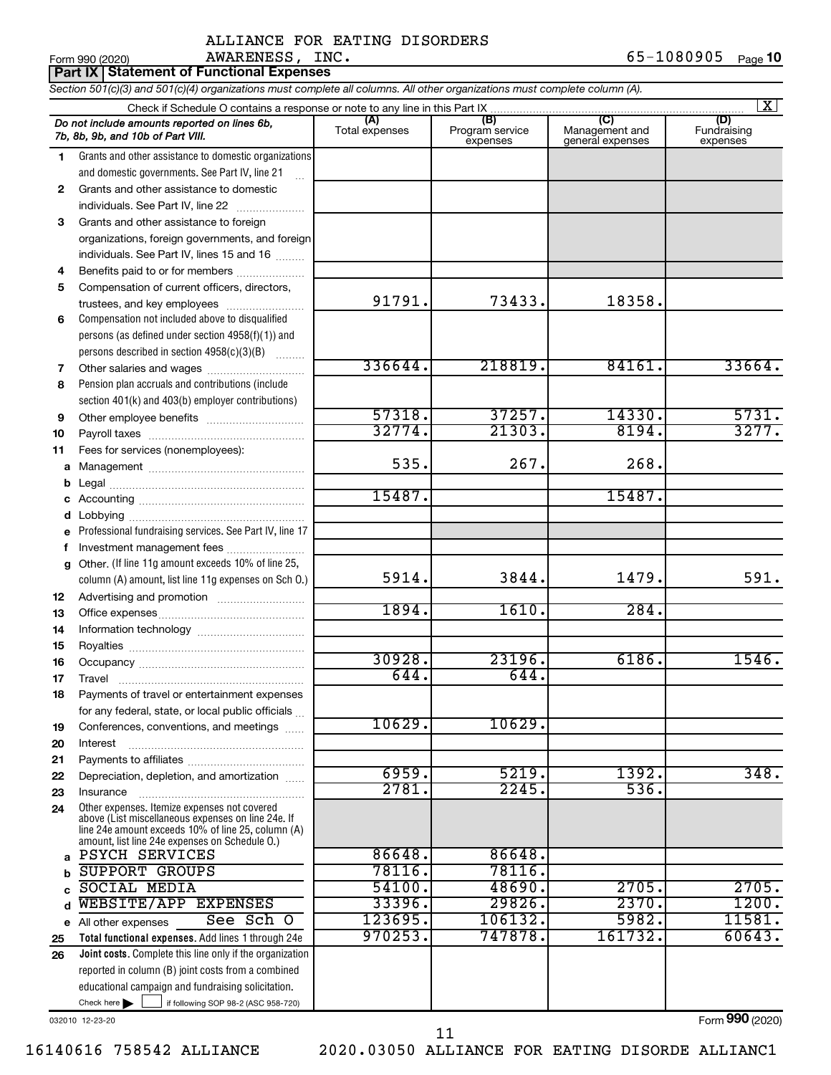| Form 990 (2020) | AWARENESS,                                      | INC. | 65-1080905 | Page <b>10</b> |
|-----------------|-------------------------------------------------|------|------------|----------------|
|                 | <b>Part IX Statement of Functional Expenses</b> |      |            |                |

*Section 501(c)(3) and 501(c)(4) organizations must complete all columns. All other organizations must complete column (A).*

| $\overline{\mathbf{x}}$ |                                                                                                                                                                                                            |                       |                                    |                                           |                                |  |  |
|-------------------------|------------------------------------------------------------------------------------------------------------------------------------------------------------------------------------------------------------|-----------------------|------------------------------------|-------------------------------------------|--------------------------------|--|--|
|                         | Do not include amounts reported on lines 6b,<br>7b, 8b, 9b, and 10b of Part VIII.                                                                                                                          | (A)<br>Total expenses | (B)<br>Program service<br>expenses | (C)<br>Management and<br>general expenses | (D)<br>Fundraising<br>expenses |  |  |
| 1                       | Grants and other assistance to domestic organizations                                                                                                                                                      |                       |                                    |                                           |                                |  |  |
|                         | and domestic governments. See Part IV, line 21                                                                                                                                                             |                       |                                    |                                           |                                |  |  |
| $\mathbf{2}$            | Grants and other assistance to domestic                                                                                                                                                                    |                       |                                    |                                           |                                |  |  |
|                         | individuals. See Part IV, line 22                                                                                                                                                                          |                       |                                    |                                           |                                |  |  |
| 3                       | Grants and other assistance to foreign                                                                                                                                                                     |                       |                                    |                                           |                                |  |  |
|                         | organizations, foreign governments, and foreign                                                                                                                                                            |                       |                                    |                                           |                                |  |  |
|                         | individuals. See Part IV, lines 15 and 16                                                                                                                                                                  |                       |                                    |                                           |                                |  |  |
| 4                       | Benefits paid to or for members                                                                                                                                                                            |                       |                                    |                                           |                                |  |  |
| 5                       | Compensation of current officers, directors,                                                                                                                                                               |                       |                                    |                                           |                                |  |  |
|                         | trustees, and key employees                                                                                                                                                                                | 91791.                | 73433.                             | 18358.                                    |                                |  |  |
| 6                       | Compensation not included above to disqualified                                                                                                                                                            |                       |                                    |                                           |                                |  |  |
|                         | persons (as defined under section 4958(f)(1)) and                                                                                                                                                          |                       |                                    |                                           |                                |  |  |
|                         | persons described in section 4958(c)(3)(B)                                                                                                                                                                 |                       |                                    |                                           |                                |  |  |
| 7                       |                                                                                                                                                                                                            | 336644.               | 218819.                            | 84161.                                    | 33664.                         |  |  |
| 8                       | Pension plan accruals and contributions (include                                                                                                                                                           |                       |                                    |                                           |                                |  |  |
|                         | section 401(k) and 403(b) employer contributions)                                                                                                                                                          | 57318.                | 37257.                             | 14330.                                    | 5731.                          |  |  |
| 9                       |                                                                                                                                                                                                            | 32774.                | 21303.                             | 8194.                                     | 3277.                          |  |  |
| 10                      |                                                                                                                                                                                                            |                       |                                    |                                           |                                |  |  |
| 11                      | Fees for services (nonemployees):                                                                                                                                                                          | 535.                  | 267.                               | 268.                                      |                                |  |  |
| а                       |                                                                                                                                                                                                            |                       |                                    |                                           |                                |  |  |
| b                       |                                                                                                                                                                                                            | 15487.                |                                    | 15487.                                    |                                |  |  |
| с                       |                                                                                                                                                                                                            |                       |                                    |                                           |                                |  |  |
| d                       | Professional fundraising services. See Part IV, line 17                                                                                                                                                    |                       |                                    |                                           |                                |  |  |
| е<br>f                  | Investment management fees                                                                                                                                                                                 |                       |                                    |                                           |                                |  |  |
| g                       | Other. (If line 11g amount exceeds 10% of line 25,                                                                                                                                                         |                       |                                    |                                           |                                |  |  |
|                         | column (A) amount, list line 11g expenses on Sch O.)                                                                                                                                                       | 5914.                 | 3844.                              | 1479.                                     | 591.                           |  |  |
| 12                      |                                                                                                                                                                                                            |                       |                                    |                                           |                                |  |  |
| 13                      |                                                                                                                                                                                                            | 1894.                 | 1610.                              | 284.                                      |                                |  |  |
| 14                      |                                                                                                                                                                                                            |                       |                                    |                                           |                                |  |  |
| 15                      |                                                                                                                                                                                                            |                       |                                    |                                           |                                |  |  |
| 16                      |                                                                                                                                                                                                            | 30928.                | 23196.                             | 6186.                                     | 1546.                          |  |  |
| 17                      | Travel                                                                                                                                                                                                     | 644.                  | 644.                               |                                           |                                |  |  |
| 18                      | Payments of travel or entertainment expenses                                                                                                                                                               |                       |                                    |                                           |                                |  |  |
|                         | for any federal, state, or local public officials                                                                                                                                                          |                       |                                    |                                           |                                |  |  |
| 19                      | Conferences, conventions, and meetings                                                                                                                                                                     | 10629.                | 10629.                             |                                           |                                |  |  |
| 20                      | Interest                                                                                                                                                                                                   |                       |                                    |                                           |                                |  |  |
| 21                      |                                                                                                                                                                                                            |                       |                                    |                                           |                                |  |  |
| 22                      | Depreciation, depletion, and amortization                                                                                                                                                                  | 6959.                 | 5219.                              | 1392.                                     | 348.                           |  |  |
| 23                      | Insurance                                                                                                                                                                                                  | 2781.                 | 2245.                              | 536.                                      |                                |  |  |
| 24                      | Other expenses. Itemize expenses not covered<br>above (List miscellaneous expenses on line 24e. If<br>line 24e amount exceeds 10% of line 25, column (A)<br>amount, list line 24e expenses on Schedule O.) |                       |                                    |                                           |                                |  |  |
| a                       | <b>PSYCH SERVICES</b>                                                                                                                                                                                      | 86648.                | 86648.                             |                                           |                                |  |  |
| b                       | <b>SUPPORT GROUPS</b>                                                                                                                                                                                      | 78116.                | 78116.                             |                                           |                                |  |  |
|                         | <b>SOCIAL MEDIA</b>                                                                                                                                                                                        | 54100.                | 48690.                             | 2705.                                     | 2705.                          |  |  |
| d                       | WEBSITE/APP EXPENSES                                                                                                                                                                                       | 33396.                | 29826.                             | 2370.                                     | 1200.                          |  |  |
|                         | See Sch O<br>e All other expenses                                                                                                                                                                          | 123695.               | 106132.                            | 5982.                                     | 11581.                         |  |  |
| 25                      | Total functional expenses. Add lines 1 through 24e                                                                                                                                                         | 970253.               | 747878.                            | 161732.                                   | 60643.                         |  |  |
| 26                      | Joint costs. Complete this line only if the organization                                                                                                                                                   |                       |                                    |                                           |                                |  |  |
|                         | reported in column (B) joint costs from a combined                                                                                                                                                         |                       |                                    |                                           |                                |  |  |
|                         | educational campaign and fundraising solicitation.                                                                                                                                                         |                       |                                    |                                           |                                |  |  |
|                         | Check here $\blacktriangleright$<br>if following SOP 98-2 (ASC 958-720)                                                                                                                                    |                       |                                    |                                           |                                |  |  |
|                         | 032010 12-23-20                                                                                                                                                                                            |                       |                                    |                                           | Form 990 (2020)                |  |  |

032010 12-23-20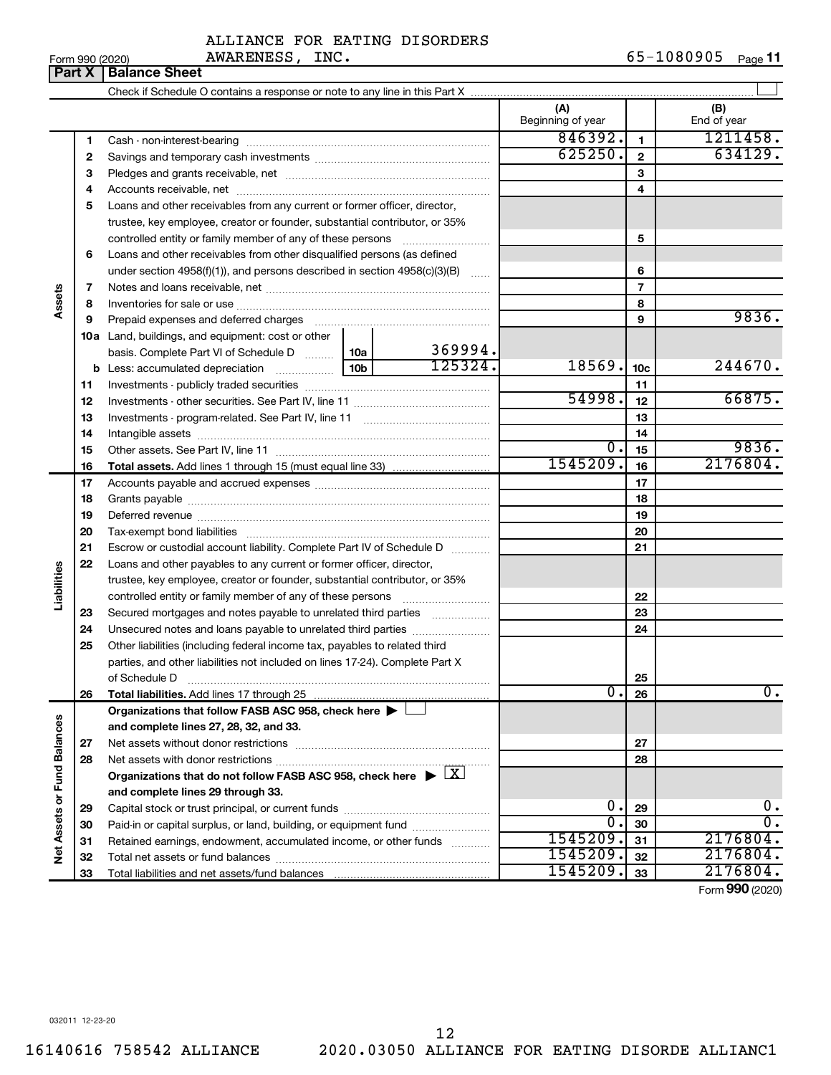|  | Form 990 (2020) |
|--|-----------------|
|  |                 |

AWARENESS, INC.

#### **Part X** | Balance Sheet  $\perp$ Check if Schedule O contains a response or note to any line in this Part X **(A) (B)** Beginning of year | | End of year  $846392.$  1211458. **1 1** Cash - non-interest-bearing ~~~~~~~~~~~~~~~~~~~~~~~~~ 625250. 634129. **2 2** Savings and temporary cash investments ~~~~~~~~~~~~~~~~~~ **3 3** Pledges and grants receivable, net ~~~~~~~~~~~~~~~~~~~~~ **4 4** Accounts receivable, net ~~~~~~~~~~~~~~~~~~~~~~~~~~ **5** Loans and other receivables from any current or former officer, director, trustee, key employee, creator or founder, substantial contributor, or 35% controlled entity or family member of any of these persons ~~~~~~~~~ **5 6** Loans and other receivables from other disqualified persons (as defined under section 4958(f)(1)), and persons described in section  $4958(c)(3)(B)$  ...... **6 7 7** Notes and loans receivable, net ~~~~~~~~~~~~~~~~~~~~~~~ **Assets 8 8** Inventories for sale or use ~~~~~~~~~~~~~~~~~~~~~~~~~~ **9** 9836. **9** Prepaid expenses and deferred charges ~~~~~~~~~~~~~~~~~~ **10 a** Land, buildings, and equipment: cost or other 369994. basis. Complete Part VI of Schedule D  $\frac{1}{10}$  10a  $125324.$  18569.  $10c$  244670. **10c b** Less: accumulated depreciation  $\ldots$  [10b **11 11** Investments - publicly traded securities ~~~~~~~~~~~~~~~~~~~  $54998.$   $12$  66875. **12 12** Investments - other securities. See Part IV, line 11 ~~~~~~~~~~~~~~ **13 13** Investments - program-related. See Part IV, line 11 ~~~~~~~~~~~~~ **14 14** Intangible assets ~~~~~~~~~~~~~~~~~~~~~~~~~~~~~~ Other assets. See Part IV, line 11 ~~~~~~~~~~~~~~~~~~~~~~  $0.1_{15}$  9836. **15 15** 1545209. 2176804. **16 16 Total assets.**  Add lines 1 through 15 (must equal line 33) **17 17** Accounts payable and accrued expenses ~~~~~~~~~~~~~~~~~~ **18 18** Grants payable ~~~~~~~~~~~~~~~~~~~~~~~~~~~~~~~ **19 19** Deferred revenue ~~~~~~~~~~~~~~~~~~~~~~~~~~~~~~ **20 20** Tax-exempt bond liabilities ~~~~~~~~~~~~~~~~~~~~~~~~~ **21 21** Escrow or custodial account liability. Complete Part IV of Schedule D ........... **22** Loans and other payables to any current or former officer, director, **Liabilities** trustee, key employee, creator or founder, substantial contributor, or 35% **22** controlled entity or family member of any of these persons ~~~~~~~~~ **23** Secured mortgages and notes payable to unrelated third parties  $\ldots$ ................. **23 24** Unsecured notes and loans payable to unrelated third parties **24 25** Other liabilities (including federal income tax, payables to related third parties, and other liabilities not included on lines 17-24). Complete Part X of Schedule D ~~~~~~~~~~~~~~~~~~~~~~~~~~~~~~~ **25 26**  $0.26$  0. **26 Total liabilities.**  Add lines 17 through 25 **Organizations that follow FASB ASC 958, check here** | † Net Assets or Fund Balances **Net Assets or Fund Balances and complete lines 27, 28, 32, and 33. 27 27** Net assets without donor restrictions ~~~~~~~~~~~~~~~~~~~~ **28 28** Net assets with donor restrictions ~~~~~~~~~~~~~~~~~~~~~~ Organizations that do not follow FASB ASC 958, check here  $\blacktriangleright \boxed{\text{X}}$ **and complete lines 29 through 33.**  $0.1_{29}$  0. **29 29** Capital stock or trust principal, or current funds ~~~~~~~~~~~~~~~  $0.30$  0. **30 30** Paid-in or capital surplus, or land, building, or equipment fund ....................... 1545209. 2176804. **31 31** Retained earnings, endowment, accumulated income, or other funds ............ Total net assets or fund balances ~~~~~~~~~~~~~~~~~~~~~~ 1545209. 2176804. **32 32** 1545209. 2176804. **33** Total liabilities and net assets/fund balances **33**

Form (2020) **990**

032011 12-23-20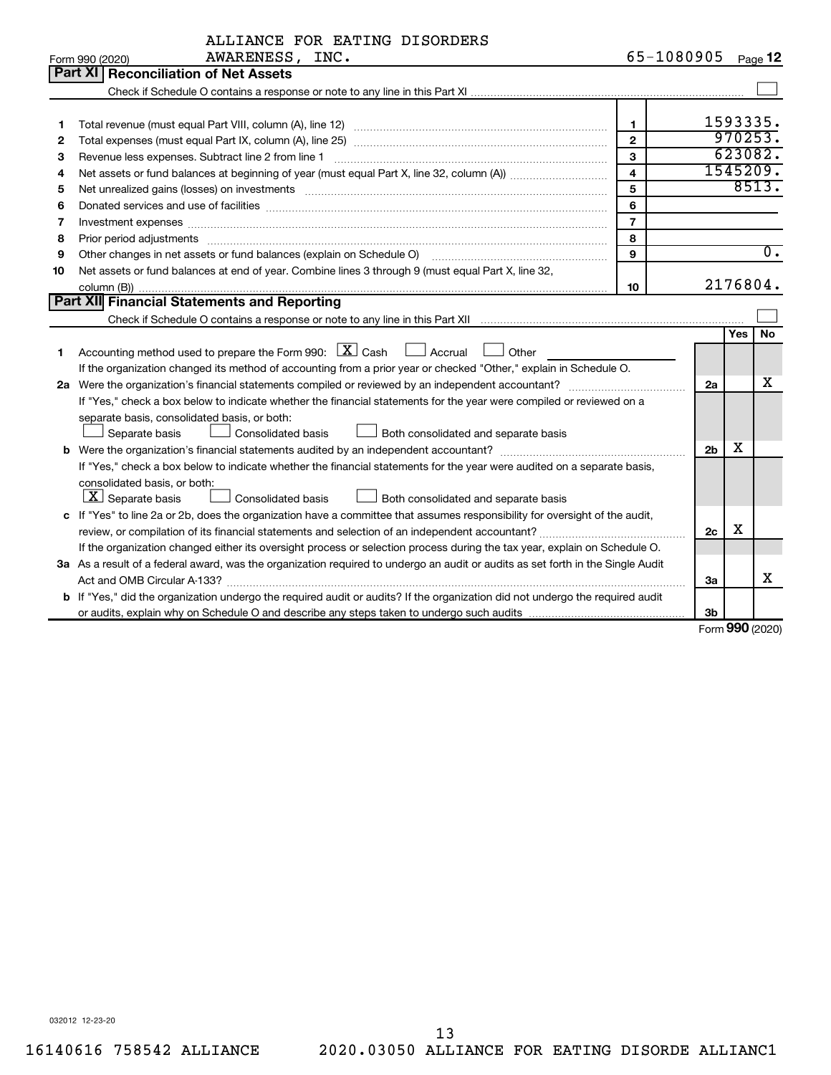|    | ALLIANCE FOR EATING DISORDERS                                                                                                                                                                                                  |                         |                |     |                  |
|----|--------------------------------------------------------------------------------------------------------------------------------------------------------------------------------------------------------------------------------|-------------------------|----------------|-----|------------------|
|    | AWARENESS, INC.<br>Form 990 (2020)                                                                                                                                                                                             | 65-1080905              |                |     | Page 12          |
|    | Part XI   Reconciliation of Net Assets                                                                                                                                                                                         |                         |                |     |                  |
|    |                                                                                                                                                                                                                                |                         |                |     |                  |
|    |                                                                                                                                                                                                                                |                         |                |     |                  |
| 1  |                                                                                                                                                                                                                                | $\mathbf{1}$            |                |     | 1593335.         |
| 2  |                                                                                                                                                                                                                                | $\overline{2}$          |                |     | 970253.          |
| з  |                                                                                                                                                                                                                                | 3                       |                |     | 623082.          |
| 4  |                                                                                                                                                                                                                                | $\overline{\mathbf{4}}$ |                |     | 1545209.         |
| 5  | Net unrealized gains (losses) on investments [11] matter contracts and the state of the state of the state of the state of the state of the state of the state of the state of the state of the state of the state of the stat | 5                       |                |     | 8513.            |
| 6  |                                                                                                                                                                                                                                | 6                       |                |     |                  |
| 7  |                                                                                                                                                                                                                                | $\overline{7}$          |                |     |                  |
| 8  | Prior period adjustments www.communication.communication.communication.communication.com                                                                                                                                       | 8                       |                |     |                  |
| 9  | Other changes in net assets or fund balances (explain on Schedule O) [11] continuum manusculum manusculum manusculum manusculum manusculum manusculum manusculum manusculum manusculum manusculum manusculum manusculum manusc | 9                       |                |     | $\overline{0}$ . |
| 10 | Net assets or fund balances at end of year. Combine lines 3 through 9 (must equal Part X, line 32,                                                                                                                             |                         |                |     |                  |
|    |                                                                                                                                                                                                                                | 10                      |                |     | 2176804.         |
|    | Part XII Financial Statements and Reporting                                                                                                                                                                                    |                         |                |     |                  |
|    |                                                                                                                                                                                                                                |                         |                |     |                  |
|    |                                                                                                                                                                                                                                |                         |                | Yes | No               |
| 1  | Accounting method used to prepare the Form 990: $X \subset X$ Cash<br>$\Box$ Accrual<br>Other                                                                                                                                  |                         |                |     |                  |
|    | If the organization changed its method of accounting from a prior year or checked "Other," explain in Schedule O.                                                                                                              |                         |                |     |                  |
|    |                                                                                                                                                                                                                                |                         | 2a             |     | x                |
|    | If "Yes," check a box below to indicate whether the financial statements for the year were compiled or reviewed on a                                                                                                           |                         |                |     |                  |
|    | separate basis, consolidated basis, or both:                                                                                                                                                                                   |                         |                |     |                  |
|    | Separate basis<br>$\perp$ Consolidated basis<br>Both consolidated and separate basis                                                                                                                                           |                         |                |     |                  |
|    |                                                                                                                                                                                                                                |                         | 2 <sub>b</sub> | x.  |                  |
|    | If "Yes," check a box below to indicate whether the financial statements for the year were audited on a separate basis,                                                                                                        |                         |                |     |                  |
|    | consolidated basis, or both:                                                                                                                                                                                                   |                         |                |     |                  |
|    | $ \mathbf{X} $ Separate basis<br>Consolidated basis<br>Both consolidated and separate basis<br>$\Box$                                                                                                                          |                         |                |     |                  |
|    | c If "Yes" to line 2a or 2b, does the organization have a committee that assumes responsibility for oversight of the audit,                                                                                                    |                         |                |     |                  |
|    |                                                                                                                                                                                                                                |                         | 2c             | x   |                  |
|    | If the organization changed either its oversight process or selection process during the tax year, explain on Schedule O.                                                                                                      |                         |                |     |                  |
|    | 3a As a result of a federal award, was the organization required to undergo an audit or audits as set forth in the Single Audit                                                                                                |                         |                |     |                  |
|    | Act and OMB Circular A-133?                                                                                                                                                                                                    |                         | За             |     | х                |
|    | b If "Yes," did the organization undergo the required audit or audits? If the organization did not undergo the required audit                                                                                                  |                         |                |     |                  |
|    |                                                                                                                                                                                                                                |                         | 3b             |     |                  |

Form (2020) **990**

032012 12-23-20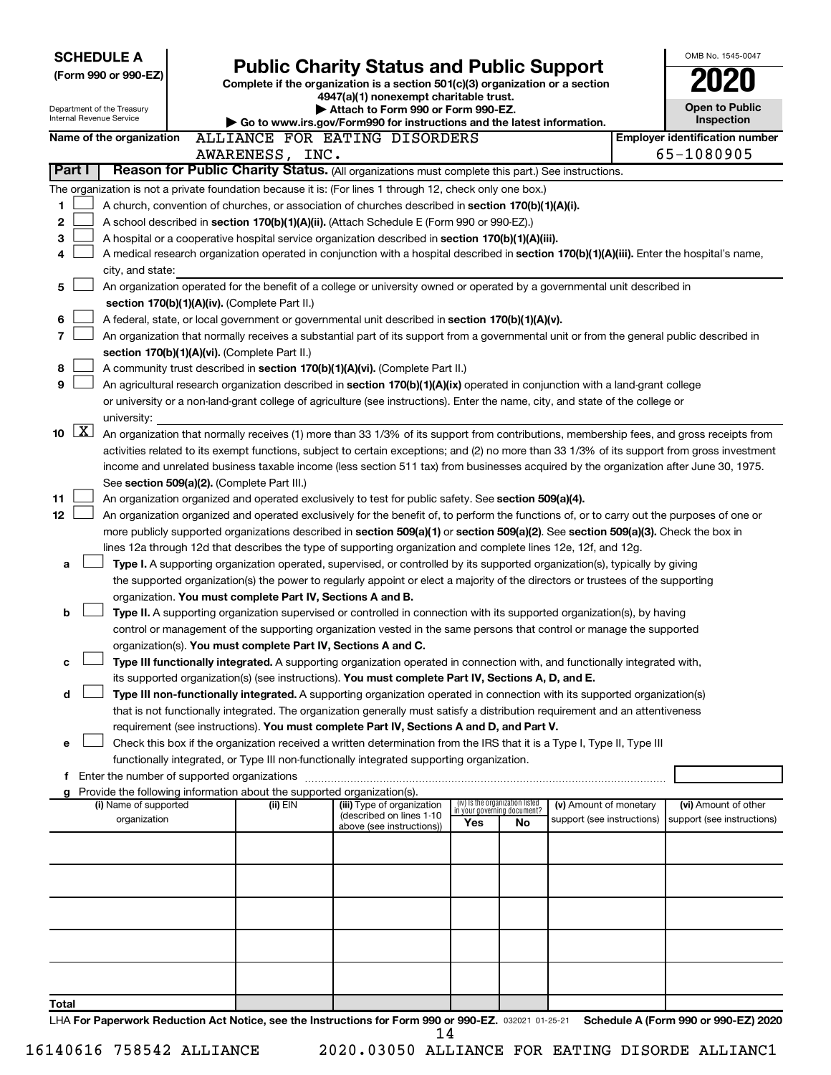| <b>SCHEDULE A</b>                                      |                                                                                                                                                                                                                                                                                       |                                                                                                                         |     |                                                                |                            |  | OMB No. 1545-0047                                   |
|--------------------------------------------------------|---------------------------------------------------------------------------------------------------------------------------------------------------------------------------------------------------------------------------------------------------------------------------------------|-------------------------------------------------------------------------------------------------------------------------|-----|----------------------------------------------------------------|----------------------------|--|-----------------------------------------------------|
| (Form 990 or 990-EZ)                                   |                                                                                                                                                                                                                                                                                       | <b>Public Charity Status and Public Support</b>                                                                         |     |                                                                |                            |  |                                                     |
|                                                        |                                                                                                                                                                                                                                                                                       | Complete if the organization is a section 501(c)(3) organization or a section<br>4947(a)(1) nonexempt charitable trust. |     |                                                                |                            |  |                                                     |
| Department of the Treasury<br>Internal Revenue Service |                                                                                                                                                                                                                                                                                       | Attach to Form 990 or Form 990-EZ.                                                                                      |     |                                                                |                            |  | <b>Open to Public</b>                               |
| Name of the organization                               |                                                                                                                                                                                                                                                                                       | Go to www.irs.gov/Form990 for instructions and the latest information.<br>ALLIANCE FOR EATING DISORDERS                 |     |                                                                |                            |  | Inspection<br><b>Employer identification number</b> |
|                                                        | AWARENESS, INC.                                                                                                                                                                                                                                                                       |                                                                                                                         |     |                                                                |                            |  | 65-1080905                                          |
| Part I                                                 | Reason for Public Charity Status. (All organizations must complete this part.) See instructions.                                                                                                                                                                                      |                                                                                                                         |     |                                                                |                            |  |                                                     |
|                                                        | The organization is not a private foundation because it is: (For lines 1 through 12, check only one box.)                                                                                                                                                                             |                                                                                                                         |     |                                                                |                            |  |                                                     |
| 1                                                      | A church, convention of churches, or association of churches described in section 170(b)(1)(A)(i).                                                                                                                                                                                    |                                                                                                                         |     |                                                                |                            |  |                                                     |
| $\mathbf 2$                                            | A school described in section 170(b)(1)(A)(ii). (Attach Schedule E (Form 990 or 990-EZ).)                                                                                                                                                                                             |                                                                                                                         |     |                                                                |                            |  |                                                     |
| 3                                                      | A hospital or a cooperative hospital service organization described in section 170(b)(1)(A)(iii).                                                                                                                                                                                     |                                                                                                                         |     |                                                                |                            |  |                                                     |
| 4                                                      | A medical research organization operated in conjunction with a hospital described in section 170(b)(1)(A)(iii). Enter the hospital's name,                                                                                                                                            |                                                                                                                         |     |                                                                |                            |  |                                                     |
| city, and state:                                       |                                                                                                                                                                                                                                                                                       |                                                                                                                         |     |                                                                |                            |  |                                                     |
| 5                                                      | An organization operated for the benefit of a college or university owned or operated by a governmental unit described in                                                                                                                                                             |                                                                                                                         |     |                                                                |                            |  |                                                     |
| 6                                                      | section 170(b)(1)(A)(iv). (Complete Part II.)<br>A federal, state, or local government or governmental unit described in section 170(b)(1)(A)(v).                                                                                                                                     |                                                                                                                         |     |                                                                |                            |  |                                                     |
| 7                                                      | An organization that normally receives a substantial part of its support from a governmental unit or from the general public described in                                                                                                                                             |                                                                                                                         |     |                                                                |                            |  |                                                     |
|                                                        | section 170(b)(1)(A)(vi). (Complete Part II.)                                                                                                                                                                                                                                         |                                                                                                                         |     |                                                                |                            |  |                                                     |
| 8                                                      | A community trust described in section 170(b)(1)(A)(vi). (Complete Part II.)                                                                                                                                                                                                          |                                                                                                                         |     |                                                                |                            |  |                                                     |
| 9                                                      | An agricultural research organization described in section 170(b)(1)(A)(ix) operated in conjunction with a land-grant college                                                                                                                                                         |                                                                                                                         |     |                                                                |                            |  |                                                     |
|                                                        | or university or a non-land-grant college of agriculture (see instructions). Enter the name, city, and state of the college or                                                                                                                                                        |                                                                                                                         |     |                                                                |                            |  |                                                     |
| university:                                            |                                                                                                                                                                                                                                                                                       |                                                                                                                         |     |                                                                |                            |  |                                                     |
| $\lfloor x \rfloor$<br>10                              | An organization that normally receives (1) more than 33 1/3% of its support from contributions, membership fees, and gross receipts from                                                                                                                                              |                                                                                                                         |     |                                                                |                            |  |                                                     |
|                                                        | activities related to its exempt functions, subject to certain exceptions; and (2) no more than 33 1/3% of its support from gross investment<br>income and unrelated business taxable income (less section 511 tax) from businesses acquired by the organization after June 30, 1975. |                                                                                                                         |     |                                                                |                            |  |                                                     |
|                                                        | See section 509(a)(2). (Complete Part III.)                                                                                                                                                                                                                                           |                                                                                                                         |     |                                                                |                            |  |                                                     |
| 11                                                     | An organization organized and operated exclusively to test for public safety. See section 509(a)(4).                                                                                                                                                                                  |                                                                                                                         |     |                                                                |                            |  |                                                     |
| 12                                                     | An organization organized and operated exclusively for the benefit of, to perform the functions of, or to carry out the purposes of one or                                                                                                                                            |                                                                                                                         |     |                                                                |                            |  |                                                     |
|                                                        | more publicly supported organizations described in section 509(a)(1) or section 509(a)(2). See section 509(a)(3). Check the box in                                                                                                                                                    |                                                                                                                         |     |                                                                |                            |  |                                                     |
|                                                        | lines 12a through 12d that describes the type of supporting organization and complete lines 12e, 12f, and 12g.                                                                                                                                                                        |                                                                                                                         |     |                                                                |                            |  |                                                     |
| a                                                      | Type I. A supporting organization operated, supervised, or controlled by its supported organization(s), typically by giving                                                                                                                                                           |                                                                                                                         |     |                                                                |                            |  |                                                     |
|                                                        | the supported organization(s) the power to regularly appoint or elect a majority of the directors or trustees of the supporting                                                                                                                                                       |                                                                                                                         |     |                                                                |                            |  |                                                     |
| b                                                      | organization. You must complete Part IV, Sections A and B.<br>Type II. A supporting organization supervised or controlled in connection with its supported organization(s), by having                                                                                                 |                                                                                                                         |     |                                                                |                            |  |                                                     |
|                                                        | control or management of the supporting organization vested in the same persons that control or manage the supported                                                                                                                                                                  |                                                                                                                         |     |                                                                |                            |  |                                                     |
|                                                        | organization(s). You must complete Part IV, Sections A and C.                                                                                                                                                                                                                         |                                                                                                                         |     |                                                                |                            |  |                                                     |
| c                                                      | Type III functionally integrated. A supporting organization operated in connection with, and functionally integrated with,                                                                                                                                                            |                                                                                                                         |     |                                                                |                            |  |                                                     |
|                                                        | its supported organization(s) (see instructions). You must complete Part IV, Sections A, D, and E.                                                                                                                                                                                    |                                                                                                                         |     |                                                                |                            |  |                                                     |
| d                                                      | Type III non-functionally integrated. A supporting organization operated in connection with its supported organization(s)                                                                                                                                                             |                                                                                                                         |     |                                                                |                            |  |                                                     |
|                                                        | that is not functionally integrated. The organization generally must satisfy a distribution requirement and an attentiveness                                                                                                                                                          |                                                                                                                         |     |                                                                |                            |  |                                                     |
| е                                                      | requirement (see instructions). You must complete Part IV, Sections A and D, and Part V.<br>Check this box if the organization received a written determination from the IRS that it is a Type I, Type II, Type III                                                                   |                                                                                                                         |     |                                                                |                            |  |                                                     |
|                                                        | functionally integrated, or Type III non-functionally integrated supporting organization.                                                                                                                                                                                             |                                                                                                                         |     |                                                                |                            |  |                                                     |
|                                                        | f Enter the number of supported organizations                                                                                                                                                                                                                                         |                                                                                                                         |     |                                                                |                            |  |                                                     |
| g                                                      | Provide the following information about the supported organization(s).                                                                                                                                                                                                                |                                                                                                                         |     |                                                                |                            |  |                                                     |
| (i) Name of supported                                  | (ii) EIN                                                                                                                                                                                                                                                                              | (iii) Type of organization<br>(described on lines 1-10                                                                  |     | (iv) Is the organization listed<br>in your governing document? | (v) Amount of monetary     |  | (vi) Amount of other                                |
| organization                                           |                                                                                                                                                                                                                                                                                       | above (see instructions))                                                                                               | Yes | No                                                             | support (see instructions) |  | support (see instructions)                          |
|                                                        |                                                                                                                                                                                                                                                                                       |                                                                                                                         |     |                                                                |                            |  |                                                     |
|                                                        |                                                                                                                                                                                                                                                                                       |                                                                                                                         |     |                                                                |                            |  |                                                     |
|                                                        |                                                                                                                                                                                                                                                                                       |                                                                                                                         |     |                                                                |                            |  |                                                     |
|                                                        |                                                                                                                                                                                                                                                                                       |                                                                                                                         |     |                                                                |                            |  |                                                     |
|                                                        |                                                                                                                                                                                                                                                                                       |                                                                                                                         |     |                                                                |                            |  |                                                     |
|                                                        |                                                                                                                                                                                                                                                                                       |                                                                                                                         |     |                                                                |                            |  |                                                     |
|                                                        |                                                                                                                                                                                                                                                                                       |                                                                                                                         |     |                                                                |                            |  |                                                     |
|                                                        |                                                                                                                                                                                                                                                                                       |                                                                                                                         |     |                                                                |                            |  |                                                     |
|                                                        |                                                                                                                                                                                                                                                                                       |                                                                                                                         |     |                                                                |                            |  |                                                     |
| Total                                                  | LHA For Paperwork Reduction Act Notice, see the Instructions for Form 990 or 990-EZ. 032021 01-25-21                                                                                                                                                                                  |                                                                                                                         |     |                                                                |                            |  | Schedule A (Form 990 or 990-EZ) 2020                |
|                                                        |                                                                                                                                                                                                                                                                                       | 14                                                                                                                      |     |                                                                |                            |  |                                                     |

| 16140616 758542 ALLIANCE |  |  |
|--------------------------|--|--|
|--------------------------|--|--|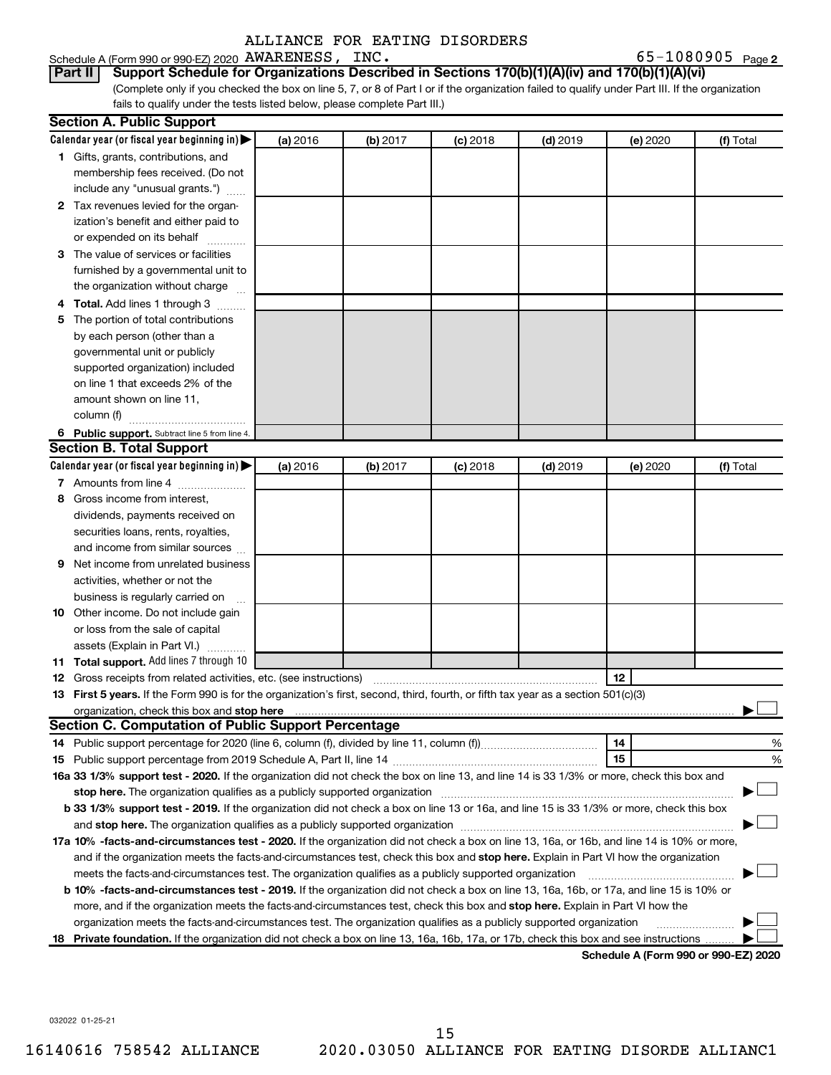#### Schedule A (Form 990 or 990-EZ) 2020 Page AWARENESS, INC. 65-1080905

65-1080905 Page 2

(Complete only if you checked the box on line 5, 7, or 8 of Part I or if the organization failed to qualify under Part III. If the organization fails to qualify under the tests listed below, please complete Part III.) **Part II Support Schedule for Organizations Described in Sections 170(b)(1)(A)(iv) and 170(b)(1)(A)(vi)**

|   | <b>Section A. Public Support</b>                                                                                                                                                                                                                              |          |          |            |            |          |           |
|---|---------------------------------------------------------------------------------------------------------------------------------------------------------------------------------------------------------------------------------------------------------------|----------|----------|------------|------------|----------|-----------|
|   | Calendar year (or fiscal year beginning in)                                                                                                                                                                                                                   | (a) 2016 | (b) 2017 | $(c)$ 2018 | $(d)$ 2019 | (e) 2020 | (f) Total |
|   | 1 Gifts, grants, contributions, and                                                                                                                                                                                                                           |          |          |            |            |          |           |
|   | membership fees received. (Do not                                                                                                                                                                                                                             |          |          |            |            |          |           |
|   | include any "unusual grants.")                                                                                                                                                                                                                                |          |          |            |            |          |           |
|   | 2 Tax revenues levied for the organ-                                                                                                                                                                                                                          |          |          |            |            |          |           |
|   | ization's benefit and either paid to                                                                                                                                                                                                                          |          |          |            |            |          |           |
|   | or expended on its behalf                                                                                                                                                                                                                                     |          |          |            |            |          |           |
|   | 3 The value of services or facilities                                                                                                                                                                                                                         |          |          |            |            |          |           |
|   | furnished by a governmental unit to                                                                                                                                                                                                                           |          |          |            |            |          |           |
|   | the organization without charge                                                                                                                                                                                                                               |          |          |            |            |          |           |
|   | 4 Total. Add lines 1 through 3                                                                                                                                                                                                                                |          |          |            |            |          |           |
|   | 5 The portion of total contributions                                                                                                                                                                                                                          |          |          |            |            |          |           |
|   | by each person (other than a                                                                                                                                                                                                                                  |          |          |            |            |          |           |
|   | governmental unit or publicly                                                                                                                                                                                                                                 |          |          |            |            |          |           |
|   | supported organization) included                                                                                                                                                                                                                              |          |          |            |            |          |           |
|   | on line 1 that exceeds 2% of the                                                                                                                                                                                                                              |          |          |            |            |          |           |
|   | amount shown on line 11,                                                                                                                                                                                                                                      |          |          |            |            |          |           |
|   | column (f)                                                                                                                                                                                                                                                    |          |          |            |            |          |           |
|   | 6 Public support. Subtract line 5 from line 4.                                                                                                                                                                                                                |          |          |            |            |          |           |
|   | <b>Section B. Total Support</b>                                                                                                                                                                                                                               |          |          |            |            |          |           |
|   | Calendar year (or fiscal year beginning in)                                                                                                                                                                                                                   | (a) 2016 | (b) 2017 | $(c)$ 2018 | $(d)$ 2019 | (e) 2020 | (f) Total |
|   | 7 Amounts from line 4                                                                                                                                                                                                                                         |          |          |            |            |          |           |
|   | 8 Gross income from interest,                                                                                                                                                                                                                                 |          |          |            |            |          |           |
|   | dividends, payments received on                                                                                                                                                                                                                               |          |          |            |            |          |           |
|   | securities loans, rents, royalties,                                                                                                                                                                                                                           |          |          |            |            |          |           |
|   | and income from similar sources                                                                                                                                                                                                                               |          |          |            |            |          |           |
| 9 | Net income from unrelated business                                                                                                                                                                                                                            |          |          |            |            |          |           |
|   | activities, whether or not the                                                                                                                                                                                                                                |          |          |            |            |          |           |
|   | business is regularly carried on                                                                                                                                                                                                                              |          |          |            |            |          |           |
|   | 10 Other income. Do not include gain                                                                                                                                                                                                                          |          |          |            |            |          |           |
|   | or loss from the sale of capital                                                                                                                                                                                                                              |          |          |            |            |          |           |
|   | assets (Explain in Part VI.)                                                                                                                                                                                                                                  |          |          |            |            |          |           |
|   | 11 Total support. Add lines 7 through 10                                                                                                                                                                                                                      |          |          |            |            |          |           |
|   | <b>12</b> Gross receipts from related activities, etc. (see instructions)                                                                                                                                                                                     |          |          |            |            | 12       |           |
|   | 13 First 5 years. If the Form 990 is for the organization's first, second, third, fourth, or fifth tax year as a section 501(c)(3)                                                                                                                            |          |          |            |            |          |           |
|   | organization, check this box and stop here <b>construction and construction</b> construction of the state of the state of the state of the state of the state of the state of the state of the state of the state of the state of t                           |          |          |            |            |          |           |
|   | <b>Section C. Computation of Public Support Percentage</b>                                                                                                                                                                                                    |          |          |            |            |          |           |
|   |                                                                                                                                                                                                                                                               |          |          |            |            | 14       | %         |
|   |                                                                                                                                                                                                                                                               |          |          |            |            | 15       | %         |
|   | 16a 33 1/3% support test - 2020. If the organization did not check the box on line 13, and line 14 is 33 1/3% or more, check this box and                                                                                                                     |          |          |            |            |          |           |
|   | stop here. The organization qualifies as a publicly supported organization                                                                                                                                                                                    |          |          |            |            |          |           |
|   | b 33 1/3% support test - 2019. If the organization did not check a box on line 13 or 16a, and line 15 is 33 1/3% or more, check this box                                                                                                                      |          |          |            |            |          |           |
|   |                                                                                                                                                                                                                                                               |          |          |            |            |          |           |
|   | 17a 10% -facts-and-circumstances test - 2020. If the organization did not check a box on line 13, 16a, or 16b, and line 14 is 10% or more,                                                                                                                    |          |          |            |            |          |           |
|   | and if the organization meets the facts-and-circumstances test, check this box and stop here. Explain in Part VI how the organization                                                                                                                         |          |          |            |            |          |           |
|   | meets the facts-and-circumstances test. The organization qualifies as a publicly supported organization                                                                                                                                                       |          |          |            |            |          |           |
|   | <b>b 10%</b> -facts-and-circumstances test - 2019. If the organization did not check a box on line 13, 16a, 16b, or 17a, and line 15 is 10% or                                                                                                                |          |          |            |            |          |           |
|   | more, and if the organization meets the facts-and-circumstances test, check this box and stop here. Explain in Part VI how the                                                                                                                                |          |          |            |            |          |           |
|   |                                                                                                                                                                                                                                                               |          |          |            |            |          |           |
|   | organization meets the facts-and-circumstances test. The organization qualifies as a publicly supported organization<br>18 Private foundation. If the organization did not check a box on line 13, 16a, 16b, 17a, or 17b, check this box and see instructions |          |          |            |            |          |           |

**Schedule A (Form 990 or 990-EZ) 2020**

032022 01-25-21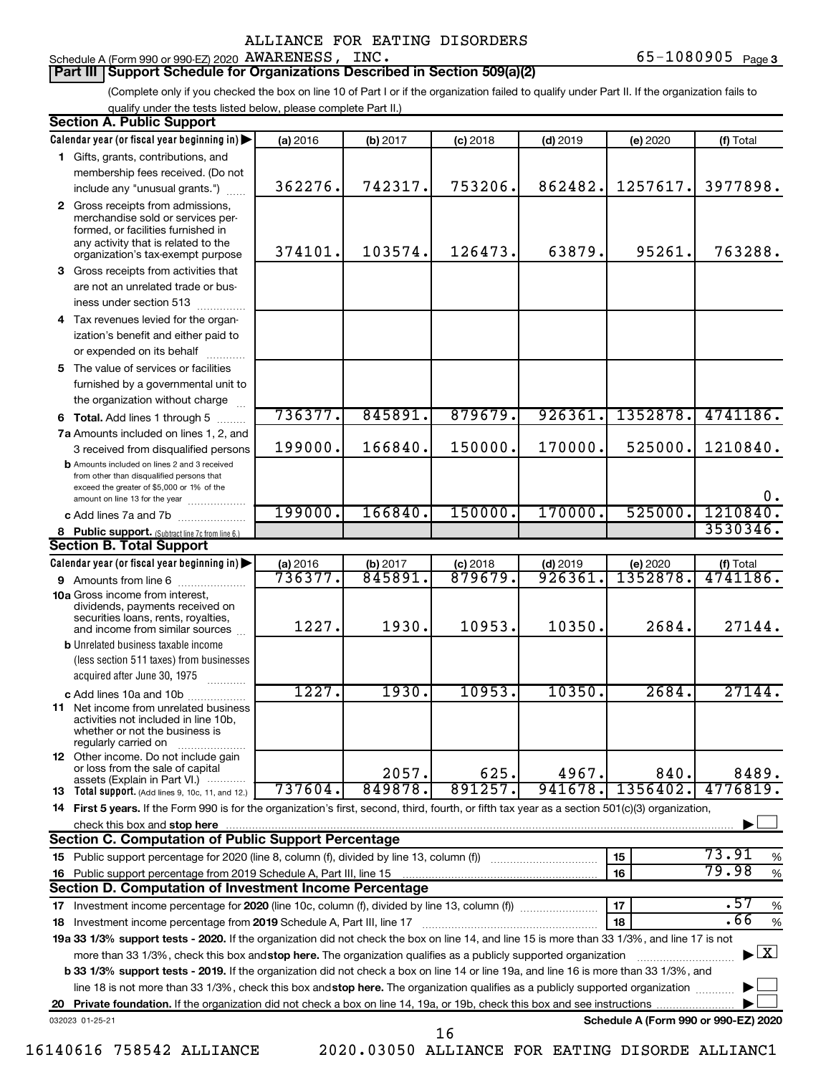#### Schedule A (Form 990 or 990-EZ) 2020 Page AWARENESS, INC. 65-1080905 **Part III Support Schedule for Organizations Described in Section 509(a)(2)**

(Complete only if you checked the box on line 10 of Part I or if the organization failed to qualify under Part II. If the organization fails to qualify under the tests listed below, please complete Part II.)

| <b>Section A. Public Support</b>                                                                                                                                                 |          |          |            |            |                                      |                                          |
|----------------------------------------------------------------------------------------------------------------------------------------------------------------------------------|----------|----------|------------|------------|--------------------------------------|------------------------------------------|
| Calendar year (or fiscal year beginning in)                                                                                                                                      | (a) 2016 | (b) 2017 | $(c)$ 2018 | $(d)$ 2019 | (e) 2020                             | (f) Total                                |
| 1 Gifts, grants, contributions, and                                                                                                                                              |          |          |            |            |                                      |                                          |
| membership fees received. (Do not                                                                                                                                                |          |          |            |            |                                      |                                          |
| include any "unusual grants.")                                                                                                                                                   | 362276.  | 742317.  | 753206.    | 862482     | 1257617.                             | 3977898.                                 |
| 2 Gross receipts from admissions,<br>merchandise sold or services per-<br>formed, or facilities furnished in                                                                     |          |          |            |            |                                      |                                          |
| any activity that is related to the<br>organization's tax-exempt purpose                                                                                                         | 374101.  | 103574.  | 126473.    | 63879.     | 95261.                               | 763288.                                  |
| 3 Gross receipts from activities that                                                                                                                                            |          |          |            |            |                                      |                                          |
| are not an unrelated trade or bus-                                                                                                                                               |          |          |            |            |                                      |                                          |
| iness under section 513                                                                                                                                                          |          |          |            |            |                                      |                                          |
| 4 Tax revenues levied for the organ-                                                                                                                                             |          |          |            |            |                                      |                                          |
| ization's benefit and either paid to                                                                                                                                             |          |          |            |            |                                      |                                          |
| or expended on its behalf<br>.                                                                                                                                                   |          |          |            |            |                                      |                                          |
| 5 The value of services or facilities                                                                                                                                            |          |          |            |            |                                      |                                          |
| furnished by a governmental unit to                                                                                                                                              |          |          |            |            |                                      |                                          |
| the organization without charge                                                                                                                                                  |          |          |            |            |                                      |                                          |
| 6 Total. Add lines 1 through 5                                                                                                                                                   | 736377.  | 845891.  | 879679.    | 926361     | 1352878.                             | 4741186.                                 |
| 7a Amounts included on lines 1, 2, and                                                                                                                                           |          |          |            |            |                                      |                                          |
| 3 received from disqualified persons                                                                                                                                             | 199000.  | 166840.  | 150000.    | 170000.    | 525000.                              | 1210840.                                 |
| <b>b</b> Amounts included on lines 2 and 3 received<br>from other than disqualified persons that<br>exceed the greater of \$5,000 or 1% of the<br>amount on line 13 for the year |          |          |            |            |                                      | Ο.                                       |
| c Add lines 7a and 7b                                                                                                                                                            | 199000.  | 166840.  | 150000.    | 170000.    | 525000.                              | 1210840.                                 |
| 8 Public support. (Subtract line 7c from line 6.)                                                                                                                                |          |          |            |            |                                      | 3530346.                                 |
| <b>Section B. Total Support</b>                                                                                                                                                  |          |          |            |            |                                      |                                          |
| Calendar year (or fiscal year beginning in)                                                                                                                                      | (a) 2016 | (b) 2017 | $(c)$ 2018 | $(d)$ 2019 | (e) 2020                             | (f) Total                                |
| 9 Amounts from line 6                                                                                                                                                            | 736377.  | 845891   | 879679.    | 926361     | 1352878                              | 4741186.                                 |
| <b>10a</b> Gross income from interest,<br>dividends, payments received on<br>securities loans, rents, royalties,                                                                 |          |          |            |            |                                      |                                          |
| and income from similar sources                                                                                                                                                  | 1227.    | 1930.    | 10953.     | 10350.     | 2684.                                | 27144.                                   |
| <b>b</b> Unrelated business taxable income                                                                                                                                       |          |          |            |            |                                      |                                          |
| (less section 511 taxes) from businesses                                                                                                                                         |          |          |            |            |                                      |                                          |
| acquired after June 30, 1975                                                                                                                                                     |          |          |            |            |                                      |                                          |
| c Add lines 10a and 10b                                                                                                                                                          | 1227.    | 1930.    | 10953.     | 10350.     | 2684.                                | 27144.                                   |
| 11 Net income from unrelated business<br>activities not included in line 10b.<br>whether or not the business is<br>regularly carried on                                          |          |          |            |            |                                      |                                          |
| <b>12</b> Other income. Do not include gain<br>or loss from the sale of capital<br>assets (Explain in Part VI.)                                                                  |          | 2057.    | 625.       | 4967.      | 840.                                 | 8489.                                    |
| <b>13</b> Total support. (Add lines 9, 10c, 11, and 12.)                                                                                                                         | 737604.  | 849878.  | 891257.    | 941678.    | 1356402.                             | 4776819.                                 |
| 14 First 5 years. If the Form 990 is for the organization's first, second, third, fourth, or fifth tax year as a section 501(c)(3) organization,                                 |          |          |            |            |                                      |                                          |
| check this box and stop here                                                                                                                                                     |          |          |            |            |                                      |                                          |
| <b>Section C. Computation of Public Support Percentage</b>                                                                                                                       |          |          |            |            |                                      |                                          |
| 15 Public support percentage for 2020 (line 8, column (f), divided by line 13, column (f) <i></i>                                                                                |          |          |            |            | 15                                   | 73.91<br>%                               |
| 16 Public support percentage from 2019 Schedule A, Part III, line 15                                                                                                             |          |          |            |            | 16                                   | 79.98<br>$\%$                            |
| Section D. Computation of Investment Income Percentage                                                                                                                           |          |          |            |            |                                      |                                          |
| 17 Investment income percentage for 2020 (line 10c, column (f), divided by line 13, column (f))                                                                                  |          |          |            |            | 17                                   | .57<br>%                                 |
| 18 Investment income percentage from 2019 Schedule A, Part III, line 17                                                                                                          |          |          |            |            | 18                                   | .66<br>$\%$                              |
| 19a 33 1/3% support tests - 2020. If the organization did not check the box on line 14, and line 15 is more than 33 1/3%, and line 17 is not                                     |          |          |            |            |                                      |                                          |
| more than 33 1/3%, check this box and stop here. The organization qualifies as a publicly supported organization                                                                 |          |          |            |            |                                      | $\blacktriangleright$ $\boxed{\text{X}}$ |
| b 33 1/3% support tests - 2019. If the organization did not check a box on line 14 or line 19a, and line 16 is more than 33 1/3%, and                                            |          |          |            |            |                                      |                                          |
| line 18 is not more than 33 1/3%, check this box and stop here. The organization qualifies as a publicly supported organization                                                  |          |          |            |            |                                      |                                          |
|                                                                                                                                                                                  |          |          |            |            |                                      |                                          |
| 032023 01-25-21                                                                                                                                                                  |          |          | 16         |            | Schedule A (Form 990 or 990-EZ) 2020 |                                          |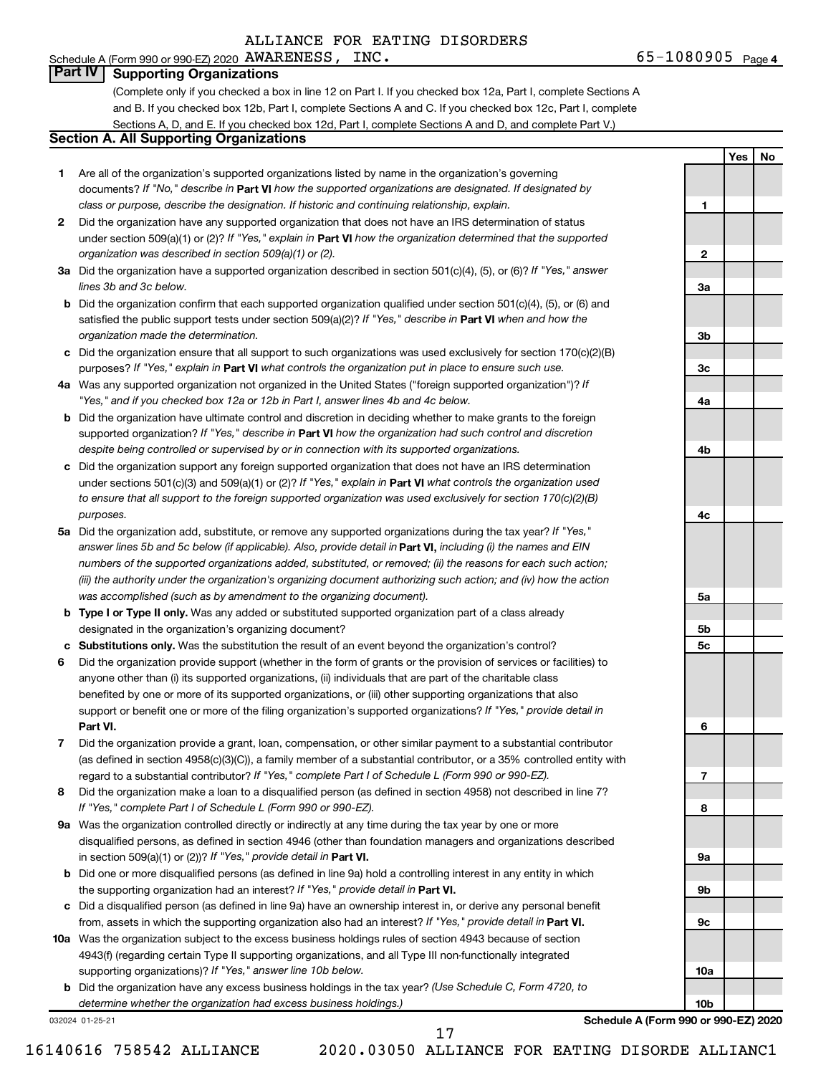#### 65-1080905 <sub>Page 4</sub> Schedule A (Form 990 or 990-EZ) 2020 Page AWARENESS, INC. 65-1080905

**1**

**2**

**3a**

**3b**

**3c**

**4a**

**4b**

**4c**

**5a**

**5b 5c**

**6**

**7**

**8**

**9a**

**9b**

**9c**

**10a**

**10b**

**Yes No**

# **Part IV Supporting Organizations**

(Complete only if you checked a box in line 12 on Part I. If you checked box 12a, Part I, complete Sections A and B. If you checked box 12b, Part I, complete Sections A and C. If you checked box 12c, Part I, complete Sections A, D, and E. If you checked box 12d, Part I, complete Sections A and D, and complete Part V.)

# **Section A. All Supporting Organizations**

- **1** Are all of the organization's supported organizations listed by name in the organization's governing documents? If "No," describe in Part VI how the supported organizations are designated. If designated by *class or purpose, describe the designation. If historic and continuing relationship, explain.*
- **2** Did the organization have any supported organization that does not have an IRS determination of status under section 509(a)(1) or (2)? If "Yes," explain in Part **VI** how the organization determined that the supported *organization was described in section 509(a)(1) or (2).*
- **3a** Did the organization have a supported organization described in section 501(c)(4), (5), or (6)? If "Yes," answer *lines 3b and 3c below.*
- **b** Did the organization confirm that each supported organization qualified under section 501(c)(4), (5), or (6) and satisfied the public support tests under section 509(a)(2)? If "Yes," describe in Part VI when and how the *organization made the determination.*
- **c** Did the organization ensure that all support to such organizations was used exclusively for section 170(c)(2)(B) purposes? If "Yes," explain in Part VI what controls the organization put in place to ensure such use.
- **4 a** *If* Was any supported organization not organized in the United States ("foreign supported organization")? *"Yes," and if you checked box 12a or 12b in Part I, answer lines 4b and 4c below.*
- **b** Did the organization have ultimate control and discretion in deciding whether to make grants to the foreign supported organization? If "Yes," describe in Part VI how the organization had such control and discretion *despite being controlled or supervised by or in connection with its supported organizations.*
- **c** Did the organization support any foreign supported organization that does not have an IRS determination under sections 501(c)(3) and 509(a)(1) or (2)? If "Yes," explain in Part VI what controls the organization used *to ensure that all support to the foreign supported organization was used exclusively for section 170(c)(2)(B) purposes.*
- **5a** Did the organization add, substitute, or remove any supported organizations during the tax year? If "Yes," answer lines 5b and 5c below (if applicable). Also, provide detail in **Part VI,** including (i) the names and EIN *numbers of the supported organizations added, substituted, or removed; (ii) the reasons for each such action; (iii) the authority under the organization's organizing document authorizing such action; and (iv) how the action was accomplished (such as by amendment to the organizing document).*
- **b Type I or Type II only.** Was any added or substituted supported organization part of a class already designated in the organization's organizing document?
- **c Substitutions only.**  Was the substitution the result of an event beyond the organization's control?
- **6** Did the organization provide support (whether in the form of grants or the provision of services or facilities) to **Part VI.** support or benefit one or more of the filing organization's supported organizations? If "Yes," provide detail in anyone other than (i) its supported organizations, (ii) individuals that are part of the charitable class benefited by one or more of its supported organizations, or (iii) other supporting organizations that also
- **7** Did the organization provide a grant, loan, compensation, or other similar payment to a substantial contributor regard to a substantial contributor? If "Yes," complete Part I of Schedule L (Form 990 or 990-EZ). (as defined in section 4958(c)(3)(C)), a family member of a substantial contributor, or a 35% controlled entity with
- **8** Did the organization make a loan to a disqualified person (as defined in section 4958) not described in line 7? *If "Yes," complete Part I of Schedule L (Form 990 or 990-EZ).*
- **9 a** Was the organization controlled directly or indirectly at any time during the tax year by one or more in section 509(a)(1) or (2))? If "Yes," provide detail in **Part VI.** disqualified persons, as defined in section 4946 (other than foundation managers and organizations described
- **b** Did one or more disqualified persons (as defined in line 9a) hold a controlling interest in any entity in which the supporting organization had an interest? If "Yes," provide detail in Part VI.
- **c** Did a disqualified person (as defined in line 9a) have an ownership interest in, or derive any personal benefit from, assets in which the supporting organization also had an interest? If "Yes," provide detail in Part VI.
- **10 a** Was the organization subject to the excess business holdings rules of section 4943 because of section supporting organizations)? If "Yes," answer line 10b below. 4943(f) (regarding certain Type II supporting organizations, and all Type III non-functionally integrated
	- **b** Did the organization have any excess business holdings in the tax year? (Use Schedule C, Form 4720, to *determine whether the organization had excess business holdings.)*

032024 01-25-21

**Schedule A (Form 990 or 990-EZ) 2020**

16140616 758542 ALLIANCE 2020.03050 ALLIANCE FOR EATING DISORDE ALLIANC1

17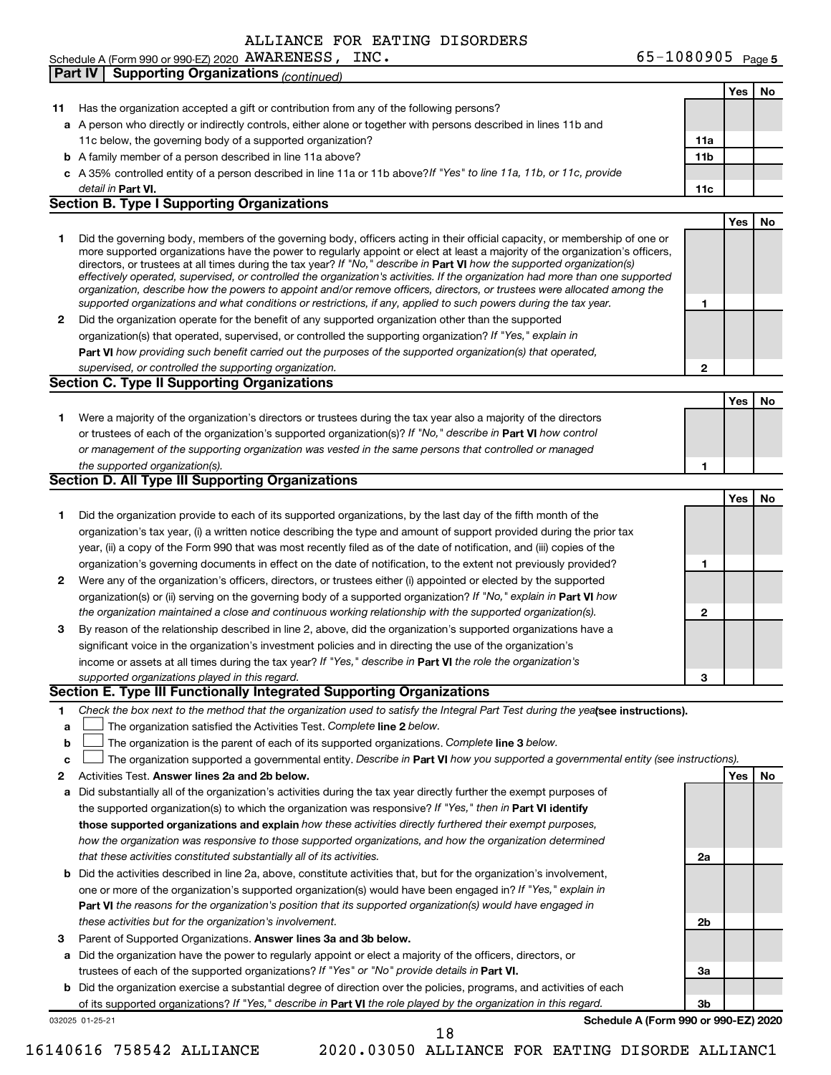65-1080905 Page 5 Schedule A (Form 990 or 990-EZ) 2020 Page AWARENESS, INC. 65-1080905

|    | <b>Supporting Organizations (continued)</b><br><b>Part IV</b>                                                                                                                                                                                            |                 |     |    |
|----|----------------------------------------------------------------------------------------------------------------------------------------------------------------------------------------------------------------------------------------------------------|-----------------|-----|----|
|    |                                                                                                                                                                                                                                                          |                 | Yes | No |
| 11 | Has the organization accepted a gift or contribution from any of the following persons?                                                                                                                                                                  |                 |     |    |
|    | a A person who directly or indirectly controls, either alone or together with persons described in lines 11b and                                                                                                                                         |                 |     |    |
|    | 11c below, the governing body of a supported organization?                                                                                                                                                                                               | 11a             |     |    |
|    | <b>b</b> A family member of a person described in line 11a above?                                                                                                                                                                                        | 11 <sub>b</sub> |     |    |
|    | c A 35% controlled entity of a person described in line 11a or 11b above? If "Yes" to line 11a, 11b, or 11c, provide                                                                                                                                     |                 |     |    |
|    | detail in Part VI.                                                                                                                                                                                                                                       | 11c             |     |    |
|    | <b>Section B. Type I Supporting Organizations</b>                                                                                                                                                                                                        |                 |     |    |
|    |                                                                                                                                                                                                                                                          |                 | Yes | No |
| 1  | Did the governing body, members of the governing body, officers acting in their official capacity, or membership of one or                                                                                                                               |                 |     |    |
|    | more supported organizations have the power to regularly appoint or elect at least a majority of the organization's officers,<br>directors, or trustees at all times during the tax year? If "No," describe in Part VI how the supported organization(s) |                 |     |    |
|    | effectively operated, supervised, or controlled the organization's activities. If the organization had more than one supported                                                                                                                           |                 |     |    |
|    | organization, describe how the powers to appoint and/or remove officers, directors, or trustees were allocated among the                                                                                                                                 |                 |     |    |
|    | supported organizations and what conditions or restrictions, if any, applied to such powers during the tax year.                                                                                                                                         | 1               |     |    |
| 2  | Did the organization operate for the benefit of any supported organization other than the supported                                                                                                                                                      |                 |     |    |
|    | organization(s) that operated, supervised, or controlled the supporting organization? If "Yes," explain in                                                                                                                                               |                 |     |    |
|    | Part VI how providing such benefit carried out the purposes of the supported organization(s) that operated,                                                                                                                                              |                 |     |    |
|    | supervised, or controlled the supporting organization.                                                                                                                                                                                                   | $\mathbf{2}$    |     |    |
|    | <b>Section C. Type II Supporting Organizations</b>                                                                                                                                                                                                       |                 |     |    |
|    |                                                                                                                                                                                                                                                          |                 | Yes | No |
| 1. | Were a majority of the organization's directors or trustees during the tax year also a majority of the directors                                                                                                                                         |                 |     |    |
|    | or trustees of each of the organization's supported organization(s)? If "No," describe in Part VI how control                                                                                                                                            |                 |     |    |
|    | or management of the supporting organization was vested in the same persons that controlled or managed                                                                                                                                                   |                 |     |    |
|    | the supported organization(s).                                                                                                                                                                                                                           | 1               |     |    |
|    | Section D. All Type III Supporting Organizations                                                                                                                                                                                                         |                 |     |    |
|    |                                                                                                                                                                                                                                                          |                 | Yes | No |
| 1  | Did the organization provide to each of its supported organizations, by the last day of the fifth month of the                                                                                                                                           |                 |     |    |
|    | organization's tax year, (i) a written notice describing the type and amount of support provided during the prior tax                                                                                                                                    |                 |     |    |
|    | year, (ii) a copy of the Form 990 that was most recently filed as of the date of notification, and (iii) copies of the                                                                                                                                   |                 |     |    |
|    | organization's governing documents in effect on the date of notification, to the extent not previously provided?                                                                                                                                         | 1               |     |    |
| 2  | Were any of the organization's officers, directors, or trustees either (i) appointed or elected by the supported                                                                                                                                         |                 |     |    |
|    | organization(s) or (ii) serving on the governing body of a supported organization? If "No," explain in Part VI how                                                                                                                                       |                 |     |    |
|    | the organization maintained a close and continuous working relationship with the supported organization(s).                                                                                                                                              | $\mathbf{2}$    |     |    |
| 3  | By reason of the relationship described in line 2, above, did the organization's supported organizations have a                                                                                                                                          |                 |     |    |
|    | significant voice in the organization's investment policies and in directing the use of the organization's                                                                                                                                               |                 |     |    |
|    | income or assets at all times during the tax year? If "Yes," describe in Part VI the role the organization's                                                                                                                                             |                 |     |    |
|    | supported organizations played in this regard.                                                                                                                                                                                                           | 3               |     |    |
|    | Section E. Type III Functionally Integrated Supporting Organizations                                                                                                                                                                                     |                 |     |    |
| 1. | Check the box next to the method that the organization used to satisfy the Integral Part Test during the yealsee instructions).                                                                                                                          |                 |     |    |
| a  | The organization satisfied the Activities Test. Complete line 2 below.                                                                                                                                                                                   |                 |     |    |
| b  | The organization is the parent of each of its supported organizations. Complete line 3 below.                                                                                                                                                            |                 |     |    |
| c  | The organization supported a governmental entity. Describe in Part VI how you supported a governmental entity (see instructions).                                                                                                                        |                 |     |    |
| 2  | Activities Test. Answer lines 2a and 2b below.                                                                                                                                                                                                           |                 | Yes | No |
| а  | Did substantially all of the organization's activities during the tax year directly further the exempt purposes of                                                                                                                                       |                 |     |    |
|    | the supported organization(s) to which the organization was responsive? If "Yes," then in Part VI identify                                                                                                                                               |                 |     |    |
|    | those supported organizations and explain how these activities directly furthered their exempt purposes,                                                                                                                                                 |                 |     |    |
|    | how the organization was responsive to those supported organizations, and how the organization determined                                                                                                                                                |                 |     |    |
|    | that these activities constituted substantially all of its activities.                                                                                                                                                                                   | 2a              |     |    |
| b  | Did the activities described in line 2a, above, constitute activities that, but for the organization's involvement,                                                                                                                                      |                 |     |    |
|    | one or more of the organization's supported organization(s) would have been engaged in? If "Yes," explain in                                                                                                                                             |                 |     |    |
|    | Part VI the reasons for the organization's position that its supported organization(s) would have engaged in                                                                                                                                             |                 |     |    |
|    | these activities but for the organization's involvement.                                                                                                                                                                                                 | 2b              |     |    |
| 3  | Parent of Supported Organizations. Answer lines 3a and 3b below.                                                                                                                                                                                         |                 |     |    |
| а  | Did the organization have the power to regularly appoint or elect a majority of the officers, directors, or                                                                                                                                              |                 |     |    |
|    | trustees of each of the supported organizations? If "Yes" or "No" provide details in Part VI.                                                                                                                                                            | За              |     |    |
| b  | Did the organization exercise a substantial degree of direction over the policies, programs, and activities of each                                                                                                                                      |                 |     |    |
|    | of its supported organizations? If "Yes," describe in Part VI the role played by the organization in this regard.<br>Schedule A (Form 990 or 990-EZ) 2020                                                                                                | Зb              |     |    |
|    | 032025 01-25-21<br>18                                                                                                                                                                                                                                    |                 |     |    |
|    |                                                                                                                                                                                                                                                          |                 |     |    |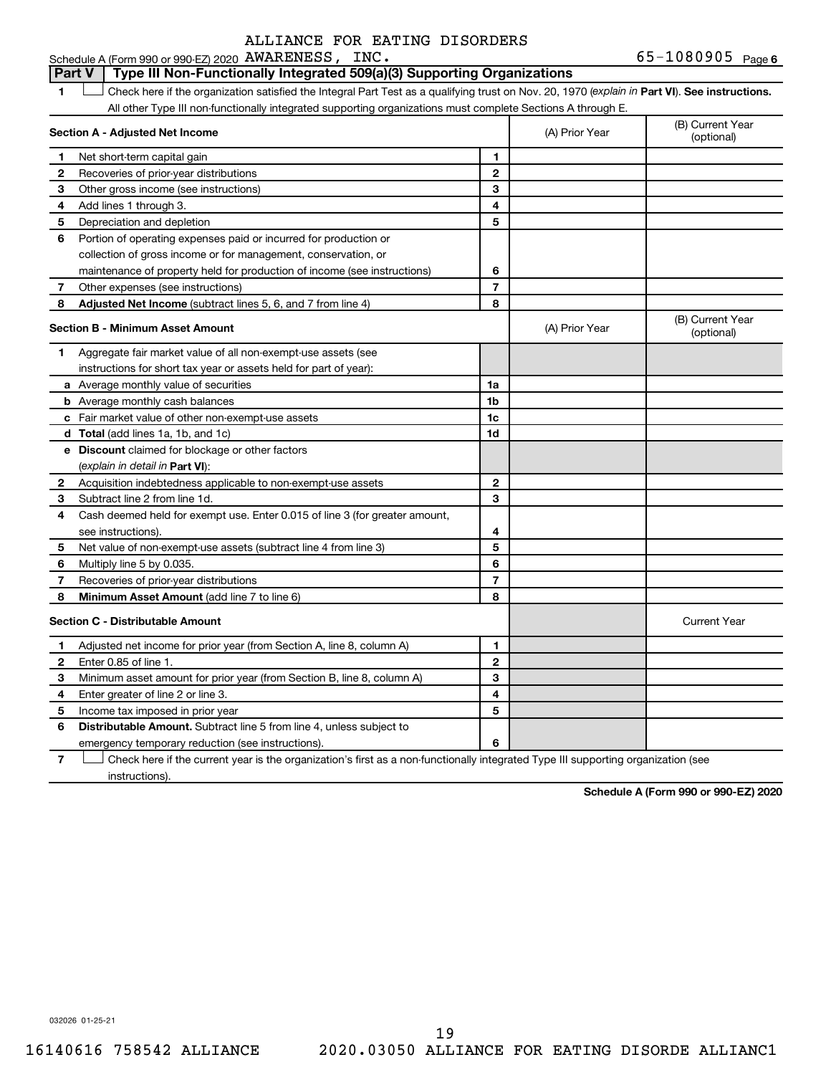65-1080905 Page 6 Schedule A (Form 990 or 990-EZ) 2020 Page AWARENESS, INC. 65-1080905

#### **Part V Type III Non-Functionally Integrated 509(a)(3) Supporting Organizations**

1 **Letter See instructions.** Check here if the organization satisfied the Integral Part Test as a qualifying trust on Nov. 20, 1970 (*explain in* Part **VI**). See instructions. All other Type III non-functionally integrated supporting organizations must complete Sections A through E.

|              | Section A - Adjusted Net Income                                             |                | (A) Prior Year | (B) Current Year<br>(optional) |
|--------------|-----------------------------------------------------------------------------|----------------|----------------|--------------------------------|
| 1            | Net short-term capital gain                                                 | 1              |                |                                |
| 2            | Recoveries of prior-year distributions                                      | $\overline{2}$ |                |                                |
| 3            | Other gross income (see instructions)                                       | 3              |                |                                |
| 4            | Add lines 1 through 3.                                                      | 4              |                |                                |
| 5            | Depreciation and depletion                                                  | 5              |                |                                |
| 6            | Portion of operating expenses paid or incurred for production or            |                |                |                                |
|              | collection of gross income or for management, conservation, or              |                |                |                                |
|              | maintenance of property held for production of income (see instructions)    | 6              |                |                                |
| 7            | Other expenses (see instructions)                                           | $\overline{7}$ |                |                                |
| 8            | Adjusted Net Income (subtract lines 5, 6, and 7 from line 4)                | 8              |                |                                |
|              | <b>Section B - Minimum Asset Amount</b>                                     |                | (A) Prior Year | (B) Current Year<br>(optional) |
| 1.           | Aggregate fair market value of all non-exempt-use assets (see               |                |                |                                |
|              | instructions for short tax year or assets held for part of year):           |                |                |                                |
|              | a Average monthly value of securities                                       | 1a             |                |                                |
|              | <b>b</b> Average monthly cash balances                                      | 1b             |                |                                |
|              | c Fair market value of other non-exempt-use assets                          | 1c             |                |                                |
|              | d Total (add lines 1a, 1b, and 1c)                                          | 1d             |                |                                |
|              | <b>e</b> Discount claimed for blockage or other factors                     |                |                |                                |
|              | (explain in detail in Part VI):                                             |                |                |                                |
| 2            | Acquisition indebtedness applicable to non-exempt-use assets                | $\mathbf{2}$   |                |                                |
| 3            | Subtract line 2 from line 1d.                                               | 3              |                |                                |
| 4            | Cash deemed held for exempt use. Enter 0.015 of line 3 (for greater amount, |                |                |                                |
|              | see instructions)                                                           | 4              |                |                                |
| 5            | Net value of non-exempt-use assets (subtract line 4 from line 3)            | 5              |                |                                |
| 6            | Multiply line 5 by 0.035.                                                   | 6              |                |                                |
| 7            | Recoveries of prior-year distributions                                      | 7              |                |                                |
| 8            | Minimum Asset Amount (add line 7 to line 6)                                 | 8              |                |                                |
|              | <b>Section C - Distributable Amount</b>                                     |                |                | <b>Current Year</b>            |
| 1            | Adjusted net income for prior year (from Section A, line 8, column A)       | 1              |                |                                |
| $\mathbf{2}$ | Enter 0.85 of line 1.                                                       | $\mathbf{2}$   |                |                                |
| з            | Minimum asset amount for prior year (from Section B, line 8, column A)      | 3              |                |                                |
| 4            | Enter greater of line 2 or line 3.                                          | 4              |                |                                |
| 5            | Income tax imposed in prior year                                            | 5              |                |                                |
| 6            | Distributable Amount. Subtract line 5 from line 4, unless subject to        |                |                |                                |
|              | emergency temporary reduction (see instructions).                           | 6              |                |                                |
|              |                                                                             |                |                |                                |

**7** Check here if the current year is the organization's first as a non-functionally integrated Type III supporting organization (see † instructions).

**Schedule A (Form 990 or 990-EZ) 2020**

032026 01-25-21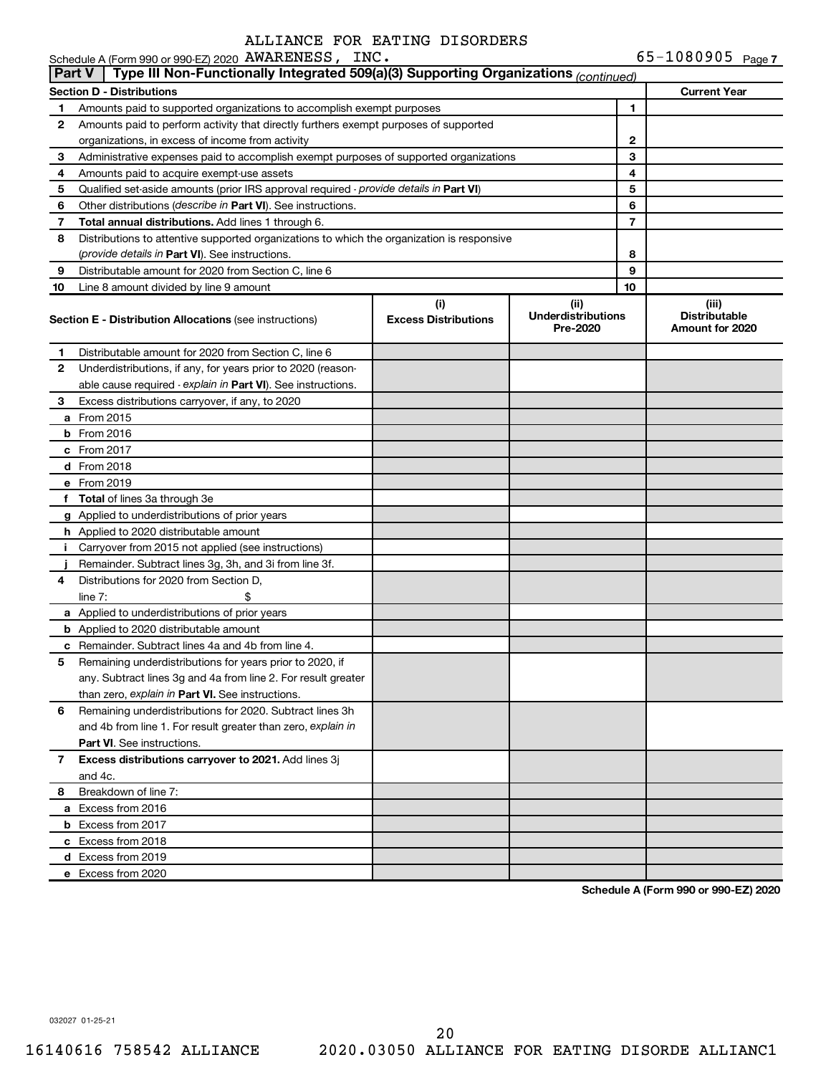|               | Schedule A (Form 990 or 990-EZ) 2020 AWARENESS, INC.                                       |                             |                                       |                | 65-1080905 Page 7                       |
|---------------|--------------------------------------------------------------------------------------------|-----------------------------|---------------------------------------|----------------|-----------------------------------------|
| <b>Part V</b> | Type III Non-Functionally Integrated 509(a)(3) Supporting Organizations (continued)        |                             |                                       |                |                                         |
|               | <b>Section D - Distributions</b>                                                           |                             |                                       |                | <b>Current Year</b>                     |
| 1             | Amounts paid to supported organizations to accomplish exempt purposes                      |                             |                                       | 1              |                                         |
| 2             | Amounts paid to perform activity that directly furthers exempt purposes of supported       |                             |                                       |                |                                         |
|               | organizations, in excess of income from activity                                           |                             |                                       | 2              |                                         |
| 3             | Administrative expenses paid to accomplish exempt purposes of supported organizations      |                             |                                       | 3              |                                         |
| 4             | Amounts paid to acquire exempt-use assets                                                  |                             |                                       | 4              |                                         |
| 5             | Qualified set-aside amounts (prior IRS approval required - provide details in Part VI)     |                             |                                       | 5              |                                         |
| 6             | Other distributions (describe in Part VI). See instructions.                               |                             |                                       | 6              |                                         |
| 7             | Total annual distributions. Add lines 1 through 6.                                         |                             |                                       | $\overline{7}$ |                                         |
| 8             | Distributions to attentive supported organizations to which the organization is responsive |                             |                                       |                |                                         |
|               | (provide details in Part VI). See instructions.                                            |                             |                                       | 8              |                                         |
| 9             | Distributable amount for 2020 from Section C, line 6                                       |                             |                                       | 9              |                                         |
| 10            | Line 8 amount divided by line 9 amount                                                     |                             |                                       | 10             |                                         |
|               |                                                                                            | (i)                         | (ii)                                  |                | (iii)                                   |
|               | <b>Section E - Distribution Allocations (see instructions)</b>                             | <b>Excess Distributions</b> | <b>Underdistributions</b><br>Pre-2020 |                | <b>Distributable</b><br>Amount for 2020 |
| 1.            | Distributable amount for 2020 from Section C, line 6                                       |                             |                                       |                |                                         |
| 2             | Underdistributions, if any, for years prior to 2020 (reason-                               |                             |                                       |                |                                         |
|               | able cause required - explain in Part VI). See instructions.                               |                             |                                       |                |                                         |
| 3             | Excess distributions carryover, if any, to 2020                                            |                             |                                       |                |                                         |
|               | <b>a</b> From 2015                                                                         |                             |                                       |                |                                         |
|               | $b$ From 2016                                                                              |                             |                                       |                |                                         |
|               | c From 2017                                                                                |                             |                                       |                |                                         |
|               | <b>d</b> From 2018                                                                         |                             |                                       |                |                                         |
|               | e From 2019                                                                                |                             |                                       |                |                                         |
|               | f Total of lines 3a through 3e                                                             |                             |                                       |                |                                         |
|               | g Applied to underdistributions of prior years                                             |                             |                                       |                |                                         |
|               | <b>h</b> Applied to 2020 distributable amount                                              |                             |                                       |                |                                         |
|               | i Carryover from 2015 not applied (see instructions)                                       |                             |                                       |                |                                         |
|               | Remainder. Subtract lines 3g, 3h, and 3i from line 3f.                                     |                             |                                       |                |                                         |
| 4             | Distributions for 2020 from Section D.                                                     |                             |                                       |                |                                         |
|               | line $7:$<br>\$                                                                            |                             |                                       |                |                                         |
|               | <b>a</b> Applied to underdistributions of prior years                                      |                             |                                       |                |                                         |
|               | <b>b</b> Applied to 2020 distributable amount                                              |                             |                                       |                |                                         |
|               | <b>c</b> Remainder. Subtract lines 4a and 4b from line 4.                                  |                             |                                       |                |                                         |
| 5             | Remaining underdistributions for years prior to 2020, if                                   |                             |                                       |                |                                         |
|               | any. Subtract lines 3g and 4a from line 2. For result greater                              |                             |                                       |                |                                         |
|               | than zero, explain in Part VI. See instructions.                                           |                             |                                       |                |                                         |
| 6             | Remaining underdistributions for 2020. Subtract lines 3h                                   |                             |                                       |                |                                         |
|               | and 4b from line 1. For result greater than zero, explain in                               |                             |                                       |                |                                         |

**Schedule A (Form 990 or 990-EZ) 2020**

032027 01-25-21

**8** Breakdown of line 7:

and 4c.

**a** Excess from 2016 **b** Excess from 2017 **c** Excess from 2018 **d** Excess from 2019 **e** Excess from 2020

**Part VI** . See instructions.

**7 Excess distributions carryover to 2021.**  Add lines 3j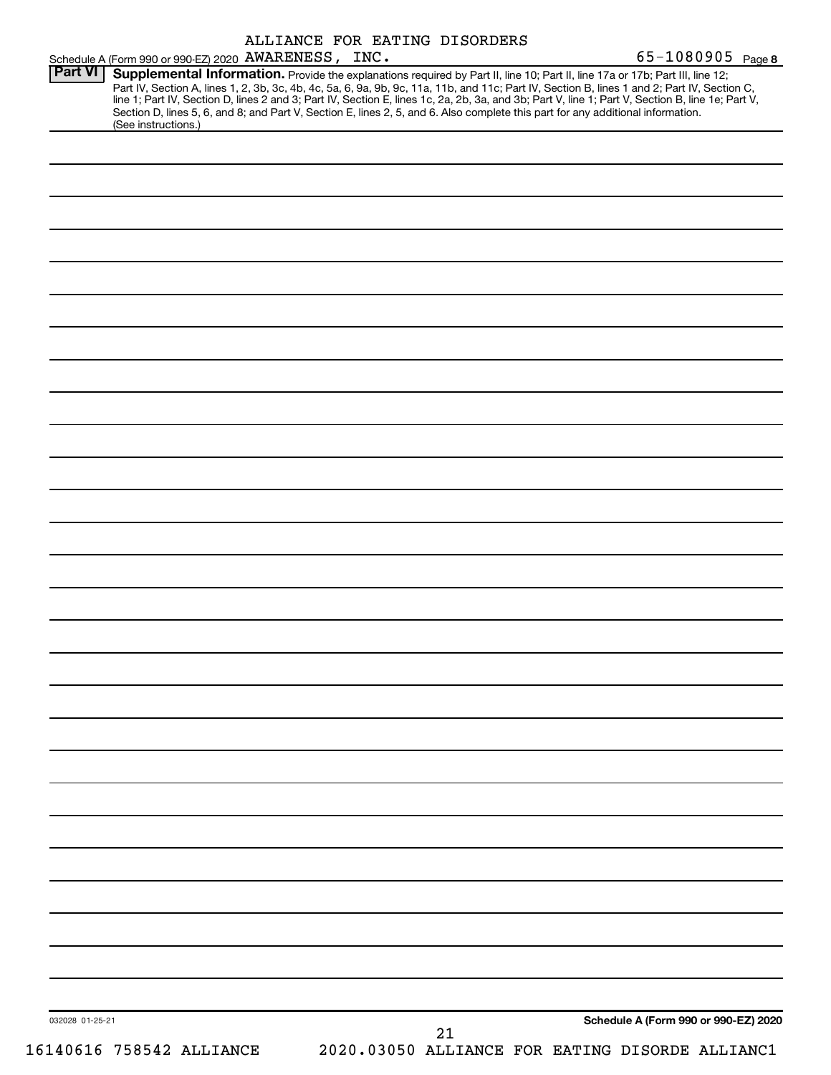|                 | Schedule A (Form 990 or 990-EZ) 2020 AWARENESS, INC.                                                                                                                                                                                                                                                                                                                                                                                                                                                                                                                                        | ALLIANCE FOR EATING DISORDERS |    |  | 65-1080905 Page 8                               |
|-----------------|---------------------------------------------------------------------------------------------------------------------------------------------------------------------------------------------------------------------------------------------------------------------------------------------------------------------------------------------------------------------------------------------------------------------------------------------------------------------------------------------------------------------------------------------------------------------------------------------|-------------------------------|----|--|-------------------------------------------------|
| <b>Part VI</b>  | Supplemental Information. Provide the explanations required by Part II, line 10; Part II, line 17a or 17b; Part III, line 12;<br>Part IV, Section A, lines 1, 2, 3b, 3c, 4b, 4c, 5a, 6, 9a, 9b, 9c, 11a, 11b, and 11c; Part IV, Section B, lines 1 and 2; Part IV, Section C,<br>line 1; Part IV, Section D, lines 2 and 3; Part IV, Section E, lines 1c, 2a, 2b, 3a, and 3b; Part V, line 1; Part V, Section B, line 1e; Part V,<br>Section D, lines 5, 6, and 8; and Part V, Section E, lines 2, 5, and 6. Also complete this part for any additional information.<br>(See instructions.) |                               |    |  |                                                 |
|                 |                                                                                                                                                                                                                                                                                                                                                                                                                                                                                                                                                                                             |                               |    |  |                                                 |
|                 |                                                                                                                                                                                                                                                                                                                                                                                                                                                                                                                                                                                             |                               |    |  |                                                 |
|                 |                                                                                                                                                                                                                                                                                                                                                                                                                                                                                                                                                                                             |                               |    |  |                                                 |
|                 |                                                                                                                                                                                                                                                                                                                                                                                                                                                                                                                                                                                             |                               |    |  |                                                 |
|                 |                                                                                                                                                                                                                                                                                                                                                                                                                                                                                                                                                                                             |                               |    |  |                                                 |
|                 |                                                                                                                                                                                                                                                                                                                                                                                                                                                                                                                                                                                             |                               |    |  |                                                 |
|                 |                                                                                                                                                                                                                                                                                                                                                                                                                                                                                                                                                                                             |                               |    |  |                                                 |
|                 |                                                                                                                                                                                                                                                                                                                                                                                                                                                                                                                                                                                             |                               |    |  |                                                 |
|                 |                                                                                                                                                                                                                                                                                                                                                                                                                                                                                                                                                                                             |                               |    |  |                                                 |
|                 |                                                                                                                                                                                                                                                                                                                                                                                                                                                                                                                                                                                             |                               |    |  |                                                 |
|                 |                                                                                                                                                                                                                                                                                                                                                                                                                                                                                                                                                                                             |                               |    |  |                                                 |
|                 |                                                                                                                                                                                                                                                                                                                                                                                                                                                                                                                                                                                             |                               |    |  |                                                 |
|                 |                                                                                                                                                                                                                                                                                                                                                                                                                                                                                                                                                                                             |                               |    |  |                                                 |
|                 |                                                                                                                                                                                                                                                                                                                                                                                                                                                                                                                                                                                             |                               |    |  |                                                 |
|                 |                                                                                                                                                                                                                                                                                                                                                                                                                                                                                                                                                                                             |                               |    |  |                                                 |
|                 |                                                                                                                                                                                                                                                                                                                                                                                                                                                                                                                                                                                             |                               |    |  |                                                 |
|                 |                                                                                                                                                                                                                                                                                                                                                                                                                                                                                                                                                                                             |                               |    |  |                                                 |
|                 |                                                                                                                                                                                                                                                                                                                                                                                                                                                                                                                                                                                             |                               |    |  |                                                 |
|                 |                                                                                                                                                                                                                                                                                                                                                                                                                                                                                                                                                                                             |                               |    |  |                                                 |
|                 |                                                                                                                                                                                                                                                                                                                                                                                                                                                                                                                                                                                             |                               |    |  |                                                 |
|                 |                                                                                                                                                                                                                                                                                                                                                                                                                                                                                                                                                                                             |                               |    |  |                                                 |
|                 |                                                                                                                                                                                                                                                                                                                                                                                                                                                                                                                                                                                             |                               |    |  |                                                 |
|                 |                                                                                                                                                                                                                                                                                                                                                                                                                                                                                                                                                                                             |                               |    |  |                                                 |
|                 |                                                                                                                                                                                                                                                                                                                                                                                                                                                                                                                                                                                             |                               |    |  |                                                 |
|                 |                                                                                                                                                                                                                                                                                                                                                                                                                                                                                                                                                                                             |                               |    |  |                                                 |
|                 |                                                                                                                                                                                                                                                                                                                                                                                                                                                                                                                                                                                             |                               |    |  |                                                 |
|                 |                                                                                                                                                                                                                                                                                                                                                                                                                                                                                                                                                                                             |                               |    |  |                                                 |
|                 |                                                                                                                                                                                                                                                                                                                                                                                                                                                                                                                                                                                             |                               |    |  |                                                 |
| 032028 01-25-21 |                                                                                                                                                                                                                                                                                                                                                                                                                                                                                                                                                                                             |                               | 21 |  | Schedule A (Form 990 or 990-EZ) 2020            |
|                 | 16140616 758542 ALLIANCE                                                                                                                                                                                                                                                                                                                                                                                                                                                                                                                                                                    |                               |    |  | 2020.03050 ALLIANCE FOR EATING DISORDE ALLIANC1 |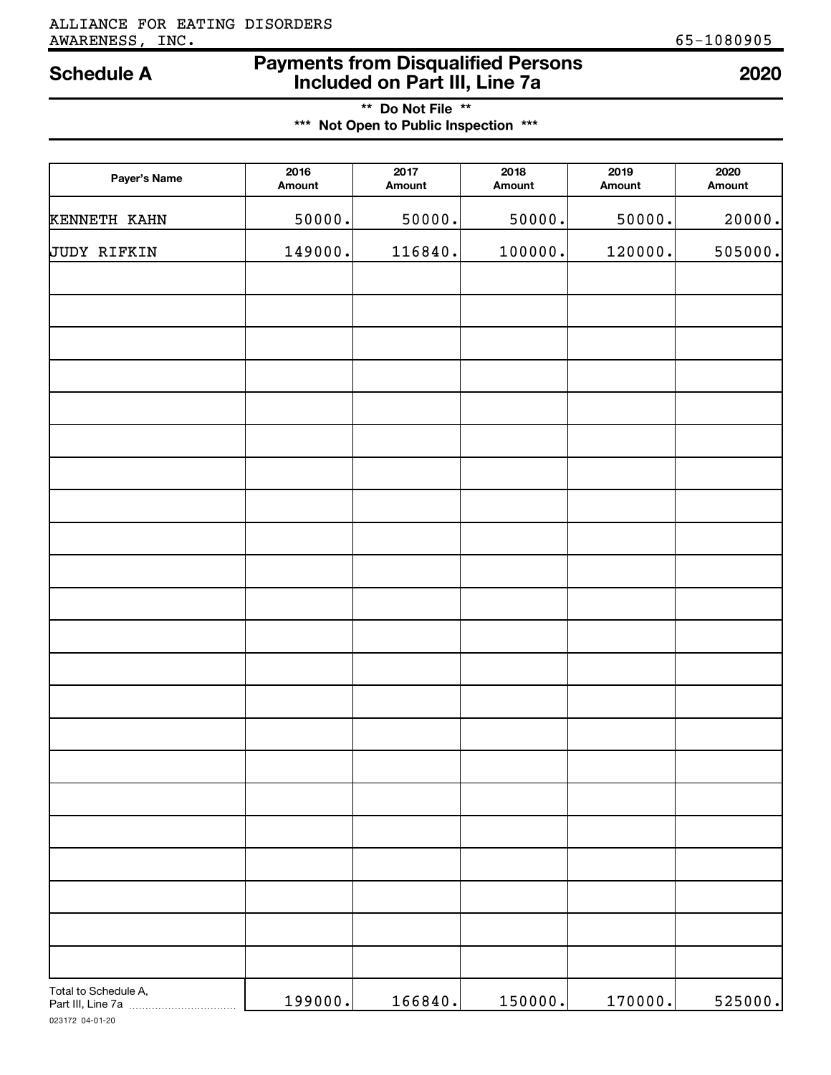# ALLIANCE FOR EATING DISORDERS AWARENESS, INC. 65-1080905

# **Payments from Disqualified Persons Included on Part III, Line 7a Schedule A <sup>2020</sup>**

**\*\* Do Not File \*\* \*\*\* Not Open to Public Inspection \*\*\***

| Payer's Name                              | 2016<br>Amount | $\overline{2017}$<br>Amount | 2018<br>Amount | 2019<br>Amount | 2020<br>Amount |
|-------------------------------------------|----------------|-----------------------------|----------------|----------------|----------------|
| KENNETH KAHN                              | 50000.         | 50000.                      | 50000.         | 50000.         | 20000.         |
| JUDY RIFKIN                               | 149000.        | 116840.                     | 100000.        | 120000.        | 505000.        |
|                                           |                |                             |                |                |                |
|                                           |                |                             |                |                |                |
|                                           |                |                             |                |                |                |
|                                           |                |                             |                |                |                |
|                                           |                |                             |                |                |                |
|                                           |                |                             |                |                |                |
|                                           |                |                             |                |                |                |
|                                           |                |                             |                |                |                |
|                                           |                |                             |                |                |                |
|                                           |                |                             |                |                |                |
|                                           |                |                             |                |                |                |
|                                           |                |                             |                |                |                |
|                                           |                |                             |                |                |                |
|                                           |                |                             |                |                |                |
|                                           |                |                             |                |                |                |
|                                           |                |                             |                |                |                |
|                                           |                |                             |                |                |                |
|                                           |                |                             |                |                |                |
|                                           |                |                             |                |                |                |
|                                           |                |                             |                |                |                |
|                                           |                |                             |                |                |                |
|                                           |                |                             |                |                |                |
| Total to Schedule A,<br>Part III, Line 7a | 199000.        | 166840.                     | 150000.        | 170000.        | 525000.        |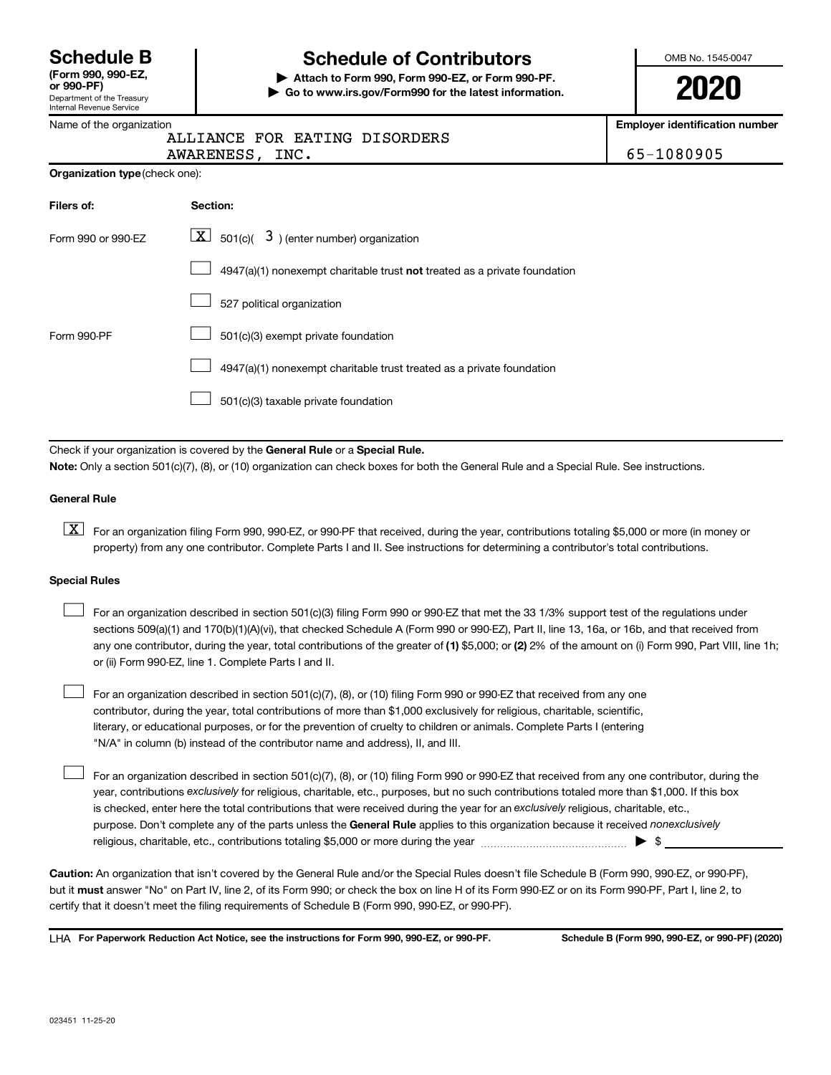Department of the Treasury Internal Revenue Service **(Form 990, 990-EZ,**

# **Schedule B Schedule of Contributors**

**or 990-PF) | Attach to Form 990, Form 990-EZ, or Form 990-PF. | Go to www.irs.gov/Form990 for the latest information.** OMB No. 1545-0047

**2020**

**Employer identification number**

**Organization type** (check one):

|  | ALLIANCE FOR EATING DISORDERS |
|--|-------------------------------|
|  |                               |

AWARENESS, INC. 65-1080905

| Filers of:         | <b>Section:</b>                                                                    |
|--------------------|------------------------------------------------------------------------------------|
| Form 990 or 990-EZ | $ \mathbf{X} $ 501(c)( 3) (enter number) organization                              |
|                    | $4947(a)(1)$ nonexempt charitable trust <b>not</b> treated as a private foundation |
|                    | 527 political organization                                                         |
| Form 990-PF        | 501(c)(3) exempt private foundation                                                |
|                    | 4947(a)(1) nonexempt charitable trust treated as a private foundation              |
|                    | 501(c)(3) taxable private foundation                                               |

Check if your organization is covered by the General Rule or a Special Rule. **Note:**  Only a section 501(c)(7), (8), or (10) organization can check boxes for both the General Rule and a Special Rule. See instructions.

#### **General Rule**

**K** For an organization filing Form 990, 990-EZ, or 990-PF that received, during the year, contributions totaling \$5,000 or more (in money or property) from any one contributor. Complete Parts I and II. See instructions for determining a contributor's total contributions.

#### **Special Rules**

 $\Box$ 

any one contributor, during the year, total contributions of the greater of (1) \$5,000; or (2) 2% of the amount on (i) Form 990, Part VIII, line 1h; For an organization described in section 501(c)(3) filing Form 990 or 990-EZ that met the 33 1/3% support test of the regulations under sections 509(a)(1) and 170(b)(1)(A)(vi), that checked Schedule A (Form 990 or 990-EZ), Part II, line 13, 16a, or 16b, and that received from or (ii) Form 990-EZ, line 1. Complete Parts I and II.  $\Box$ 

For an organization described in section 501(c)(7), (8), or (10) filing Form 990 or 990-EZ that received from any one contributor, during the year, total contributions of more than \$1,000 exclusively for religious, charitable, scientific, literary, or educational purposes, or for the prevention of cruelty to children or animals. Complete Parts I (entering "N/A" in column (b) instead of the contributor name and address), II, and III.  $\Box$ 

purpose. Don't complete any of the parts unless the General Rule applies to this organization because it received nonexclusively year, contributions exclusively for religious, charitable, etc., purposes, but no such contributions totaled more than \$1,000. If this box is checked, enter here the total contributions that were received during the year for an exclusively religious, charitable, etc., For an organization described in section 501(c)(7), (8), or (10) filing Form 990 or 990-EZ that received from any one contributor, during the religious, charitable, etc., contributions totaling \$5,000 or more during the year  $~\ldots\ldots\ldots\ldots\ldots\ldots\ldots\ldots\blacktriangleright~$ \$

**Caution:**  An organization that isn't covered by the General Rule and/or the Special Rules doesn't file Schedule B (Form 990, 990-EZ, or 990-PF),  **must** but it answer "No" on Part IV, line 2, of its Form 990; or check the box on line H of its Form 990-EZ or on its Form 990-PF, Part I, line 2, to certify that it doesn't meet the filing requirements of Schedule B (Form 990, 990-EZ, or 990-PF).

**For Paperwork Reduction Act Notice, see the instructions for Form 990, 990-EZ, or 990-PF. Schedule B (Form 990, 990-EZ, or 990-PF) (2020)** LHA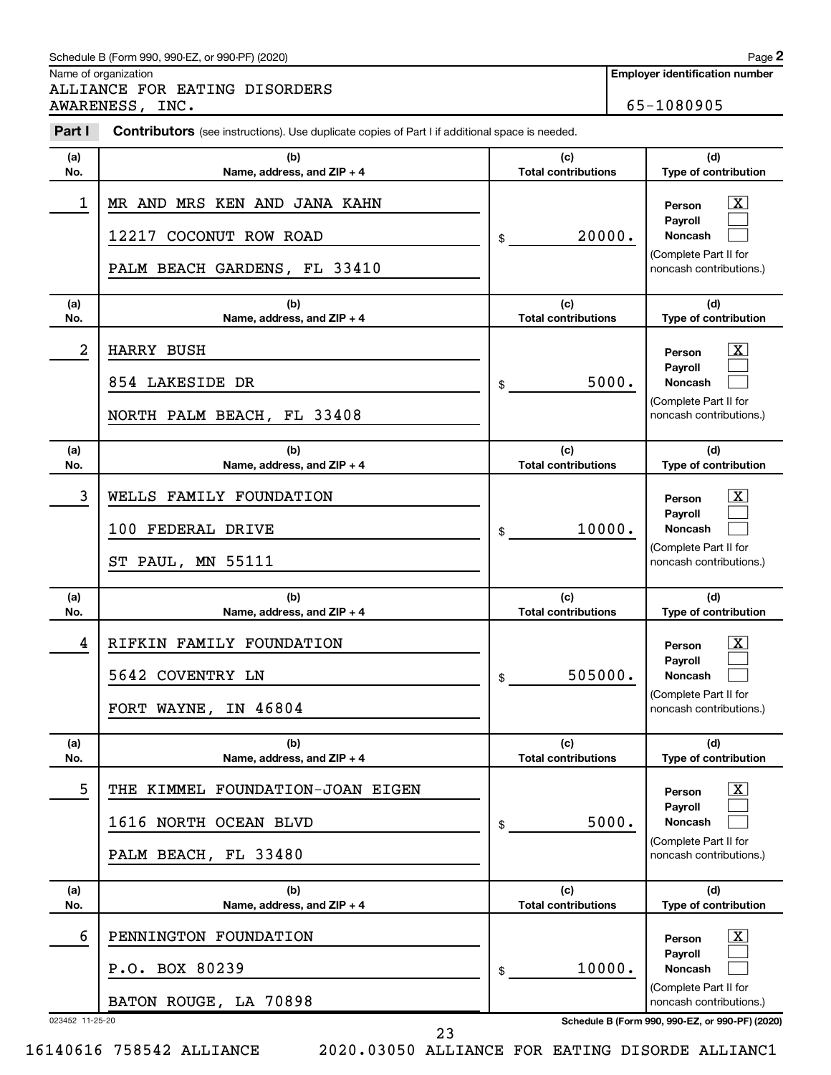#### Schedule B (Form 990, 990-EZ, or 990-PF) (2020)

Name of organization

ALLIANCE FOR EATING DISORDERS AWARENESS, INC. 65-1080905

| Part I          | Contributors (see instructions). Use duplicate copies of Part I if additional space is needed. |                                   |                                                                                                                      |
|-----------------|------------------------------------------------------------------------------------------------|-----------------------------------|----------------------------------------------------------------------------------------------------------------------|
| (a)<br>No.      | (b)<br>Name, address, and ZIP + 4                                                              | (c)<br><b>Total contributions</b> | (d)<br>Type of contribution                                                                                          |
| 1               | MR AND MRS KEN AND JANA KAHN<br>12217 COCONUT ROW ROAD<br>PALM BEACH GARDENS, FL 33410         | 20000.<br>\$                      | $\mathbf{X}$<br>Person<br>Payroll<br><b>Noncash</b><br>(Complete Part II for<br>noncash contributions.)              |
| (a)<br>No.      | (b)<br>Name, address, and ZIP + 4                                                              | (c)<br><b>Total contributions</b> | (d)<br>Type of contribution                                                                                          |
| 2               | HARRY BUSH<br>854 LAKESIDE DR<br>NORTH PALM BEACH, FL 33408                                    | 5000.<br>\$                       | $\boxed{\textbf{X}}$<br>Person<br>Payroll<br><b>Noncash</b><br>(Complete Part II for<br>noncash contributions.)      |
| (a)<br>No.      | (b)<br>Name, address, and ZIP + 4                                                              | (c)<br><b>Total contributions</b> | (d)<br>Type of contribution                                                                                          |
| 3               | WELLS FAMILY FOUNDATION<br>100 FEDERAL DRIVE<br>ST PAUL, MN 55111                              | 10000.<br>\$                      | $\overline{\mathbf{X}}$<br>Person<br>Payroll<br><b>Noncash</b><br>(Complete Part II for<br>noncash contributions.)   |
| (a)<br>No.      | (b)<br>Name, address, and ZIP + 4                                                              | (c)<br><b>Total contributions</b> | (d)<br>Type of contribution                                                                                          |
| 4               | RIFKIN FAMILY FOUNDATION<br>5642 COVENTRY LN<br>FORT WAYNE,<br>IN 46804                        | 505000.<br>\$                     | $\mathbf{X}$<br>Person<br>Payroll<br><b>Noncash</b><br>(Complete Part II for<br>noncash contributions.)              |
| (a)<br>No.      | (b)<br>Name, address, and ZIP + 4                                                              | (c)<br><b>Total contributions</b> | (d)<br>Type of contribution                                                                                          |
| 5               | THE KIMMEL FOUNDATION-JOAN EIGEN<br>1616 NORTH OCEAN BLVD<br>PALM BEACH, FL 33480              | 5000.<br>\$                       | $\mathbf{X}$<br>Person<br>Payroll<br><b>Noncash</b><br>(Complete Part II for<br>noncash contributions.)              |
| (a)<br>No.      | (b)<br>Name, address, and $ZIP + 4$                                                            | (c)<br><b>Total contributions</b> | (d)<br>Type of contribution                                                                                          |
| 6               | PENNINGTON FOUNDATION<br>P.O. BOX 80239<br>BATON ROUGE, LA 70898                               | 10000.<br>\$                      | $\boxed{\text{X}}$<br>Person<br><b>Payroll</b><br><b>Noncash</b><br>(Complete Part II for<br>noncash contributions.) |
| 023452 11-25-20 |                                                                                                |                                   | Schedule B (Form 990, 990-EZ, or 990-PF) (2020)                                                                      |

16140616 758542 ALLIANCE 2020.03050 ALLIANCE FOR EATING DISORDE ALLIANC1

23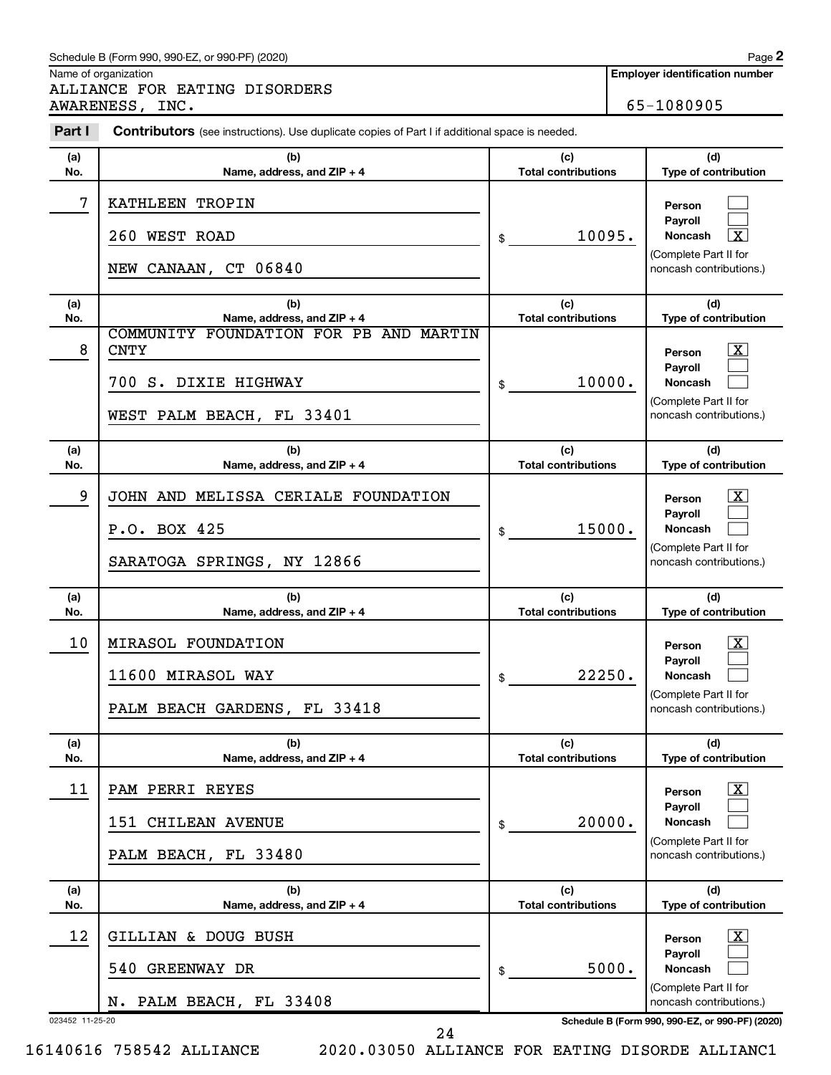#### Schedule B (Form 990, 990-EZ, or 990-PF) (2020)

Name of organization

ALLIANCE FOR EATING DISORDERS AWARENESS, INC. 65-1080905 **2**

| Part I          | <b>Contributors</b> (see instructions). Use duplicate copies of Part I if additional space is needed. |                                   |                                                      |
|-----------------|-------------------------------------------------------------------------------------------------------|-----------------------------------|------------------------------------------------------|
| (a)             | (b)                                                                                                   | (c)                               | (d)                                                  |
| No.             | Name, address, and ZIP + 4                                                                            | <b>Total contributions</b>        | Type of contribution                                 |
| 7               | KATHLEEN TROPIN<br>260 WEST ROAD                                                                      | 10095.<br>\$                      | Person<br>Payroll<br>$\boxed{\textbf{X}}$<br>Noncash |
|                 | NEW CANAAN, CT 06840                                                                                  |                                   | (Complete Part II for<br>noncash contributions.)     |
| (a)             | (b)                                                                                                   | (c)                               | (d)                                                  |
| No.             | Name, address, and ZIP + 4<br>COMMUNITY FOUNDATION FOR PB AND MARTIN                                  | <b>Total contributions</b>        | Type of contribution                                 |
| 8               | <b>CNTY</b>                                                                                           |                                   | $\mathbf{X}$<br>Person                               |
|                 | 700 S. DIXIE HIGHWAY                                                                                  | 10000.<br>\$                      | Payroll<br>Noncash                                   |
|                 | WEST PALM BEACH, FL 33401                                                                             |                                   | (Complete Part II for<br>noncash contributions.)     |
| (a)             | (b)                                                                                                   | (c)                               | (d)                                                  |
| No.             | Name, address, and ZIP + 4                                                                            | <b>Total contributions</b>        | Type of contribution                                 |
| 9               | JOHN AND MELISSA CERIALE FOUNDATION                                                                   |                                   | $\mathbf{X}$<br>Person                               |
|                 | P.O. BOX 425                                                                                          | 15000.<br>\$                      | Payroll<br>Noncash                                   |
|                 | SARATOGA SPRINGS, NY 12866                                                                            |                                   | (Complete Part II for<br>noncash contributions.)     |
| (a)<br>No.      | (b)<br>Name, address, and ZIP + 4                                                                     | (c)<br><b>Total contributions</b> | (d)<br>Type of contribution                          |
| 10              | MIRASOL FOUNDATION                                                                                    |                                   | $\mathbf{X}$<br>Person                               |
|                 | 11600 MIRASOL WAY                                                                                     | 22250.<br>\$                      | Payroll<br>Noncash                                   |
|                 | PALM BEACH GARDENS, FL 33418                                                                          |                                   | (Complete Part II for<br>noncash contributions.)     |
| (a)<br>No.      | (b)<br>Name, address, and ZIP + 4                                                                     | (c)<br><b>Total contributions</b> | (d)<br>Type of contribution                          |
| 11              | PAM PERRI REYES                                                                                       |                                   | X<br>Person                                          |
|                 | 151 CHILEAN AVENUE                                                                                    | 20000.<br>\$                      | Payroll<br><b>Noncash</b>                            |
|                 | PALM BEACH, FL 33480                                                                                  |                                   | (Complete Part II for<br>noncash contributions.)     |
| (a)             | (b)                                                                                                   | (c)                               | (d)                                                  |
| No.             | Name, address, and ZIP + 4                                                                            | <b>Total contributions</b>        | Type of contribution                                 |
| 12              | GILLIAN & DOUG BUSH                                                                                   |                                   | X<br>Person<br>Payroll                               |
|                 | GREENWAY DR<br>540                                                                                    | 5000.<br>\$                       | <b>Noncash</b>                                       |
|                 | N. PALM BEACH, FL 33408                                                                               |                                   | (Complete Part II for<br>noncash contributions.)     |
| 023452 11-25-20 |                                                                                                       |                                   | Schedule B (Form 990, 990-EZ, or 990-PF) (2020)      |

24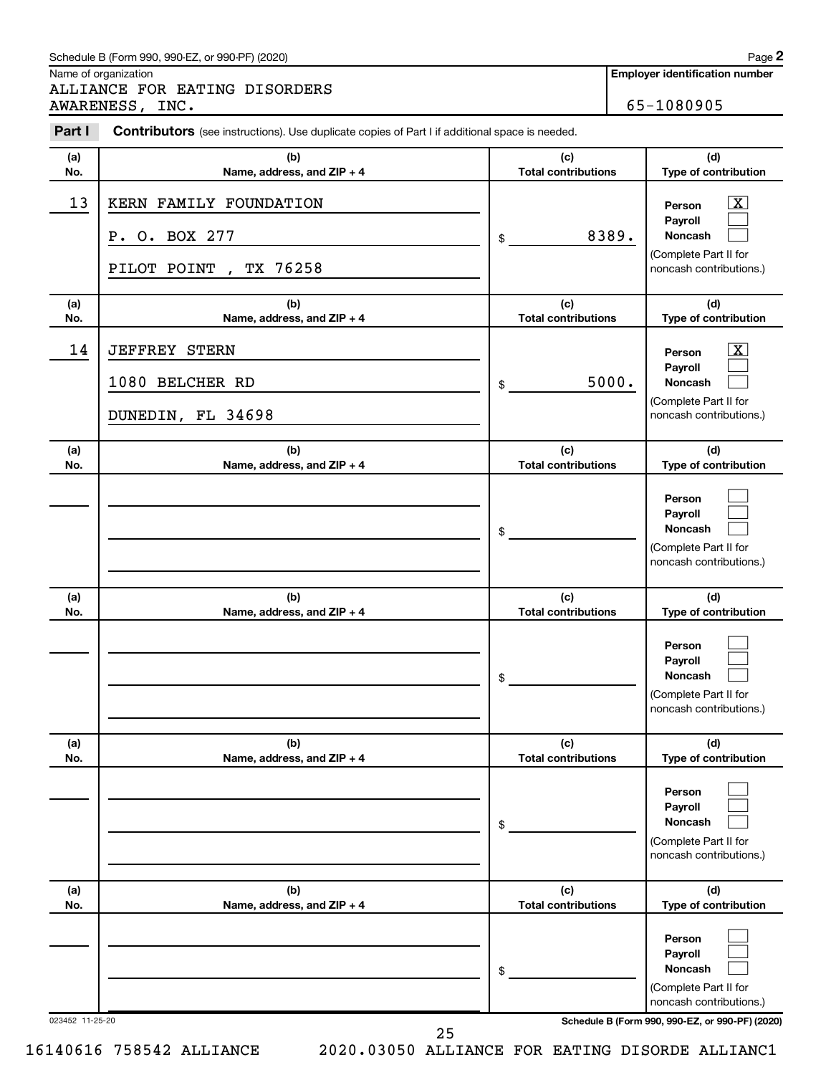#### Schedule B (Form 990, 990-EZ, or 990-PF) (2020)

Name of organization

ALLIANCE FOR EATING DISORDERS AWARENESS, INC. 65-1080905

**Employer identification number**

**2**

| Part I          | Contributors (see instructions). Use duplicate copies of Part I if additional space is needed. |                                   |                                                                                                                                            |
|-----------------|------------------------------------------------------------------------------------------------|-----------------------------------|--------------------------------------------------------------------------------------------------------------------------------------------|
| (a)<br>No.      | (b)<br>Name, address, and ZIP + 4                                                              | (c)<br><b>Total contributions</b> | (d)<br>Type of contribution                                                                                                                |
| 13              | KERN FAMILY FOUNDATION<br>P. O. BOX 277<br>TX 76258<br>PILOT POINT<br>$\overline{ }$           | 8389.<br>\$                       | X<br>Person<br>Payroll<br><b>Noncash</b><br>(Complete Part II for<br>noncash contributions.)                                               |
| (a)<br>No.      | (b)<br>Name, address, and ZIP + 4                                                              | (c)<br><b>Total contributions</b> | (d)<br>Type of contribution                                                                                                                |
| 14              | <b>JEFFREY STERN</b><br>1080 BELCHER RD<br>DUNEDIN, FL 34698                                   | 5000.<br>\$                       | $\overline{\mathbf{X}}$<br>Person<br>Payroll<br><b>Noncash</b><br>(Complete Part II for<br>noncash contributions.)                         |
| (a)<br>No.      | (b)<br>Name, address, and ZIP + 4                                                              | (c)<br><b>Total contributions</b> | (d)<br>Type of contribution                                                                                                                |
|                 |                                                                                                | \$                                | Person<br>Pavroll<br><b>Noncash</b><br>(Complete Part II for<br>noncash contributions.)                                                    |
| (a)<br>No.      | (b)<br>Name, address, and ZIP + 4                                                              | (c)<br><b>Total contributions</b> | (d)<br>Type of contribution                                                                                                                |
|                 |                                                                                                | \$                                | Person<br>Payroll<br><b>Noncash</b><br>(Complete Part II for<br>noncash contributions.)                                                    |
| (a)<br>No.      | (b)<br>Name, address, and ZIP + 4                                                              | (c)<br><b>Total contributions</b> | (d)<br>Type of contribution                                                                                                                |
|                 |                                                                                                | \$                                | Person<br>Payroll<br><b>Noncash</b><br>(Complete Part II for<br>noncash contributions.)                                                    |
| (a)<br>No.      | (b)<br>Name, address, and ZIP + 4                                                              | (c)<br><b>Total contributions</b> | (d)<br>Type of contribution                                                                                                                |
| 023452 11-25-20 |                                                                                                | \$                                | Person<br>Payroll<br><b>Noncash</b><br>(Complete Part II for<br>noncash contributions.)<br>Schedule B (Form 990, 990-EZ, or 990-PF) (2020) |

25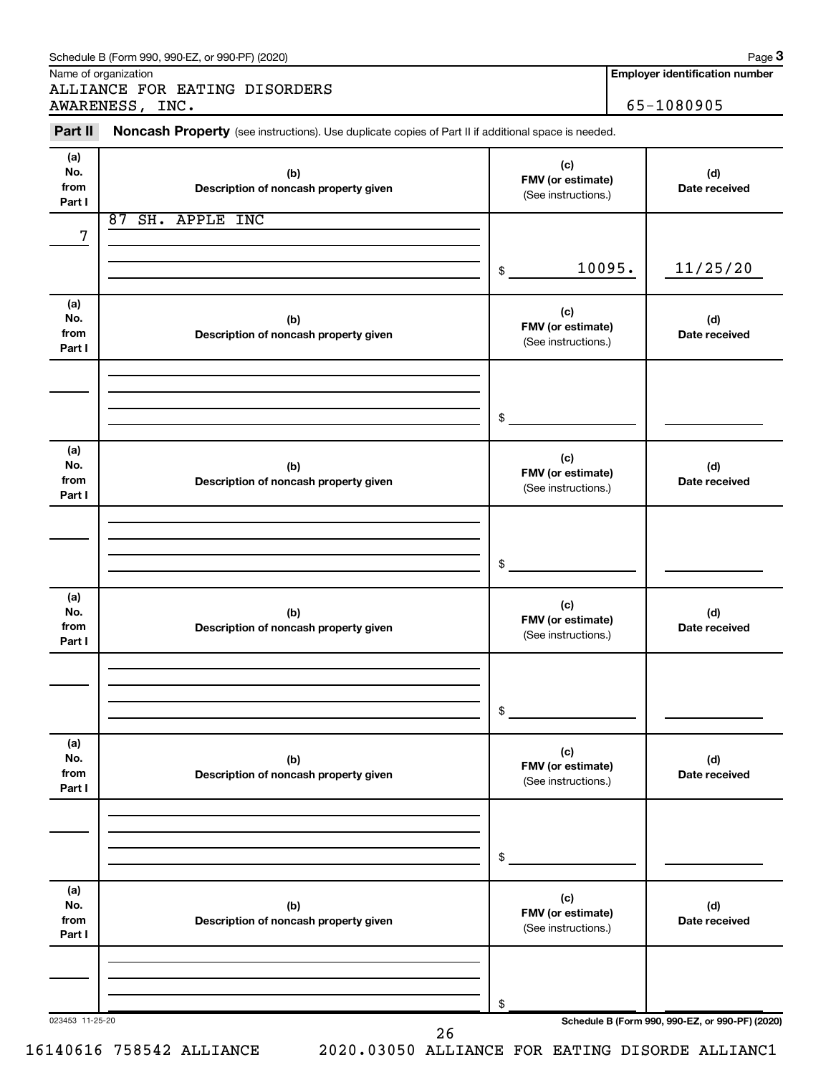|                              | ALLIANCE FOR EATING DISORDERS<br>AWARENESS, INC.                                                    |                                                 |        | 65-1080905                                      |
|------------------------------|-----------------------------------------------------------------------------------------------------|-------------------------------------------------|--------|-------------------------------------------------|
| Part II                      | Noncash Property (see instructions). Use duplicate copies of Part II if additional space is needed. |                                                 |        |                                                 |
| (a)<br>No.<br>from<br>Part I | (b)<br>Description of noncash property given                                                        | (c)<br>FMV (or estimate)<br>(See instructions.) |        | (d)<br>Date received                            |
|                              | 87 SH. APPLE INC                                                                                    |                                                 |        |                                                 |
| 7                            |                                                                                                     | \$                                              | 10095. | 11/25/20                                        |
| (a)<br>No.<br>from<br>Part I | (b)<br>Description of noncash property given                                                        | (c)<br>FMV (or estimate)<br>(See instructions.) |        | (d)<br>Date received                            |
|                              |                                                                                                     | \$                                              |        |                                                 |
| (a)<br>No.<br>from<br>Part I | (b)<br>Description of noncash property given                                                        | (c)<br>FMV (or estimate)<br>(See instructions.) |        | (d)<br>Date received                            |
|                              |                                                                                                     | \$                                              |        |                                                 |
| (a)<br>No.<br>from<br>Part I | (b)<br>Description of noncash property given                                                        | (c)<br>FMV (or estimate)<br>(See instructions.) |        | (d)<br>Date received                            |
|                              |                                                                                                     | \$                                              |        |                                                 |
| (a)<br>No.<br>from<br>Part I | (b)<br>Description of noncash property given                                                        | (c)<br>FMV (or estimate)<br>(See instructions.) |        | (d)<br>Date received                            |
|                              |                                                                                                     | \$                                              |        |                                                 |
| (a)<br>No.<br>from<br>Part I | (b)<br>Description of noncash property given                                                        | (c)<br>FMV (or estimate)<br>(See instructions.) |        | (d)<br>Date received                            |
|                              |                                                                                                     | \$                                              |        |                                                 |
| 023453 11-25-20              |                                                                                                     |                                                 |        | Schedule B (Form 990, 990-EZ, or 990-PF) (2020) |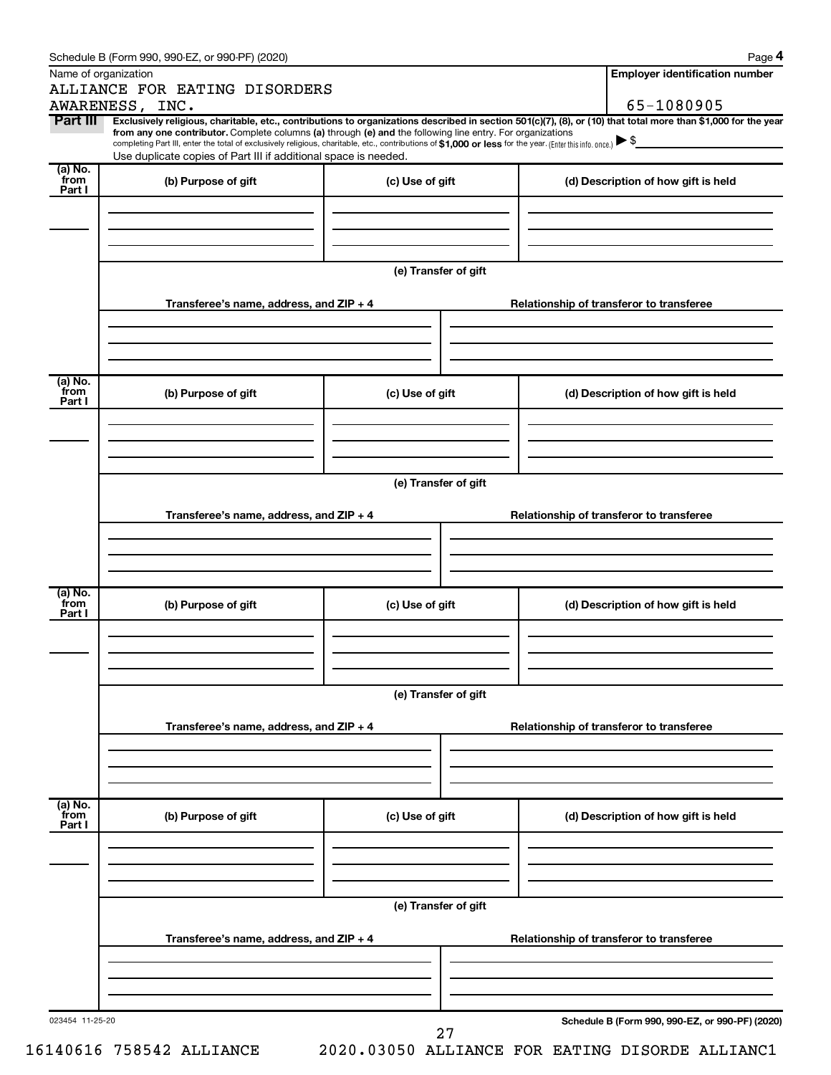| Name of organization      | ALLIANCE FOR EATING DISORDERS                                                                                                                                                                                                                                                                                                                                                                                                                                                                               |                      | <b>Employer identification number</b>           |
|---------------------------|-------------------------------------------------------------------------------------------------------------------------------------------------------------------------------------------------------------------------------------------------------------------------------------------------------------------------------------------------------------------------------------------------------------------------------------------------------------------------------------------------------------|----------------------|-------------------------------------------------|
|                           | AWARENESS, INC.                                                                                                                                                                                                                                                                                                                                                                                                                                                                                             |                      | 65-1080905                                      |
| Part III                  | Exclusively religious, charitable, etc., contributions to organizations described in section 501(c)(7), (8), or (10) that total more than \$1,000 for the year<br>from any one contributor. Complete columns (a) through (e) and the following line entry. For organizations<br>completing Part III, enter the total of exclusively religious, charitable, etc., contributions of \$1,000 or less for the year. (Enter this info. once.)<br>Use duplicate copies of Part III if additional space is needed. |                      |                                                 |
| (a) No.<br>from<br>Part I | (b) Purpose of gift                                                                                                                                                                                                                                                                                                                                                                                                                                                                                         | (c) Use of gift      | (d) Description of how gift is held             |
|                           |                                                                                                                                                                                                                                                                                                                                                                                                                                                                                                             |                      |                                                 |
|                           |                                                                                                                                                                                                                                                                                                                                                                                                                                                                                                             | (e) Transfer of gift |                                                 |
|                           | Transferee's name, address, and ZIP + 4                                                                                                                                                                                                                                                                                                                                                                                                                                                                     |                      | Relationship of transferor to transferee        |
| (a) No.<br>from           | (b) Purpose of gift                                                                                                                                                                                                                                                                                                                                                                                                                                                                                         | (c) Use of gift      | (d) Description of how gift is held             |
| Part I                    |                                                                                                                                                                                                                                                                                                                                                                                                                                                                                                             |                      |                                                 |
|                           |                                                                                                                                                                                                                                                                                                                                                                                                                                                                                                             | (e) Transfer of gift |                                                 |
|                           | Transferee's name, address, and $ZIP + 4$                                                                                                                                                                                                                                                                                                                                                                                                                                                                   |                      | Relationship of transferor to transferee        |
|                           |                                                                                                                                                                                                                                                                                                                                                                                                                                                                                                             |                      |                                                 |
| (a) No.<br>from<br>Part I | (b) Purpose of gift                                                                                                                                                                                                                                                                                                                                                                                                                                                                                         | (c) Use of gift      | (d) Description of how gift is held             |
|                           |                                                                                                                                                                                                                                                                                                                                                                                                                                                                                                             | (e) Transfer of gift |                                                 |
|                           | Transferee's name, address, and ZIP + 4                                                                                                                                                                                                                                                                                                                                                                                                                                                                     |                      | Relationship of transferor to transferee        |
|                           |                                                                                                                                                                                                                                                                                                                                                                                                                                                                                                             |                      |                                                 |
| (a) No.<br>from<br>Part I | (b) Purpose of gift                                                                                                                                                                                                                                                                                                                                                                                                                                                                                         | (c) Use of gift      | (d) Description of how gift is held             |
|                           |                                                                                                                                                                                                                                                                                                                                                                                                                                                                                                             | (e) Transfer of gift |                                                 |
|                           | Transferee's name, address, and ZIP + 4                                                                                                                                                                                                                                                                                                                                                                                                                                                                     |                      | Relationship of transferor to transferee        |
|                           |                                                                                                                                                                                                                                                                                                                                                                                                                                                                                                             |                      |                                                 |
| 023454 11-25-20           |                                                                                                                                                                                                                                                                                                                                                                                                                                                                                                             |                      | Schedule B (Form 990, 990-EZ, or 990-PF) (2020) |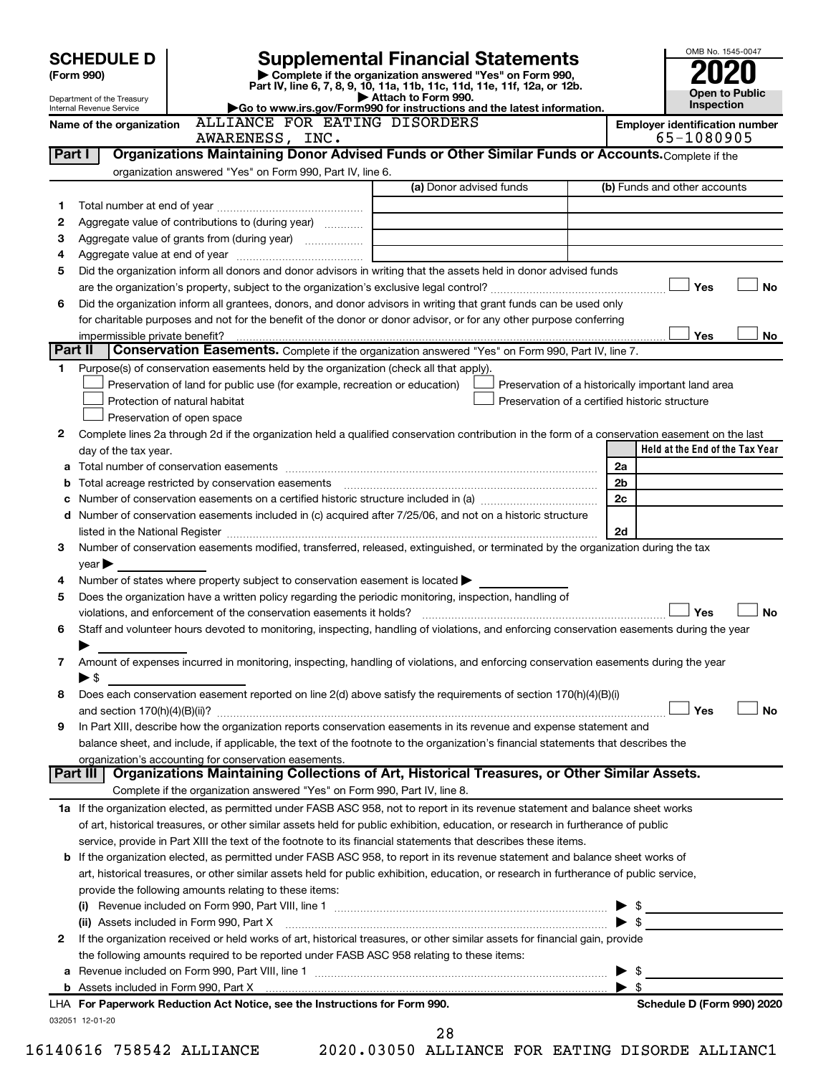| <b>SCHEDULE D</b><br>(Form 990) |                                                             |                                                                                                   | <b>Supplemental Financial Statements</b>                                                                                                                    |                                     |                                       | OMB No. 1545-0047               |  |           |
|---------------------------------|-------------------------------------------------------------|---------------------------------------------------------------------------------------------------|-------------------------------------------------------------------------------------------------------------------------------------------------------------|-------------------------------------|---------------------------------------|---------------------------------|--|-----------|
|                                 |                                                             |                                                                                                   | Complete if the organization answered "Yes" on Form 990,<br>Part IV, line 6, 7, 8, 9, 10, 11a, 11b, 11c, 11d, 11e, 11f, 12a, or 12b.<br>Attach to Form 990. |                                     |                                       |                                 |  |           |
|                                 | Department of the Treasury<br>Internal Revenue Service      | Go to www.irs.gov/Form990 for instructions and the latest information.                            |                                                                                                                                                             | <b>Open to Public</b><br>Inspection |                                       |                                 |  |           |
|                                 | Name of the organization                                    | ALLIANCE FOR EATING DISORDERS<br>AWARENESS, INC.                                                  |                                                                                                                                                             |                                     | <b>Employer identification number</b> | 65-1080905                      |  |           |
| Part I                          |                                                             |                                                                                                   | Organizations Maintaining Donor Advised Funds or Other Similar Funds or Accounts. Complete if the                                                           |                                     |                                       |                                 |  |           |
|                                 |                                                             | organization answered "Yes" on Form 990, Part IV, line 6.                                         |                                                                                                                                                             |                                     |                                       |                                 |  |           |
|                                 |                                                             |                                                                                                   | (a) Donor advised funds                                                                                                                                     |                                     | (b) Funds and other accounts          |                                 |  |           |
| 1<br>2                          |                                                             | Aggregate value of contributions to (during year)                                                 |                                                                                                                                                             |                                     |                                       |                                 |  |           |
| 3                               |                                                             | Aggregate value of grants from (during year)                                                      |                                                                                                                                                             |                                     |                                       |                                 |  |           |
| 4                               |                                                             |                                                                                                   |                                                                                                                                                             |                                     |                                       |                                 |  |           |
| 5                               |                                                             |                                                                                                   | Did the organization inform all donors and donor advisors in writing that the assets held in donor advised funds                                            |                                     |                                       |                                 |  |           |
|                                 |                                                             |                                                                                                   |                                                                                                                                                             |                                     |                                       | Yes                             |  | <b>No</b> |
| 6                               |                                                             |                                                                                                   | Did the organization inform all grantees, donors, and donor advisors in writing that grant funds can be used only                                           |                                     |                                       |                                 |  |           |
|                                 |                                                             |                                                                                                   | for charitable purposes and not for the benefit of the donor or donor advisor, or for any other purpose conferring                                          |                                     |                                       |                                 |  |           |
|                                 | impermissible private benefit?                              |                                                                                                   |                                                                                                                                                             |                                     |                                       | Yes                             |  | No        |
|                                 | Part II                                                     |                                                                                                   | Conservation Easements. Complete if the organization answered "Yes" on Form 990, Part IV, line 7.                                                           |                                     |                                       |                                 |  |           |
| 1.                              |                                                             | Purpose(s) of conservation easements held by the organization (check all that apply).             |                                                                                                                                                             |                                     |                                       |                                 |  |           |
|                                 |                                                             | Preservation of land for public use (for example, recreation or education)                        | Preservation of a historically important land area<br>Preservation of a certified historic structure                                                        |                                     |                                       |                                 |  |           |
|                                 | Protection of natural habitat<br>Preservation of open space |                                                                                                   |                                                                                                                                                             |                                     |                                       |                                 |  |           |
| 2                               |                                                             |                                                                                                   | Complete lines 2a through 2d if the organization held a qualified conservation contribution in the form of a conservation easement on the last              |                                     |                                       |                                 |  |           |
|                                 | day of the tax year.                                        |                                                                                                   |                                                                                                                                                             |                                     |                                       | Held at the End of the Tax Year |  |           |
| а                               |                                                             |                                                                                                   |                                                                                                                                                             |                                     | 2a                                    |                                 |  |           |
| b                               |                                                             |                                                                                                   |                                                                                                                                                             |                                     | 2b                                    |                                 |  |           |
| с                               |                                                             |                                                                                                   |                                                                                                                                                             |                                     | 2c                                    |                                 |  |           |
| d                               |                                                             |                                                                                                   | Number of conservation easements included in (c) acquired after 7/25/06, and not on a historic structure                                                    |                                     |                                       |                                 |  |           |
|                                 |                                                             |                                                                                                   |                                                                                                                                                             |                                     | 2d                                    |                                 |  |           |
| 3                               |                                                             |                                                                                                   | Number of conservation easements modified, transferred, released, extinguished, or terminated by the organization during the tax                            |                                     |                                       |                                 |  |           |
|                                 | $\vee$ ear $\blacktriangleright$                            |                                                                                                   |                                                                                                                                                             |                                     |                                       |                                 |  |           |
| 4                               |                                                             | Number of states where property subject to conservation easement is located $\blacktriangleright$ |                                                                                                                                                             |                                     |                                       |                                 |  |           |
| 5                               |                                                             |                                                                                                   | Does the organization have a written policy regarding the periodic monitoring, inspection, handling of                                                      |                                     |                                       |                                 |  |           |
|                                 |                                                             | violations, and enforcement of the conservation easements it holds?                               |                                                                                                                                                             |                                     |                                       | Yes                             |  | <b>No</b> |
| 6                               |                                                             |                                                                                                   | Staff and volunteer hours devoted to monitoring, inspecting, handling of violations, and enforcing conservation easements during the year                   |                                     |                                       |                                 |  |           |
| 7                               |                                                             |                                                                                                   | Amount of expenses incurred in monitoring, inspecting, handling of violations, and enforcing conservation easements during the year                         |                                     |                                       |                                 |  |           |
|                                 | $\blacktriangleright$ \$                                    |                                                                                                   |                                                                                                                                                             |                                     |                                       |                                 |  |           |
| 8                               |                                                             |                                                                                                   | Does each conservation easement reported on line 2(d) above satisfy the requirements of section 170(h)(4)(B)(i)                                             |                                     |                                       |                                 |  |           |
|                                 |                                                             |                                                                                                   |                                                                                                                                                             |                                     |                                       | Yes                             |  | <b>No</b> |
| 9                               |                                                             |                                                                                                   | In Part XIII, describe how the organization reports conservation easements in its revenue and expense statement and                                         |                                     |                                       |                                 |  |           |
|                                 |                                                             |                                                                                                   | balance sheet, and include, if applicable, the text of the footnote to the organization's financial statements that describes the                           |                                     |                                       |                                 |  |           |
|                                 |                                                             | organization's accounting for conservation easements.                                             |                                                                                                                                                             |                                     |                                       |                                 |  |           |
|                                 | Part III                                                    |                                                                                                   | Organizations Maintaining Collections of Art, Historical Treasures, or Other Similar Assets.                                                                |                                     |                                       |                                 |  |           |
|                                 |                                                             | Complete if the organization answered "Yes" on Form 990, Part IV, line 8.                         |                                                                                                                                                             |                                     |                                       |                                 |  |           |
|                                 |                                                             |                                                                                                   | 1a If the organization elected, as permitted under FASB ASC 958, not to report in its revenue statement and balance sheet works                             |                                     |                                       |                                 |  |           |
|                                 |                                                             |                                                                                                   | of art, historical treasures, or other similar assets held for public exhibition, education, or research in furtherance of public                           |                                     |                                       |                                 |  |           |
|                                 |                                                             |                                                                                                   | service, provide in Part XIII the text of the footnote to its financial statements that describes these items.                                              |                                     |                                       |                                 |  |           |
|                                 |                                                             |                                                                                                   | <b>b</b> If the organization elected, as permitted under FASB ASC 958, to report in its revenue statement and balance sheet works of                        |                                     |                                       |                                 |  |           |
|                                 |                                                             | provide the following amounts relating to these items:                                            | art, historical treasures, or other similar assets held for public exhibition, education, or research in furtherance of public service,                     |                                     |                                       |                                 |  |           |
|                                 |                                                             |                                                                                                   |                                                                                                                                                             |                                     |                                       |                                 |  |           |
|                                 | (ii) Assets included in Form 990, Part X                    |                                                                                                   |                                                                                                                                                             |                                     | $\blacktriangleright$ \$              | $\frac{1}{2}$                   |  |           |
| 2                               |                                                             |                                                                                                   | If the organization received or held works of art, historical treasures, or other similar assets for financial gain, provide                                |                                     |                                       |                                 |  |           |
|                                 |                                                             | the following amounts required to be reported under FASB ASC 958 relating to these items:         |                                                                                                                                                             |                                     |                                       |                                 |  |           |
|                                 |                                                             |                                                                                                   |                                                                                                                                                             |                                     | \$<br>▶                               |                                 |  |           |
|                                 |                                                             |                                                                                                   |                                                                                                                                                             |                                     | $\blacktriangleright$ \$              |                                 |  |           |
|                                 |                                                             | LHA For Paperwork Reduction Act Notice, see the Instructions for Form 990.                        |                                                                                                                                                             |                                     |                                       | Schedule D (Form 990) 2020      |  |           |
|                                 | 032051 12-01-20                                             |                                                                                                   |                                                                                                                                                             |                                     |                                       |                                 |  |           |
|                                 |                                                             |                                                                                                   | 28                                                                                                                                                          |                                     |                                       |                                 |  |           |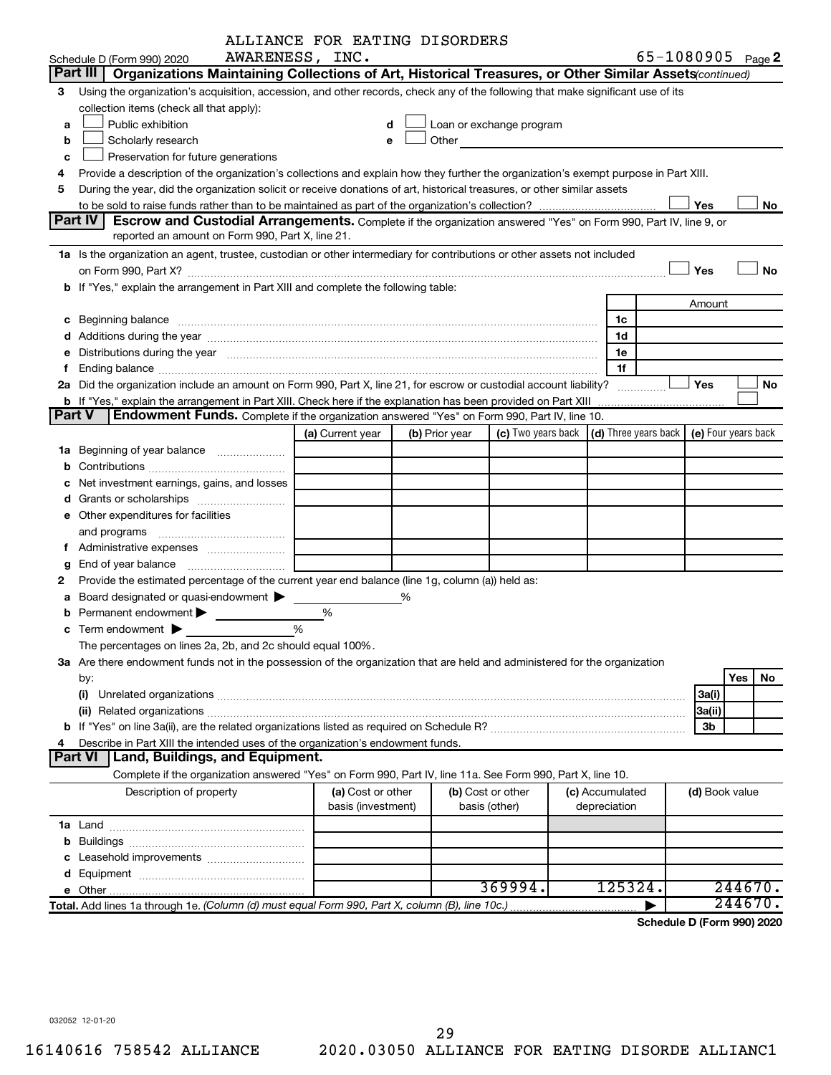|        |                                                                                                                                                                                                                                | ALLIANCE FOR EATING DISORDERS           |                |                                                                                                                                                                                                                               |  |                                 |  |                |                            |
|--------|--------------------------------------------------------------------------------------------------------------------------------------------------------------------------------------------------------------------------------|-----------------------------------------|----------------|-------------------------------------------------------------------------------------------------------------------------------------------------------------------------------------------------------------------------------|--|---------------------------------|--|----------------|----------------------------|
|        | Schedule D (Form 990) 2020                                                                                                                                                                                                     | AWARENESS, INC.                         |                |                                                                                                                                                                                                                               |  |                                 |  |                | 65-1080905 Page 2          |
|        | Part III   Organizations Maintaining Collections of Art, Historical Treasures, or Other Similar Assets (continued)                                                                                                             |                                         |                |                                                                                                                                                                                                                               |  |                                 |  |                |                            |
| 3      | Using the organization's acquisition, accession, and other records, check any of the following that make significant use of its                                                                                                |                                         |                |                                                                                                                                                                                                                               |  |                                 |  |                |                            |
|        | collection items (check all that apply):                                                                                                                                                                                       |                                         |                |                                                                                                                                                                                                                               |  |                                 |  |                |                            |
| a      | Public exhibition                                                                                                                                                                                                              | d                                       |                | Loan or exchange program                                                                                                                                                                                                      |  |                                 |  |                |                            |
| b      | Scholarly research                                                                                                                                                                                                             | e                                       |                | Other and the contract of the contract of the contract of the contract of the contract of the contract of the contract of the contract of the contract of the contract of the contract of the contract of the contract of the |  |                                 |  |                |                            |
| с      | Preservation for future generations                                                                                                                                                                                            |                                         |                |                                                                                                                                                                                                                               |  |                                 |  |                |                            |
| 4      | Provide a description of the organization's collections and explain how they further the organization's exempt purpose in Part XIII.                                                                                           |                                         |                |                                                                                                                                                                                                                               |  |                                 |  |                |                            |
| 5      | During the year, did the organization solicit or receive donations of art, historical treasures, or other similar assets                                                                                                       |                                         |                |                                                                                                                                                                                                                               |  |                                 |  |                |                            |
|        |                                                                                                                                                                                                                                |                                         |                |                                                                                                                                                                                                                               |  |                                 |  | Yes            | No                         |
|        | <b>Part IV</b><br><b>Escrow and Custodial Arrangements.</b> Complete if the organization answered "Yes" on Form 990, Part IV, line 9, or                                                                                       |                                         |                |                                                                                                                                                                                                                               |  |                                 |  |                |                            |
|        | reported an amount on Form 990, Part X, line 21.                                                                                                                                                                               |                                         |                |                                                                                                                                                                                                                               |  |                                 |  |                |                            |
|        | 1a Is the organization an agent, trustee, custodian or other intermediary for contributions or other assets not included                                                                                                       |                                         |                |                                                                                                                                                                                                                               |  |                                 |  |                |                            |
|        |                                                                                                                                                                                                                                |                                         |                |                                                                                                                                                                                                                               |  |                                 |  | Yes            | No                         |
|        | b If "Yes," explain the arrangement in Part XIII and complete the following table:                                                                                                                                             |                                         |                |                                                                                                                                                                                                                               |  |                                 |  |                |                            |
|        |                                                                                                                                                                                                                                |                                         |                |                                                                                                                                                                                                                               |  |                                 |  | Amount         |                            |
|        |                                                                                                                                                                                                                                |                                         |                |                                                                                                                                                                                                                               |  | 1c                              |  |                |                            |
|        |                                                                                                                                                                                                                                |                                         |                |                                                                                                                                                                                                                               |  | 1d                              |  |                |                            |
|        | e Distributions during the year manufactured and contained and contained and the year manufactured and contained and the year manufactured and contained and contained and contained and contained and contained and contained |                                         |                |                                                                                                                                                                                                                               |  | 1е                              |  |                |                            |
|        |                                                                                                                                                                                                                                |                                         |                |                                                                                                                                                                                                                               |  | 1f                              |  |                |                            |
|        | 2a Did the organization include an amount on Form 990, Part X, line 21, for escrow or custodial account liability?                                                                                                             |                                         |                |                                                                                                                                                                                                                               |  | .                               |  | Yes            | No                         |
|        | <b>b</b> If "Yes," explain the arrangement in Part XIII. Check here if the explanation has been provided on Part XIII                                                                                                          |                                         |                |                                                                                                                                                                                                                               |  |                                 |  |                |                            |
| Part V | Endowment Funds. Complete if the organization answered "Yes" on Form 990, Part IV, line 10.                                                                                                                                    |                                         |                |                                                                                                                                                                                                                               |  |                                 |  |                |                            |
|        |                                                                                                                                                                                                                                | (a) Current year                        | (b) Prior year | (c) Two years back $\vert$ (d) Three years back $\vert$                                                                                                                                                                       |  |                                 |  |                | (e) Four years back        |
|        |                                                                                                                                                                                                                                |                                         |                |                                                                                                                                                                                                                               |  |                                 |  |                |                            |
|        |                                                                                                                                                                                                                                |                                         |                |                                                                                                                                                                                                                               |  |                                 |  |                |                            |
|        | Net investment earnings, gains, and losses                                                                                                                                                                                     |                                         |                |                                                                                                                                                                                                                               |  |                                 |  |                |                            |
|        |                                                                                                                                                                                                                                |                                         |                |                                                                                                                                                                                                                               |  |                                 |  |                |                            |
|        | e Other expenditures for facilities                                                                                                                                                                                            |                                         |                |                                                                                                                                                                                                                               |  |                                 |  |                |                            |
|        |                                                                                                                                                                                                                                |                                         |                |                                                                                                                                                                                                                               |  |                                 |  |                |                            |
|        |                                                                                                                                                                                                                                |                                         |                |                                                                                                                                                                                                                               |  |                                 |  |                |                            |
|        |                                                                                                                                                                                                                                |                                         |                |                                                                                                                                                                                                                               |  |                                 |  |                |                            |
| 2      | Provide the estimated percentage of the current year end balance (line 1g, column (a)) held as:                                                                                                                                |                                         |                |                                                                                                                                                                                                                               |  |                                 |  |                |                            |
|        | a Board designated or quasi-endowment >                                                                                                                                                                                        |                                         | ℅              |                                                                                                                                                                                                                               |  |                                 |  |                |                            |
|        | Permanent endowment >                                                                                                                                                                                                          | %                                       |                |                                                                                                                                                                                                                               |  |                                 |  |                |                            |
|        | <b>c</b> Term endowment $\blacktriangleright$                                                                                                                                                                                  | %                                       |                |                                                                                                                                                                                                                               |  |                                 |  |                |                            |
|        | The percentages on lines 2a, 2b, and 2c should equal 100%.                                                                                                                                                                     |                                         |                |                                                                                                                                                                                                                               |  |                                 |  |                |                            |
|        | 3a Are there endowment funds not in the possession of the organization that are held and administered for the organization                                                                                                     |                                         |                |                                                                                                                                                                                                                               |  |                                 |  |                |                            |
|        | by:                                                                                                                                                                                                                            |                                         |                |                                                                                                                                                                                                                               |  |                                 |  |                | Yes<br>No.                 |
|        | (i)                                                                                                                                                                                                                            |                                         |                |                                                                                                                                                                                                                               |  |                                 |  | 3a(i)          |                            |
|        |                                                                                                                                                                                                                                |                                         |                |                                                                                                                                                                                                                               |  |                                 |  | 3a(ii)         |                            |
|        |                                                                                                                                                                                                                                |                                         |                |                                                                                                                                                                                                                               |  |                                 |  | 3b             |                            |
| 4      | Describe in Part XIII the intended uses of the organization's endowment funds.                                                                                                                                                 |                                         |                |                                                                                                                                                                                                                               |  |                                 |  |                |                            |
|        | Land, Buildings, and Equipment.<br><b>Part VI</b>                                                                                                                                                                              |                                         |                |                                                                                                                                                                                                                               |  |                                 |  |                |                            |
|        | Complete if the organization answered "Yes" on Form 990, Part IV, line 11a. See Form 990, Part X, line 10.                                                                                                                     |                                         |                |                                                                                                                                                                                                                               |  |                                 |  |                |                            |
|        | Description of property                                                                                                                                                                                                        | (a) Cost or other<br>basis (investment) |                | (b) Cost or other<br>basis (other)                                                                                                                                                                                            |  | (c) Accumulated<br>depreciation |  | (d) Book value |                            |
|        |                                                                                                                                                                                                                                |                                         |                |                                                                                                                                                                                                                               |  |                                 |  |                |                            |
|        |                                                                                                                                                                                                                                |                                         |                |                                                                                                                                                                                                                               |  |                                 |  |                |                            |
|        |                                                                                                                                                                                                                                |                                         |                |                                                                                                                                                                                                                               |  |                                 |  |                |                            |
|        |                                                                                                                                                                                                                                |                                         |                |                                                                                                                                                                                                                               |  |                                 |  |                |                            |
|        |                                                                                                                                                                                                                                |                                         |                | 369994.                                                                                                                                                                                                                       |  | 125324.                         |  |                | 244670.                    |
|        | Total. Add lines 1a through 1e. (Column (d) must equal Form 990, Part X, column (B), line 10c.)                                                                                                                                |                                         |                |                                                                                                                                                                                                                               |  |                                 |  |                | 244670.                    |
|        |                                                                                                                                                                                                                                |                                         |                |                                                                                                                                                                                                                               |  |                                 |  |                | Schedule D (Form 990) 2020 |
|        |                                                                                                                                                                                                                                |                                         |                |                                                                                                                                                                                                                               |  |                                 |  |                |                            |

032052 12-01-20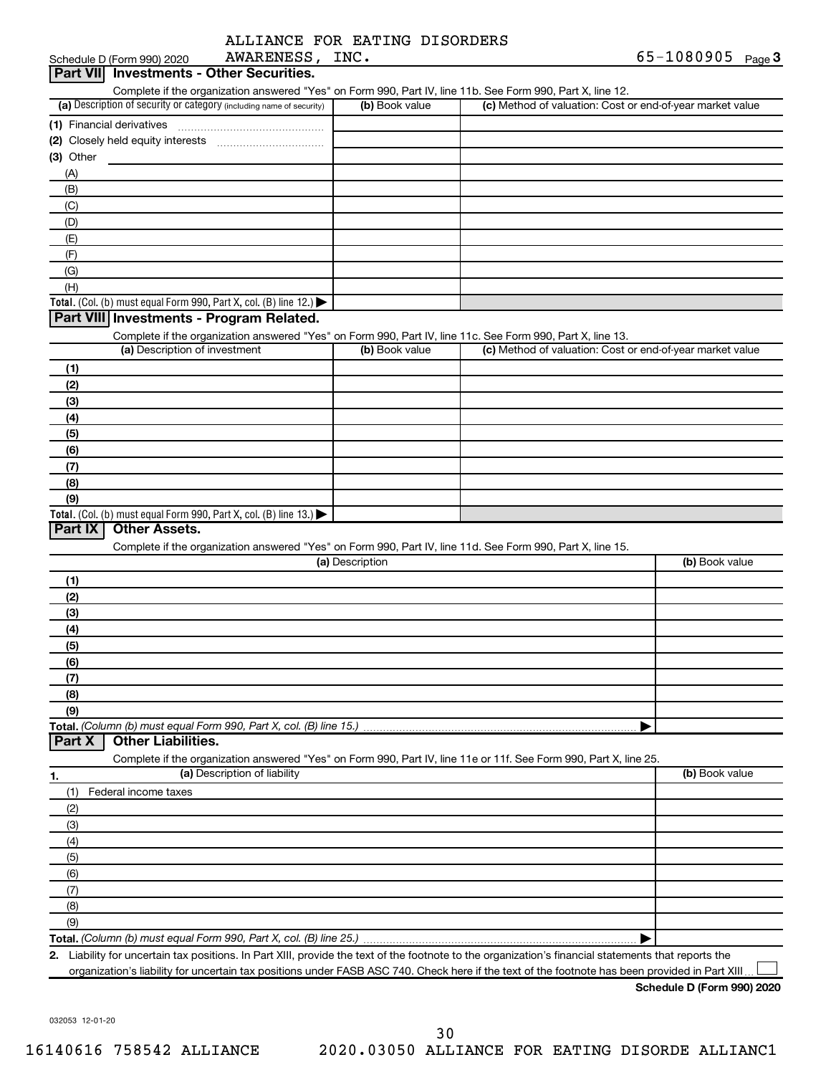|  | ALLIANCE FOR EATING DISORDERS |
|--|-------------------------------|
|  |                               |

| <b>Part VII</b> Investments - Other Securities.                                                                                                      |                 |                                                           |                |
|------------------------------------------------------------------------------------------------------------------------------------------------------|-----------------|-----------------------------------------------------------|----------------|
| Complete if the organization answered "Yes" on Form 990, Part IV, line 11b. See Form 990, Part X, line 12.                                           |                 |                                                           |                |
| (a) Description of security or category (including name of security)                                                                                 | (b) Book value  | (c) Method of valuation: Cost or end-of-year market value |                |
| (1) Financial derivatives                                                                                                                            |                 |                                                           |                |
|                                                                                                                                                      |                 |                                                           |                |
| (3) Other                                                                                                                                            |                 |                                                           |                |
| (A)                                                                                                                                                  |                 |                                                           |                |
| (B)                                                                                                                                                  |                 |                                                           |                |
| (C)<br>(D)                                                                                                                                           |                 |                                                           |                |
| (E)                                                                                                                                                  |                 |                                                           |                |
| (F)                                                                                                                                                  |                 |                                                           |                |
| (G)                                                                                                                                                  |                 |                                                           |                |
| (H)                                                                                                                                                  |                 |                                                           |                |
| Total. (Col. (b) must equal Form 990, Part X, col. (B) line 12.) $\blacktriangleright$                                                               |                 |                                                           |                |
| Part VIII Investments - Program Related.                                                                                                             |                 |                                                           |                |
| Complete if the organization answered "Yes" on Form 990, Part IV, line 11c. See Form 990, Part X, line 13.                                           |                 |                                                           |                |
| (a) Description of investment                                                                                                                        | (b) Book value  | (c) Method of valuation: Cost or end-of-year market value |                |
| (1)                                                                                                                                                  |                 |                                                           |                |
| (2)                                                                                                                                                  |                 |                                                           |                |
| (3)                                                                                                                                                  |                 |                                                           |                |
| (4)                                                                                                                                                  |                 |                                                           |                |
| (5)                                                                                                                                                  |                 |                                                           |                |
| (6)<br>(7)                                                                                                                                           |                 |                                                           |                |
| (8)                                                                                                                                                  |                 |                                                           |                |
| (9)                                                                                                                                                  |                 |                                                           |                |
| Total. (Col. (b) must equal Form 990, Part X, col. (B) line 13.)                                                                                     |                 |                                                           |                |
| <b>Other Assets.</b><br>Part IX                                                                                                                      |                 |                                                           |                |
| Complete if the organization answered "Yes" on Form 990, Part IV, line 11d. See Form 990, Part X, line 15.                                           |                 |                                                           |                |
|                                                                                                                                                      | (a) Description |                                                           | (b) Book value |
| (1)                                                                                                                                                  |                 |                                                           |                |
| (2)                                                                                                                                                  |                 |                                                           |                |
| (3)                                                                                                                                                  |                 |                                                           |                |
| (4)<br>(5)                                                                                                                                           |                 |                                                           |                |
| (6)                                                                                                                                                  |                 |                                                           |                |
| (7)                                                                                                                                                  |                 |                                                           |                |
| (8)                                                                                                                                                  |                 |                                                           |                |
| (9)                                                                                                                                                  |                 |                                                           |                |
| Total. (Column (b) must equal Form 990, Part X, col. (B) line 15.)                                                                                   |                 |                                                           |                |
| <b>Other Liabilities.</b><br>Part X                                                                                                                  |                 |                                                           |                |
| Complete if the organization answered "Yes" on Form 990, Part IV, line 11e or 11f. See Form 990, Part X, line 25.                                    |                 |                                                           |                |
| (a) Description of liability<br>1.                                                                                                                   |                 |                                                           | (b) Book value |
| (1)<br>Federal income taxes                                                                                                                          |                 |                                                           |                |
| (2)                                                                                                                                                  |                 |                                                           |                |
| (3)                                                                                                                                                  |                 |                                                           |                |
| (4)                                                                                                                                                  |                 |                                                           |                |
| (5)                                                                                                                                                  |                 |                                                           |                |
| (6)<br>(7)                                                                                                                                           |                 |                                                           |                |
| (8)                                                                                                                                                  |                 |                                                           |                |
| (9)                                                                                                                                                  |                 |                                                           |                |
|                                                                                                                                                      |                 |                                                           |                |
| 2. Liability for uncertain tax positions. In Part XIII, provide the text of the footnote to the organization's financial statements that reports the |                 |                                                           |                |

organization's liability for uncertain tax positions under FASB ASC 740. Check here if the text of the footnote has been provided in Part XIII...

**Schedule D (Form 990) 2020**

032053 12-01-20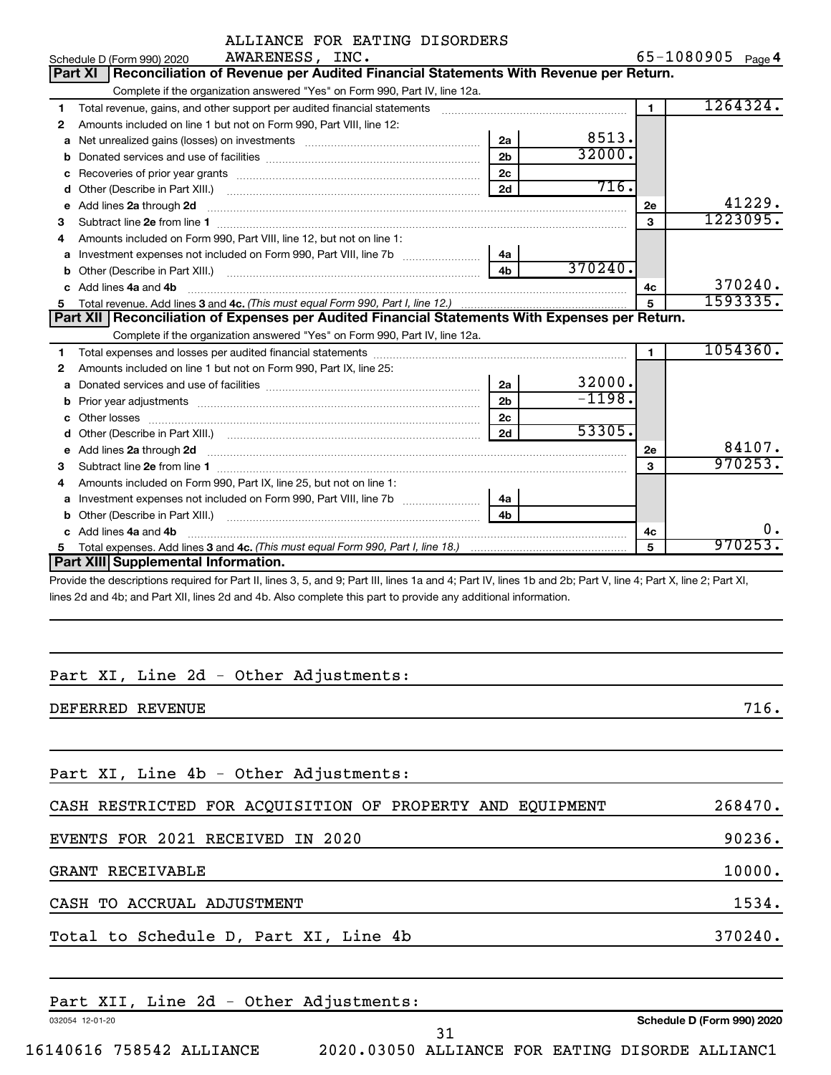|                | ALLIANCE FOR EATING DISORDERS                                                                                                                                                                                                       |                |          |              |                   |
|----------------|-------------------------------------------------------------------------------------------------------------------------------------------------------------------------------------------------------------------------------------|----------------|----------|--------------|-------------------|
|                | AWARENESS, INC.<br>Schedule D (Form 990) 2020                                                                                                                                                                                       |                |          |              | 65-1080905 Page 4 |
| <b>Part XI</b> | Reconciliation of Revenue per Audited Financial Statements With Revenue per Return.                                                                                                                                                 |                |          |              |                   |
|                | Complete if the organization answered "Yes" on Form 990, Part IV, line 12a.                                                                                                                                                         |                |          |              |                   |
| 1              | Total revenue, gains, and other support per audited financial statements                                                                                                                                                            |                |          | $\mathbf{1}$ | 1264324.          |
| 2              | Amounts included on line 1 but not on Form 990, Part VIII, line 12:                                                                                                                                                                 |                |          |              |                   |
| a              |                                                                                                                                                                                                                                     | 2a             | 8513.    |              |                   |
| b              |                                                                                                                                                                                                                                     | 2 <sub>b</sub> | 32000.   |              |                   |
| с              |                                                                                                                                                                                                                                     | 2 <sub>c</sub> |          |              |                   |
| d              |                                                                                                                                                                                                                                     | 2d             | 716.     |              |                   |
| e              | Add lines 2a through 2d                                                                                                                                                                                                             |                |          | 2e           | 41229.            |
| 3              |                                                                                                                                                                                                                                     |                |          | 3            | 1223095.          |
| 4              | Amounts included on Form 990, Part VIII, line 12, but not on line 1:                                                                                                                                                                |                |          |              |                   |
| a              |                                                                                                                                                                                                                                     | 4a             |          |              |                   |
| b              |                                                                                                                                                                                                                                     | 4 <sub>h</sub> | 370240.  |              |                   |
| c              | Add lines 4a and 4b                                                                                                                                                                                                                 |                |          | 4c           | 370240.           |
|                |                                                                                                                                                                                                                                     |                | 5        | 1593335.     |                   |
|                | Part XII   Reconciliation of Expenses per Audited Financial Statements With Expenses per Return.                                                                                                                                    |                |          |              |                   |
|                | Complete if the organization answered "Yes" on Form 990, Part IV, line 12a.                                                                                                                                                         |                |          |              |                   |
| 1              |                                                                                                                                                                                                                                     |                |          | 1            | 1054360.          |
| 2              | Amounts included on line 1 but not on Form 990, Part IX, line 25:                                                                                                                                                                   |                |          |              |                   |
| a              |                                                                                                                                                                                                                                     | 2a             | 32000.   |              |                   |
| b              |                                                                                                                                                                                                                                     | 2 <sub>b</sub> | $-1198.$ |              |                   |
|                |                                                                                                                                                                                                                                     | 2c             |          |              |                   |
|                |                                                                                                                                                                                                                                     | 2d             | 53305.   |              |                   |
| е              | Add lines 2a through 2d <b>continuum continuum contract and continuum contract a</b> through 2d continuum contract and continuum contract a term of the state of the state of the state of the state of the state of the state of t |                |          | 2е           | 84107.            |
| 3              |                                                                                                                                                                                                                                     |                |          | 3            | 970253.           |
| 4              | Amounts included on Form 990, Part IX, line 25, but not on line 1:                                                                                                                                                                  |                |          |              |                   |
| a              |                                                                                                                                                                                                                                     | 4a             |          |              |                   |
| b              |                                                                                                                                                                                                                                     | 4 <sub>b</sub> |          |              |                   |
| c              | Add lines 4a and 4b                                                                                                                                                                                                                 |                |          | 4с           |                   |
| 5              |                                                                                                                                                                                                                                     |                |          | 5            | 970253.           |
|                | Part XIII Supplemental Information.                                                                                                                                                                                                 |                |          |              |                   |

Provide the descriptions required for Part II, lines 3, 5, and 9; Part III, lines 1a and 4; Part IV, lines 1b and 2b; Part V, line 4; Part X, line 2; Part XI, lines 2d and 4b; and Part XII, lines 2d and 4b. Also complete this part to provide any additional information.

# Part XI, Line 2d - Other Adjustments:

| DEFERRED REVENUE                                          | 716.    |
|-----------------------------------------------------------|---------|
|                                                           |         |
| Part XI, Line 4b - Other Adjustments:                     |         |
| CASH RESTRICTED FOR ACQUISITION OF PROPERTY AND EQUIPMENT | 268470. |
| EVENTS FOR 2021 RECEIVED IN 2020                          | 90236.  |
| <b>GRANT RECEIVABLE</b>                                   | 10000.  |
| CASH TO ACCRUAL ADJUSTMENT                                | 1534.   |
| Total to Schedule D, Part XI, Line 4b                     | 370240. |
|                                                           |         |

|                          |  |  | Part XII, Line 2d - Other Adjustments:          |  |  |                            |
|--------------------------|--|--|-------------------------------------------------|--|--|----------------------------|
| 032054 12-01-20          |  |  |                                                 |  |  | Schedule D (Form 990) 2020 |
|                          |  |  |                                                 |  |  |                            |
| 16140616 758542 ALLIANCE |  |  | 2020.03050 ALLIANCE FOR EATING DISORDE ALLIANC1 |  |  |                            |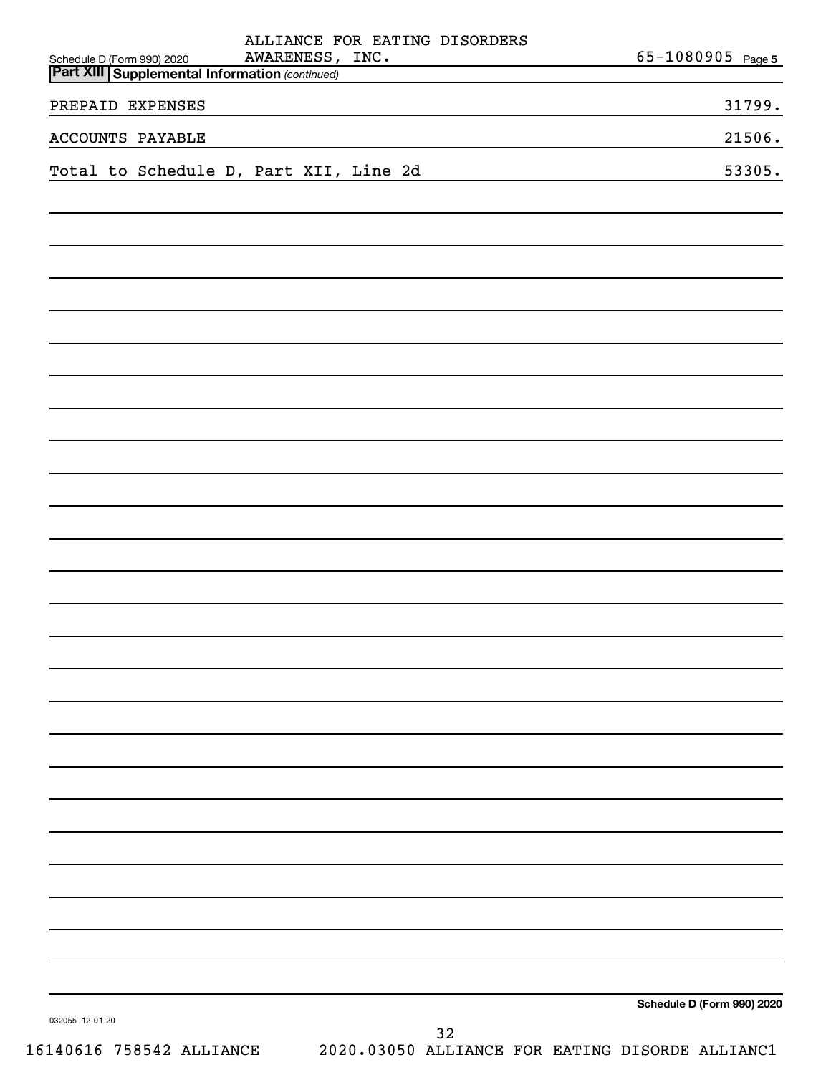| ALLIANCE FOR EATING DISORDERS                                                                                                                                         |                            |
|-----------------------------------------------------------------------------------------------------------------------------------------------------------------------|----------------------------|
| AWARENESS, INC.<br>Schedule D (Form 990) 2020<br>the control of the control of the control of the control of<br><b>Part XIII Supplemental Information (continued)</b> | 65-1080905 Page 5          |
| PREPAID EXPENSES                                                                                                                                                      | 31799.                     |
| <b>ACCOUNTS PAYABLE</b>                                                                                                                                               | 21506.                     |
| Total to Schedule D, Part XII, Line 2d                                                                                                                                | 53305.                     |
|                                                                                                                                                                       |                            |
|                                                                                                                                                                       |                            |
|                                                                                                                                                                       |                            |
|                                                                                                                                                                       |                            |
|                                                                                                                                                                       |                            |
|                                                                                                                                                                       |                            |
|                                                                                                                                                                       |                            |
|                                                                                                                                                                       |                            |
|                                                                                                                                                                       |                            |
|                                                                                                                                                                       |                            |
|                                                                                                                                                                       |                            |
|                                                                                                                                                                       |                            |
|                                                                                                                                                                       |                            |
|                                                                                                                                                                       |                            |
|                                                                                                                                                                       |                            |
|                                                                                                                                                                       |                            |
|                                                                                                                                                                       |                            |
|                                                                                                                                                                       |                            |
|                                                                                                                                                                       |                            |
|                                                                                                                                                                       |                            |
|                                                                                                                                                                       |                            |
|                                                                                                                                                                       |                            |
|                                                                                                                                                                       |                            |
|                                                                                                                                                                       |                            |
|                                                                                                                                                                       |                            |
|                                                                                                                                                                       |                            |
|                                                                                                                                                                       | Schedule D (Form 990) 2020 |
| 032055 12-01-20<br>32                                                                                                                                                 |                            |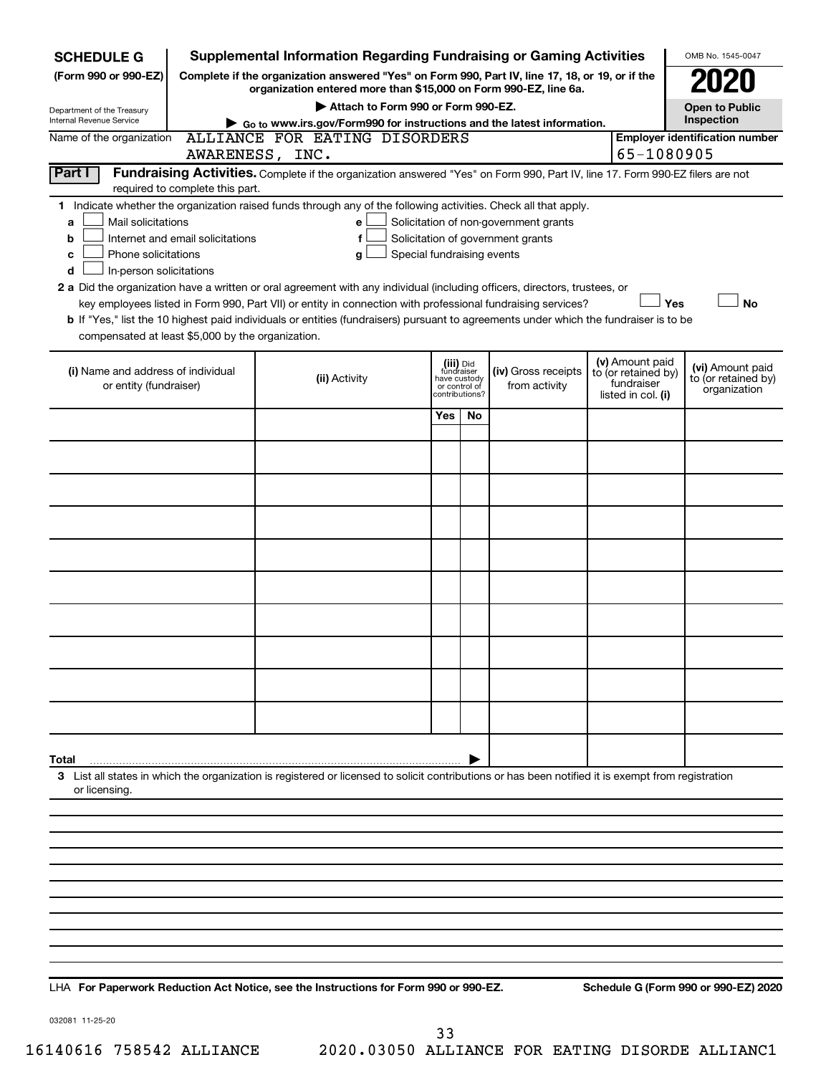| <b>SCHEDULE G</b>                                                                                                                                                              |                                                                                                 | <b>Supplemental Information Regarding Fundraising or Gaming Activities</b>                                                                         |              |                                 |                                   |                                        |     | OMB No. 1545-0047                     |  |
|--------------------------------------------------------------------------------------------------------------------------------------------------------------------------------|-------------------------------------------------------------------------------------------------|----------------------------------------------------------------------------------------------------------------------------------------------------|--------------|---------------------------------|-----------------------------------|----------------------------------------|-----|---------------------------------------|--|
| (Form 990 or 990-EZ)                                                                                                                                                           | Complete if the organization answered "Yes" on Form 990, Part IV, line 17, 18, or 19, or if the |                                                                                                                                                    |              |                                 |                                   |                                        |     |                                       |  |
| Department of the Treasury                                                                                                                                                     |                                                                                                 | organization entered more than \$15,000 on Form 990-EZ, line 6a.<br>Attach to Form 990 or Form 990-EZ.<br><b>Open to Public</b>                    |              |                                 |                                   |                                        |     |                                       |  |
| Internal Revenue Service                                                                                                                                                       |                                                                                                 | Go to www.irs.gov/Form990 for instructions and the latest information.                                                                             |              |                                 |                                   |                                        |     | Inspection                            |  |
| Name of the organization                                                                                                                                                       |                                                                                                 | ALLIANCE FOR EATING DISORDERS<br>AWARENESS, INC.                                                                                                   |              |                                 |                                   | 65-1080905                             |     | <b>Employer identification number</b> |  |
| Part I                                                                                                                                                                         |                                                                                                 | Fundraising Activities. Complete if the organization answered "Yes" on Form 990, Part IV, line 17. Form 990-EZ filers are not                      |              |                                 |                                   |                                        |     |                                       |  |
|                                                                                                                                                                                | required to complete this part.                                                                 |                                                                                                                                                    |              |                                 |                                   |                                        |     |                                       |  |
| 1 Indicate whether the organization raised funds through any of the following activities. Check all that apply.<br>Mail solicitations<br>Solicitation of non-government grants |                                                                                                 |                                                                                                                                                    |              |                                 |                                   |                                        |     |                                       |  |
| a<br>b                                                                                                                                                                         | Internet and email solicitations                                                                | e<br>f                                                                                                                                             |              |                                 | Solicitation of government grants |                                        |     |                                       |  |
| Phone solicitations<br>c                                                                                                                                                       |                                                                                                 | Special fundraising events<br>g                                                                                                                    |              |                                 |                                   |                                        |     |                                       |  |
| In-person solicitations<br>d                                                                                                                                                   |                                                                                                 |                                                                                                                                                    |              |                                 |                                   |                                        |     |                                       |  |
|                                                                                                                                                                                |                                                                                                 | 2 a Did the organization have a written or oral agreement with any individual (including officers, directors, trustees, or                         |              |                                 |                                   |                                        |     |                                       |  |
|                                                                                                                                                                                |                                                                                                 | key employees listed in Form 990, Part VII) or entity in connection with professional fundraising services?                                        |              |                                 |                                   |                                        | Yes | <b>No</b>                             |  |
|                                                                                                                                                                                |                                                                                                 | b If "Yes," list the 10 highest paid individuals or entities (fundraisers) pursuant to agreements under which the fundraiser is to be              |              |                                 |                                   |                                        |     |                                       |  |
| compensated at least \$5,000 by the organization.                                                                                                                              |                                                                                                 |                                                                                                                                                    |              |                                 |                                   |                                        |     |                                       |  |
| (i) Name and address of individual                                                                                                                                             |                                                                                                 |                                                                                                                                                    |              | (iii) Did<br>fundraiser         | (iv) Gross receipts               | (v) Amount paid<br>to (or retained by) |     | (vi) Amount paid                      |  |
| or entity (fundraiser)                                                                                                                                                         |                                                                                                 | (ii) Activity                                                                                                                                      | have custody | or control of<br>contributions? | from activity                     | fundraiser                             |     | to (or retained by)<br>organization   |  |
|                                                                                                                                                                                |                                                                                                 |                                                                                                                                                    |              |                                 |                                   | listed in col. (i)                     |     |                                       |  |
|                                                                                                                                                                                |                                                                                                 |                                                                                                                                                    | Yes          | No                              |                                   |                                        |     |                                       |  |
|                                                                                                                                                                                |                                                                                                 |                                                                                                                                                    |              |                                 |                                   |                                        |     |                                       |  |
|                                                                                                                                                                                |                                                                                                 |                                                                                                                                                    |              |                                 |                                   |                                        |     |                                       |  |
|                                                                                                                                                                                |                                                                                                 |                                                                                                                                                    |              |                                 |                                   |                                        |     |                                       |  |
|                                                                                                                                                                                |                                                                                                 |                                                                                                                                                    |              |                                 |                                   |                                        |     |                                       |  |
|                                                                                                                                                                                |                                                                                                 |                                                                                                                                                    |              |                                 |                                   |                                        |     |                                       |  |
|                                                                                                                                                                                |                                                                                                 |                                                                                                                                                    |              |                                 |                                   |                                        |     |                                       |  |
|                                                                                                                                                                                |                                                                                                 |                                                                                                                                                    |              |                                 |                                   |                                        |     |                                       |  |
|                                                                                                                                                                                |                                                                                                 |                                                                                                                                                    |              |                                 |                                   |                                        |     |                                       |  |
|                                                                                                                                                                                |                                                                                                 |                                                                                                                                                    |              |                                 |                                   |                                        |     |                                       |  |
|                                                                                                                                                                                |                                                                                                 |                                                                                                                                                    |              |                                 |                                   |                                        |     |                                       |  |
|                                                                                                                                                                                |                                                                                                 |                                                                                                                                                    |              |                                 |                                   |                                        |     |                                       |  |
|                                                                                                                                                                                |                                                                                                 |                                                                                                                                                    |              |                                 |                                   |                                        |     |                                       |  |
| Total                                                                                                                                                                          |                                                                                                 |                                                                                                                                                    |              |                                 |                                   |                                        |     |                                       |  |
| or licensing.                                                                                                                                                                  |                                                                                                 | 3 List all states in which the organization is registered or licensed to solicit contributions or has been notified it is exempt from registration |              |                                 |                                   |                                        |     |                                       |  |
|                                                                                                                                                                                |                                                                                                 |                                                                                                                                                    |              |                                 |                                   |                                        |     |                                       |  |
|                                                                                                                                                                                |                                                                                                 |                                                                                                                                                    |              |                                 |                                   |                                        |     |                                       |  |
|                                                                                                                                                                                |                                                                                                 |                                                                                                                                                    |              |                                 |                                   |                                        |     |                                       |  |
|                                                                                                                                                                                |                                                                                                 |                                                                                                                                                    |              |                                 |                                   |                                        |     |                                       |  |
|                                                                                                                                                                                |                                                                                                 |                                                                                                                                                    |              |                                 |                                   |                                        |     |                                       |  |
|                                                                                                                                                                                |                                                                                                 |                                                                                                                                                    |              |                                 |                                   |                                        |     |                                       |  |
|                                                                                                                                                                                |                                                                                                 |                                                                                                                                                    |              |                                 |                                   |                                        |     |                                       |  |
|                                                                                                                                                                                |                                                                                                 |                                                                                                                                                    |              |                                 |                                   |                                        |     |                                       |  |

**For Paperwork Reduction Act Notice, see the Instructions for Form 990 or 990-EZ. Schedule G (Form 990 or 990-EZ) 2020** LHA

032081 11-25-20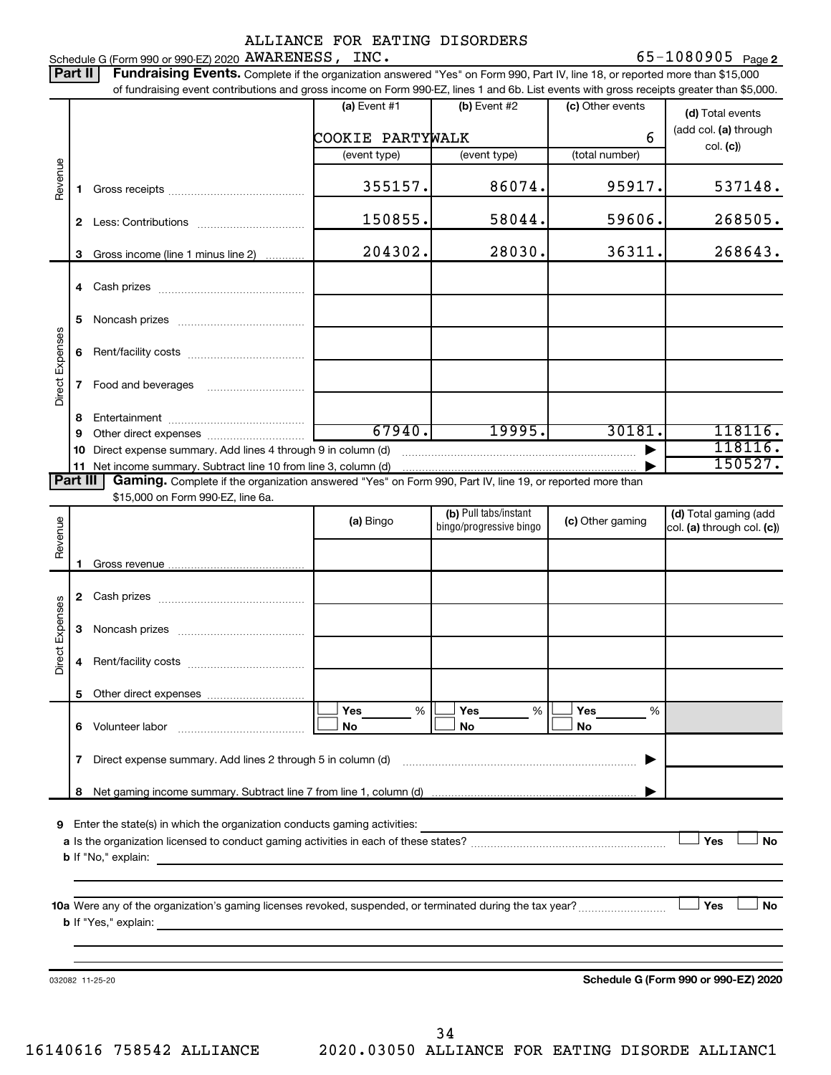65-1080905 Page 2 Schedule G (Form 990 or 990-EZ) 2020 Page AWARENESS, INC. 65-1080905

|                 | Part II        | Fundraising Events. Complete if the organization answered "Yes" on Form 990, Part IV, line 18, or reported more than \$15,000                                                                                                                                                               |                  |                                                      |                       |                                                     |
|-----------------|----------------|---------------------------------------------------------------------------------------------------------------------------------------------------------------------------------------------------------------------------------------------------------------------------------------------|------------------|------------------------------------------------------|-----------------------|-----------------------------------------------------|
|                 |                | of fundraising event contributions and gross income on Form 990-EZ, lines 1 and 6b. List events with gross receipts greater than \$5,000.                                                                                                                                                   | (a) Event $#1$   | (b) Event #2                                         | (c) Other events      |                                                     |
|                 |                |                                                                                                                                                                                                                                                                                             |                  |                                                      |                       | (d) Total events                                    |
|                 |                |                                                                                                                                                                                                                                                                                             | COOKIE PARTYWALK |                                                      | 6                     | (add col. (a) through<br>col. (c)                   |
|                 |                |                                                                                                                                                                                                                                                                                             | (event type)     | (event type)                                         | (total number)        |                                                     |
| Revenue         | 1.             |                                                                                                                                                                                                                                                                                             | 355157.          | 86074.                                               | 95917.                | 537148.                                             |
|                 | 2.             |                                                                                                                                                                                                                                                                                             | 150855.          | 58044.                                               | 59606.                | 268505.                                             |
|                 |                |                                                                                                                                                                                                                                                                                             |                  |                                                      |                       |                                                     |
|                 | 3              | Gross income (line 1 minus line 2)                                                                                                                                                                                                                                                          | 204302.          | 28030.                                               | 36311.                | 268643.                                             |
|                 |                |                                                                                                                                                                                                                                                                                             |                  |                                                      |                       |                                                     |
|                 | 5              |                                                                                                                                                                                                                                                                                             |                  |                                                      |                       |                                                     |
| Direct Expenses | 6              |                                                                                                                                                                                                                                                                                             |                  |                                                      |                       |                                                     |
|                 | 7              |                                                                                                                                                                                                                                                                                             |                  |                                                      |                       |                                                     |
|                 | 8              |                                                                                                                                                                                                                                                                                             |                  |                                                      |                       |                                                     |
|                 | 9              |                                                                                                                                                                                                                                                                                             | 67940.           | 19995.                                               | 30181.                | 118116.                                             |
|                 | 10             | Direct expense summary. Add lines 4 through 9 in column (d)                                                                                                                                                                                                                                 |                  |                                                      |                       | 118116.<br>150527.                                  |
|                 | 11<br>Part III | Gaming. Complete if the organization answered "Yes" on Form 990, Part IV, line 19, or reported more than                                                                                                                                                                                    |                  |                                                      |                       |                                                     |
|                 |                | \$15,000 on Form 990-EZ, line 6a.                                                                                                                                                                                                                                                           |                  |                                                      |                       |                                                     |
| Revenue         |                |                                                                                                                                                                                                                                                                                             | (a) Bingo        | (b) Pull tabs/instant<br>bingo/progressive bingo     | (c) Other gaming      | (d) Total gaming (add<br>col. (a) through col. (c)) |
|                 |                |                                                                                                                                                                                                                                                                                             |                  |                                                      |                       |                                                     |
|                 |                |                                                                                                                                                                                                                                                                                             |                  |                                                      |                       |                                                     |
|                 | 2              |                                                                                                                                                                                                                                                                                             |                  |                                                      |                       |                                                     |
|                 |                |                                                                                                                                                                                                                                                                                             |                  |                                                      |                       |                                                     |
| Direct Expenses | 3              |                                                                                                                                                                                                                                                                                             |                  |                                                      |                       |                                                     |
|                 | 4              |                                                                                                                                                                                                                                                                                             |                  |                                                      |                       |                                                     |
|                 | 5.             |                                                                                                                                                                                                                                                                                             |                  |                                                      |                       |                                                     |
|                 |                |                                                                                                                                                                                                                                                                                             | Yes<br>%<br>No.  | <b>Yes</b><br>%<br>No                                | <b>Yes</b><br>%<br>No |                                                     |
|                 |                |                                                                                                                                                                                                                                                                                             |                  |                                                      |                       |                                                     |
|                 | 7              | Direct expense summary. Add lines 2 through 5 in column (d)                                                                                                                                                                                                                                 |                  |                                                      |                       |                                                     |
|                 | 8              |                                                                                                                                                                                                                                                                                             |                  |                                                      |                       |                                                     |
|                 |                |                                                                                                                                                                                                                                                                                             |                  |                                                      |                       |                                                     |
| 9               |                | Enter the state(s) in which the organization conducts gaming activities:                                                                                                                                                                                                                    |                  | <u> 1980 - Johann Stoff, Amerikaansk politiker (</u> |                       | Yes                                                 |
|                 |                |                                                                                                                                                                                                                                                                                             |                  |                                                      |                       | No                                                  |
|                 |                |                                                                                                                                                                                                                                                                                             |                  |                                                      |                       |                                                     |
|                 |                |                                                                                                                                                                                                                                                                                             |                  |                                                      |                       |                                                     |
|                 |                |                                                                                                                                                                                                                                                                                             |                  |                                                      |                       | Yes<br>No                                           |
|                 |                | <b>b</b> If "Yes," explain: $\frac{1}{2}$ and $\frac{1}{2}$ and $\frac{1}{2}$ and $\frac{1}{2}$ and $\frac{1}{2}$ and $\frac{1}{2}$ and $\frac{1}{2}$ and $\frac{1}{2}$ and $\frac{1}{2}$ and $\frac{1}{2}$ and $\frac{1}{2}$ and $\frac{1}{2}$ and $\frac{1}{2}$ and $\frac{1}{2}$ and $\$ |                  |                                                      |                       |                                                     |
|                 |                |                                                                                                                                                                                                                                                                                             |                  |                                                      |                       |                                                     |
|                 |                | 032082 11-25-20                                                                                                                                                                                                                                                                             |                  |                                                      |                       | Schedule G (Form 990 or 990-EZ) 2020                |
|                 |                |                                                                                                                                                                                                                                                                                             |                  |                                                      |                       |                                                     |
|                 |                |                                                                                                                                                                                                                                                                                             |                  |                                                      |                       |                                                     |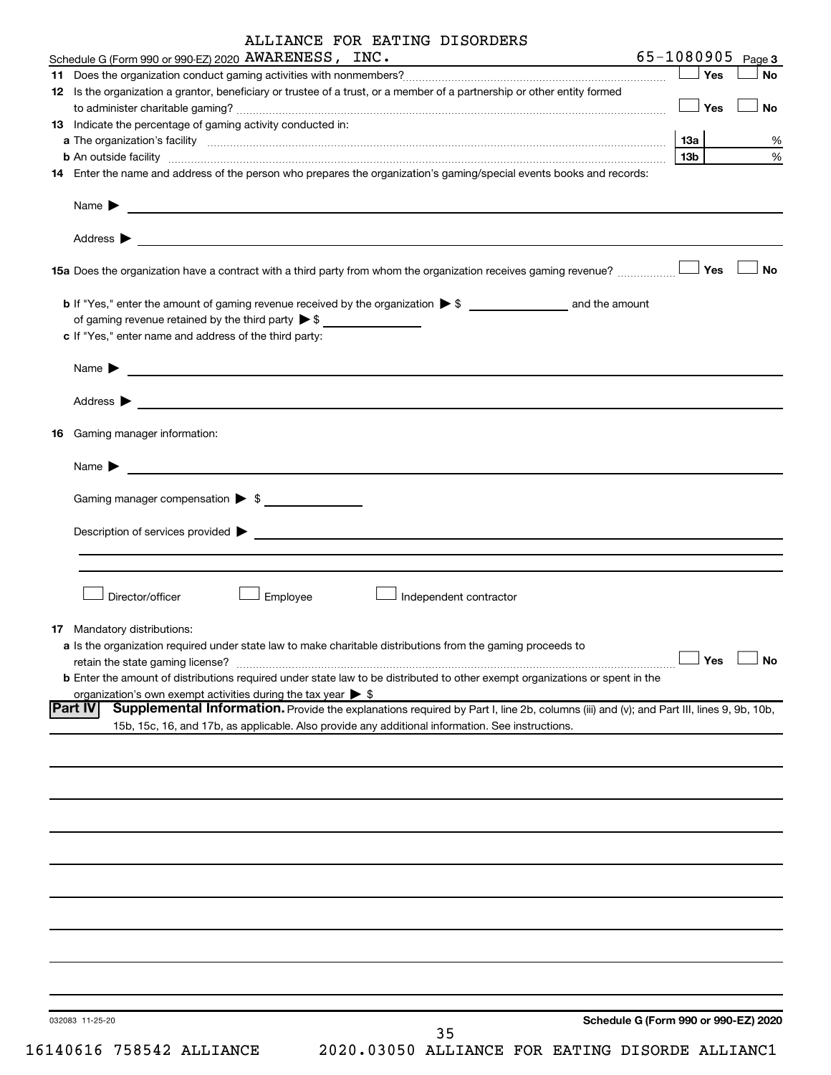|    | ALLIANCE FOR EATING DISORDERS                                                                                                                                                                                                             |            |     |                   |
|----|-------------------------------------------------------------------------------------------------------------------------------------------------------------------------------------------------------------------------------------------|------------|-----|-------------------|
|    | Schedule G (Form 990 or 990-EZ) 2020 AWARENESS, INC.                                                                                                                                                                                      |            |     | 65-1080905 Page 3 |
|    |                                                                                                                                                                                                                                           | $\Box$ Yes |     | No                |
|    | 12 Is the organization a grantor, beneficiary or trustee of a trust, or a member of a partnership or other entity formed                                                                                                                  | $\Box$ Yes |     | No                |
|    | 13 Indicate the percentage of gaming activity conducted in:                                                                                                                                                                               |            |     |                   |
|    |                                                                                                                                                                                                                                           | 1За        |     | %                 |
|    | <b>b</b> An outside facility <b>contained and the contract of the contract of the contract of the contract of the contract of the contract of the contract of the contract of the contract of the contract of the contract of the con</b> | 13b        |     | %                 |
|    | 14 Enter the name and address of the person who prepares the organization's gaming/special events books and records:                                                                                                                      |            |     |                   |
|    | Name $\blacktriangleright$<br><u> 1989 - Johann John Stone, Amerikaansk politiker (</u>                                                                                                                                                   |            |     |                   |
|    |                                                                                                                                                                                                                                           |            |     |                   |
|    |                                                                                                                                                                                                                                           |            |     | <b>No</b>         |
|    | of gaming revenue retained by the third party $\triangleright$ \$                                                                                                                                                                         |            |     |                   |
|    | c If "Yes," enter name and address of the third party:                                                                                                                                                                                    |            |     |                   |
|    | Name $\blacktriangleright$<br><u> 1989 - Andrea Andrew Maria (h. 1989).</u>                                                                                                                                                               |            |     |                   |
|    |                                                                                                                                                                                                                                           |            |     |                   |
| 16 | Gaming manager information:                                                                                                                                                                                                               |            |     |                   |
|    | Name $\blacktriangleright$<br><u> 1989 - Johann Harry Harry Harry Harry Harry Harry Harry Harry Harry Harry Harry Harry Harry Harry Harry Harry</u>                                                                                       |            |     |                   |
|    | Gaming manager compensation > \$                                                                                                                                                                                                          |            |     |                   |
|    | Description of services provided states and the contract of the contract of the contract of the contract of the contract of the contract of the contract of the contract of the contract of the contract of the contract of th            |            |     |                   |
|    |                                                                                                                                                                                                                                           |            |     |                   |
|    |                                                                                                                                                                                                                                           |            |     |                   |
|    | Director/officer<br>Employee<br>Independent contractor                                                                                                                                                                                    |            |     |                   |
|    | 17 Mandatory distributions:                                                                                                                                                                                                               |            |     |                   |
|    | a Is the organization required under state law to make charitable distributions from the gaming proceeds to                                                                                                                               |            |     |                   |
|    | retain the state gaming license?                                                                                                                                                                                                          |            | Yes | <b>No</b>         |
|    | <b>b</b> Enter the amount of distributions required under state law to be distributed to other exempt organizations or spent in the                                                                                                       |            |     |                   |
|    | organization's own exempt activities during the tax year $\triangleright$ \$<br><b>Part IV</b><br>Supplemental Information. Provide the explanations required by Part I, line 2b, columns (iii) and (v); and Part III, lines 9, 9b, 10b,  |            |     |                   |
|    | 15b, 15c, 16, and 17b, as applicable. Also provide any additional information. See instructions.                                                                                                                                          |            |     |                   |
|    |                                                                                                                                                                                                                                           |            |     |                   |
|    |                                                                                                                                                                                                                                           |            |     |                   |
|    |                                                                                                                                                                                                                                           |            |     |                   |
|    |                                                                                                                                                                                                                                           |            |     |                   |
|    |                                                                                                                                                                                                                                           |            |     |                   |
|    |                                                                                                                                                                                                                                           |            |     |                   |
|    |                                                                                                                                                                                                                                           |            |     |                   |
|    |                                                                                                                                                                                                                                           |            |     |                   |
|    |                                                                                                                                                                                                                                           |            |     |                   |
|    |                                                                                                                                                                                                                                           |            |     |                   |

032083 11-25-20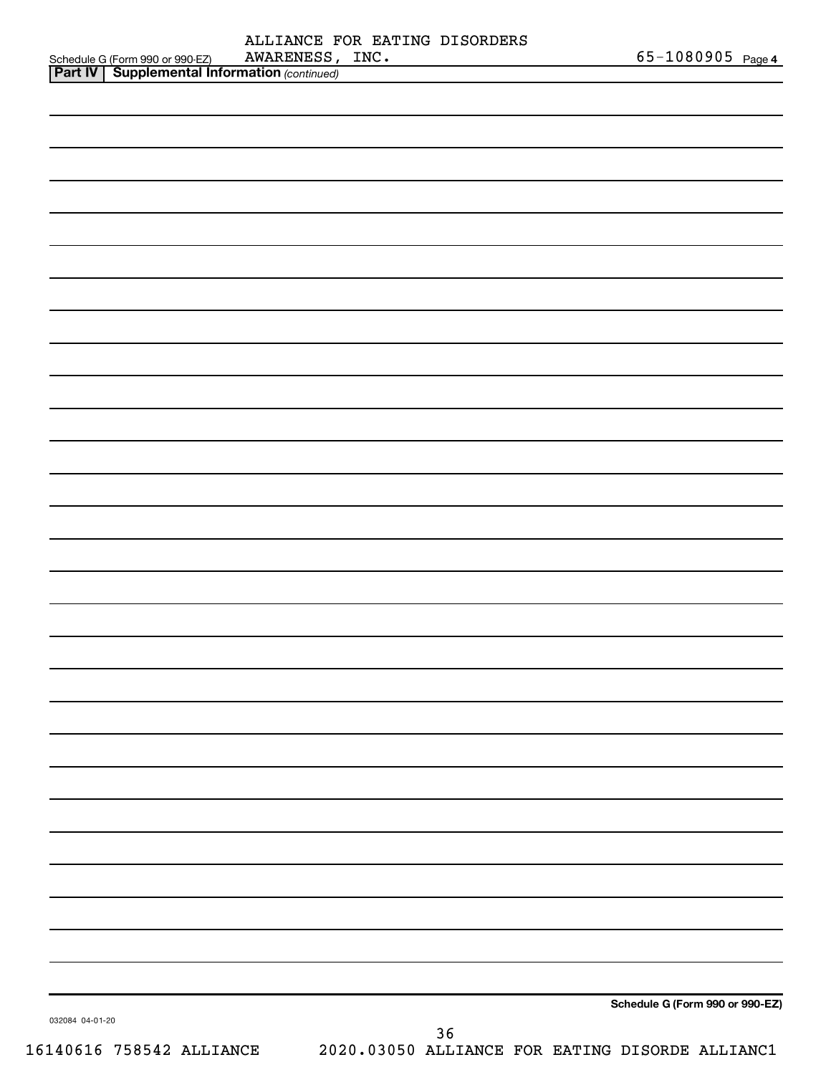| 65-1080905 $_{Page 4}$<br>INC.<br>AWARENESS ,<br>Schedule G (Form 990 or 990-EZ) |  |
|----------------------------------------------------------------------------------|--|
| ALLIANCE FOR EATING DISORDERS                                                    |  |

|                 | <b>Part IV   Supplemental Information (continued)</b> |    |                                 |
|-----------------|-------------------------------------------------------|----|---------------------------------|
|                 |                                                       |    |                                 |
|                 |                                                       |    |                                 |
|                 |                                                       |    |                                 |
|                 |                                                       |    |                                 |
|                 |                                                       |    |                                 |
|                 |                                                       |    |                                 |
|                 |                                                       |    |                                 |
|                 |                                                       |    |                                 |
|                 |                                                       |    |                                 |
|                 |                                                       |    |                                 |
|                 |                                                       |    |                                 |
|                 |                                                       |    |                                 |
|                 |                                                       |    |                                 |
|                 |                                                       |    |                                 |
|                 |                                                       |    |                                 |
|                 |                                                       |    |                                 |
|                 |                                                       |    |                                 |
|                 |                                                       |    |                                 |
|                 |                                                       |    |                                 |
|                 |                                                       |    |                                 |
|                 |                                                       |    |                                 |
|                 |                                                       |    |                                 |
|                 |                                                       |    |                                 |
|                 |                                                       |    |                                 |
|                 |                                                       |    |                                 |
|                 |                                                       |    |                                 |
|                 |                                                       |    |                                 |
|                 |                                                       |    |                                 |
| 032084 04-01-20 |                                                       |    | Schedule G (Form 990 or 990-EZ) |
|                 |                                                       | 36 |                                 |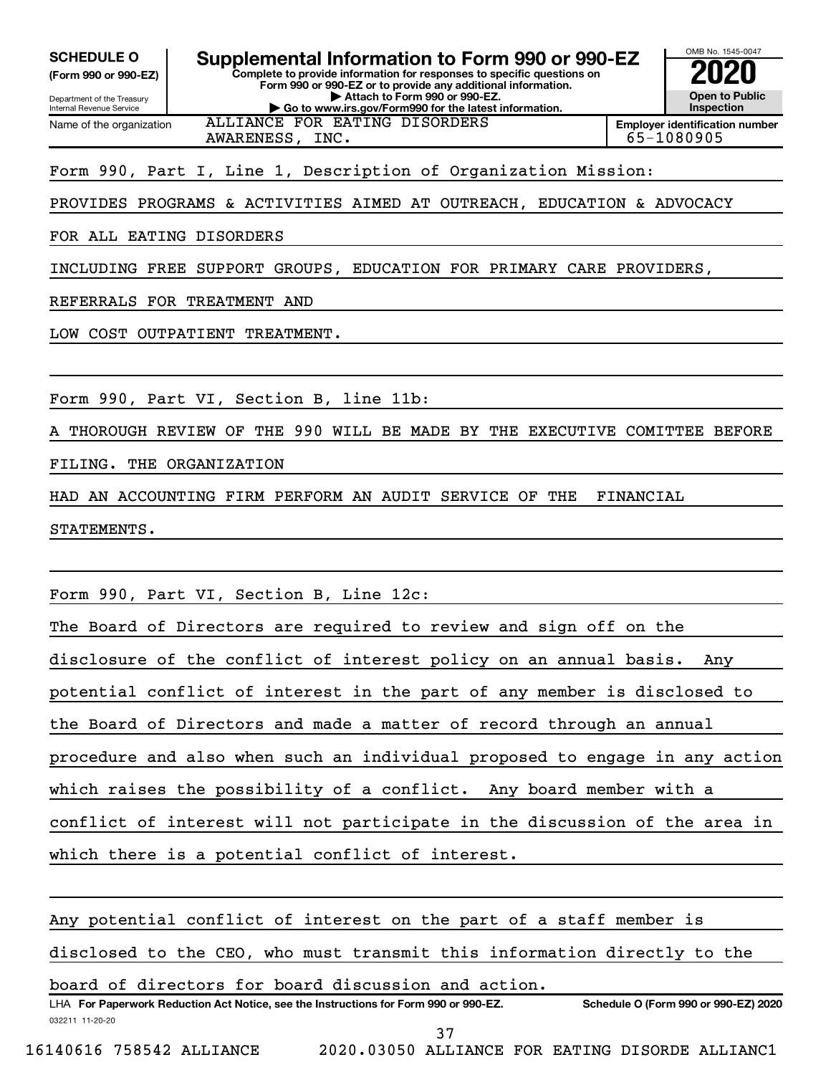**(Form 990 or 990-EZ)**

Department of the Treasury Internal Revenue Service Name of the organization

#### **Complete to provide information for responses to specific questions on Form 990 or 990-EZ or to provide any additional information. | Attach to Form 990 or 990-EZ. | Go to www.irs.gov/Form990 for the latest information. SCHEDULE O Supplemental Information to Form 990 or 990-EZ 2020**<br>(Form 990 or 990-EZ) **2020**

**Open to Public Inspection Employer identification number**

OMB No. 1545-0047

AWARENESS, INC. 65-1080905

# Form 990, Part I, Line 1, Description of Organization Mission:

ALLIANCE FOR EATING DISORDERS

PROVIDES PROGRAMS & ACTIVITIES AIMED AT OUTREACH, EDUCATION & ADVOCACY

FOR ALL EATING DISORDERS

INCLUDING FREE SUPPORT GROUPS, EDUCATION FOR PRIMARY CARE PROVIDERS,

REFERRALS FOR TREATMENT AND

LOW COST OUTPATIENT TREATMENT.

Form 990, Part VI, Section B, line 11b:

THOROUGH REVIEW OF THE 990 WILL BE MADE BY THE EXECUTIVE COMITTEE BEFORE

FILING. THE ORGANIZATION

HAD AN ACCOUNTING FIRM PERFORM AN AUDIT SERVICE OF THE FINANCIAL

STATEMENTS.

Form 990, Part VI, Section B, Line 12c:

The Board of Directors are required to review and sign off on the disclosure of the conflict of interest policy on an annual basis. Any potential conflict of interest in the part of any member is disclosed to the Board of Directors and made a matter of record through an annual procedure and also when such an individual proposed to engage in any action which raises the possibility of a conflict. Any board member with a conflict of interest will not participate in the discussion of the area in which there is a potential conflict of interest.

Any potential conflict of interest on the part of a staff member is disclosed to the CEO, who must transmit this information directly to the

board of directors for board discussion and action.

032211 11-20-20 **For Paperwork Reduction Act Notice, see the Instructions for Form 990 or 990-EZ. Schedule O (Form 990 or 990-EZ) 2020** LHA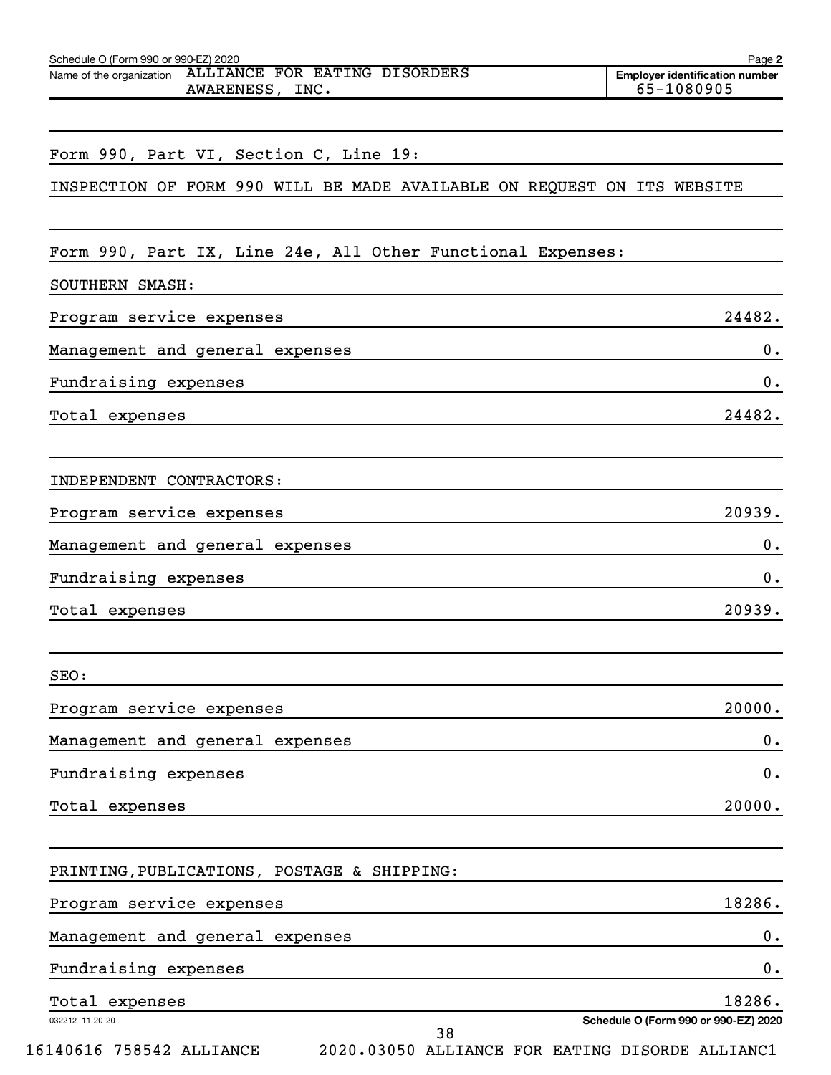| Schedule O (Form 990 or 990-EZ) 2020<br>Name of the organization ALLIANCE FOR EATING DISORDERS | Page 2<br><b>Employer identification number</b> |
|------------------------------------------------------------------------------------------------|-------------------------------------------------|
| AWARENESS, INC.                                                                                | 65-1080905                                      |
| Form 990, Part VI, Section C, Line 19:                                                         |                                                 |
| INSPECTION OF FORM 990 WILL BE MADE AVAILABLE ON REQUEST ON ITS WEBSITE                        |                                                 |
| Form 990, Part IX, Line 24e, All Other Functional Expenses:                                    |                                                 |
| SOUTHERN SMASH:                                                                                |                                                 |
| Program service expenses                                                                       | 24482.                                          |
| Management and general expenses                                                                | 0.                                              |
| Fundraising expenses                                                                           | 0.                                              |
| Total expenses                                                                                 | 24482.                                          |
| INDEPENDENT CONTRACTORS:                                                                       |                                                 |
| Program service expenses                                                                       | 20939.                                          |
| Management and general expenses                                                                | 0.                                              |
| Fundraising expenses                                                                           | 0.                                              |
| Total expenses                                                                                 | 20939.                                          |
| SEO:                                                                                           |                                                 |
| Program service expenses                                                                       | 20000.                                          |
| Management and general expenses                                                                | 0.                                              |
| Fundraising expenses                                                                           | 0.                                              |
| Total expenses                                                                                 | 20000.                                          |
| PRINTING, PUBLICATIONS, POSTAGE & SHIPPING:                                                    |                                                 |
| Program service expenses                                                                       | 18286.                                          |
| Management and general expenses                                                                | 0.                                              |
| Fundraising expenses                                                                           | 0.                                              |
| Total expenses                                                                                 | 18286.                                          |
| 032212 11-20-20<br>38                                                                          | Schedule O (Form 990 or 990-EZ) 2020            |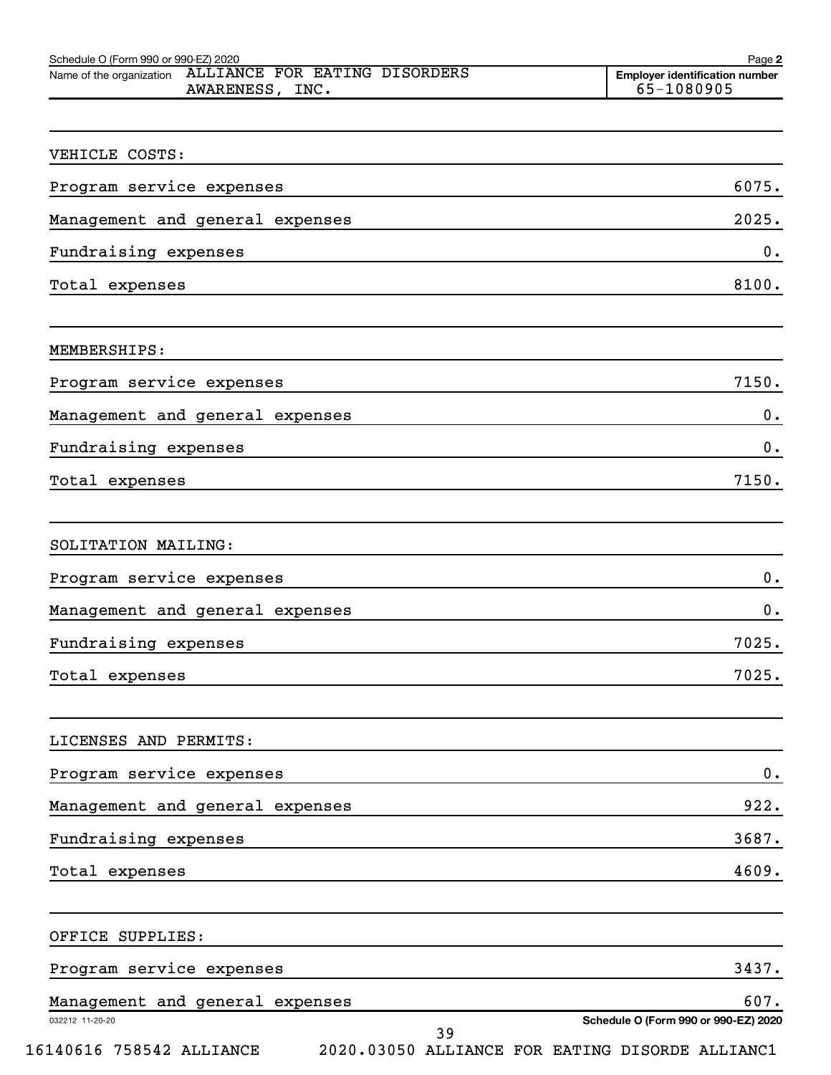| Schedule O (Form 990 or 990-EZ) 2020<br>Name of the organization ALLIANCE FOR EATING DISORDERS | Page 2<br><b>Employer identification number</b> |
|------------------------------------------------------------------------------------------------|-------------------------------------------------|
| AWARENESS, INC.                                                                                | 65-1080905                                      |
|                                                                                                |                                                 |
| VEHICLE COSTS:                                                                                 |                                                 |
| Program service expenses                                                                       | 6075.                                           |
| Management and general expenses                                                                | 2025.                                           |
| Fundraising expenses                                                                           | 0.                                              |
| Total expenses                                                                                 | 8100.                                           |
| MEMBERSHIPS:                                                                                   |                                                 |
| Program service expenses                                                                       | 7150.                                           |
| Management and general expenses                                                                | 0.                                              |
| Fundraising expenses                                                                           | 0.                                              |
| Total expenses                                                                                 | 7150.                                           |
| SOLITATION MAILING:                                                                            |                                                 |
| Program service expenses                                                                       | 0.                                              |
| Management and general expenses                                                                | 0.                                              |
| Fundraising expenses                                                                           | 7025.                                           |
| Total expenses                                                                                 | 7025.                                           |
| LICENSES AND PERMITS:                                                                          |                                                 |
| Program service expenses                                                                       | $\mathbf 0$ .                                   |
| Management and general expenses                                                                | 922.                                            |
| Fundraising expenses                                                                           | 3687.                                           |
| Total expenses                                                                                 | 4609.                                           |
| OFFICE SUPPLIES:                                                                               |                                                 |

| Program service expenses        |     | 3437.                                |
|---------------------------------|-----|--------------------------------------|
| Management and general expenses |     | 607.                                 |
| 032212 11-20-20                 | ว ด | Schedule O (Form 990 or 990-EZ) 2020 |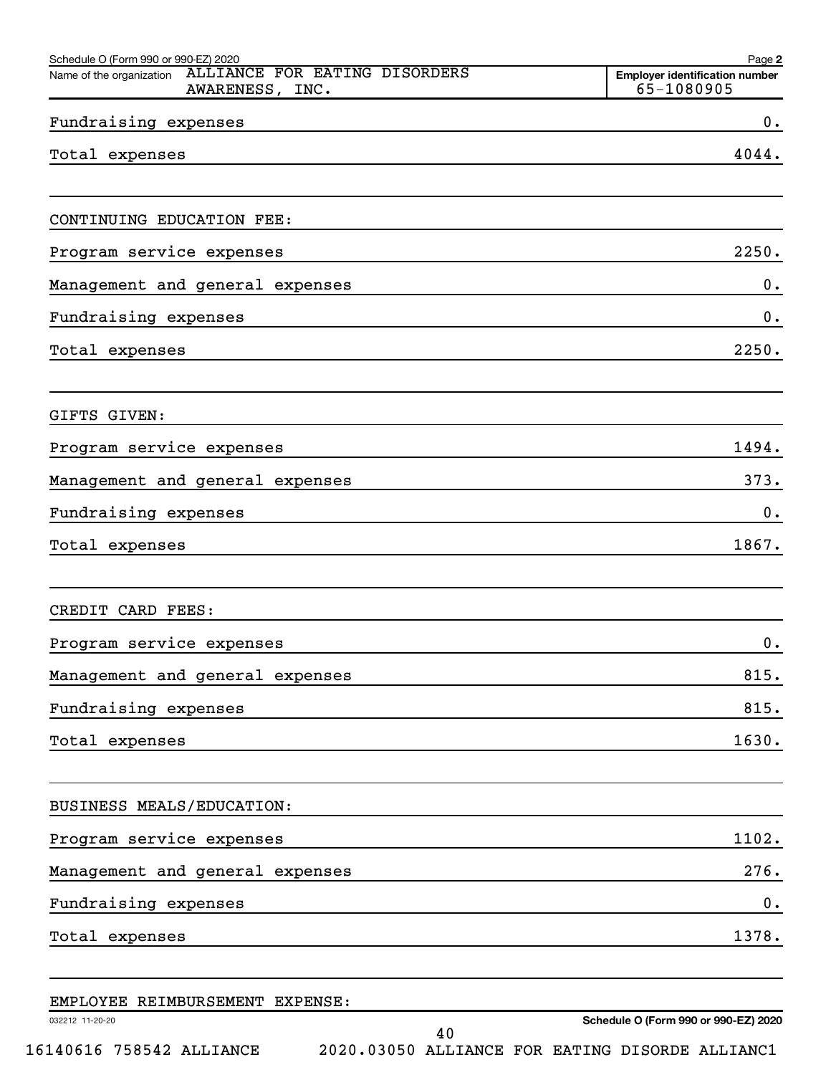| Schedule O (Form 990 or 990-EZ) 2020<br>ALLIANCE FOR EATING DISORDERS<br>Name of the organization                                       | Page 2<br><b>Employer identification number</b>                    |
|-----------------------------------------------------------------------------------------------------------------------------------------|--------------------------------------------------------------------|
| AWARENESS, INC.                                                                                                                         | 65-1080905                                                         |
| Fundraising expenses                                                                                                                    | 0.                                                                 |
| Total expenses<br><u> 1980 - Johann Barn, amerikansk politiker (d. 1980)</u>                                                            | 4044.                                                              |
| CONTINUING EDUCATION FEE:                                                                                                               |                                                                    |
| Program service expenses                                                                                                                | 2250.                                                              |
| Management and general expenses                                                                                                         | 0.                                                                 |
| Fundraising expenses<br><u> Anglický architekt</u>                                                                                      | 0.                                                                 |
| Total expenses<br><u> 1989 - Andrea Barbara, Amerikaansk politiker († 1908)</u>                                                         | 2250.                                                              |
| GIFTS GIVEN:                                                                                                                            |                                                                    |
| Program service expenses<br><u> 1989 - Johann Stein, mars an de Brasilia (b. 1989)</u>                                                  | 1494.                                                              |
| Management and general expenses                                                                                                         | 373.<br><u> 1989 - Johann Stein, mars an de Brasilia (b. 1989)</u> |
| Fundraising expenses                                                                                                                    | 0.                                                                 |
| Total expenses<br><u> 1989 - Johann Stoff, deutscher Stoff, der Stoff, der Stoff, der Stoff, der Stoff, der Stoff, der Stoff, der S</u> | 1867.                                                              |
| CREDIT CARD FEES:                                                                                                                       |                                                                    |
| Program service expenses                                                                                                                | 0.                                                                 |
| Management and general expenses                                                                                                         | 815.                                                               |
| Fundraising expenses                                                                                                                    | 815.                                                               |
| Total expenses                                                                                                                          | 1630.                                                              |
| BUSINESS MEALS/EDUCATION:                                                                                                               |                                                                    |
| Program service expenses                                                                                                                | 1102.                                                              |
| Management and general expenses                                                                                                         | 276.                                                               |
| Fundraising expenses                                                                                                                    | 0.                                                                 |
| Total expenses                                                                                                                          | 1378.                                                              |
| EMPLOYEE REIMBURSEMENT EXPENSE:                                                                                                         |                                                                    |

|                 | eni botes netnonomnini eni enos. |                                                 |  |  |                                      |
|-----------------|----------------------------------|-------------------------------------------------|--|--|--------------------------------------|
| 032212 11-20-20 |                                  |                                                 |  |  | Schedule O (Form 990 or 990-EZ) 2020 |
|                 |                                  |                                                 |  |  |                                      |
|                 | 16140616 758542 ALLIANCE         | 2020.03050 ALLIANCE FOR EATING DISORDE ALLIANC1 |  |  |                                      |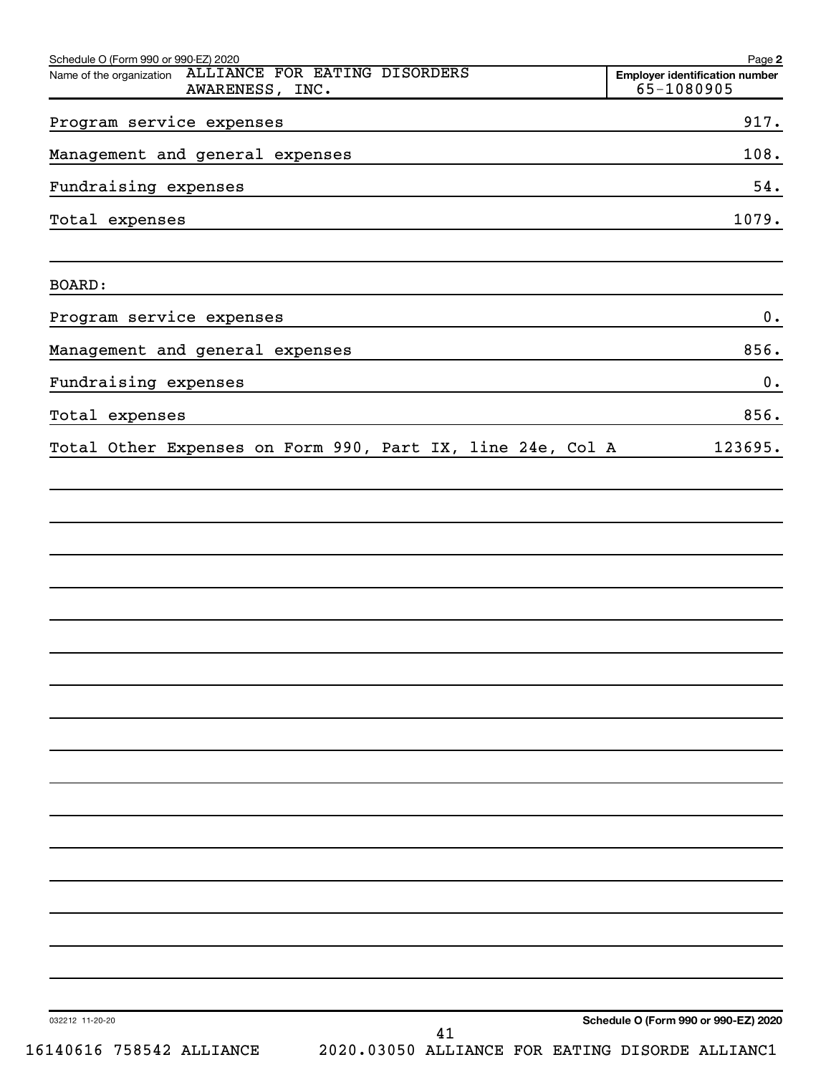| Schedule O (Form 990 or 990-EZ) 2020<br>ALLIANCE FOR EATING DISORDERS<br>Name of the organization                                                       | Page 2<br><b>Employer identification number</b> |
|---------------------------------------------------------------------------------------------------------------------------------------------------------|-------------------------------------------------|
| AWARENESS, INC.                                                                                                                                         | $65 - 1080905$                                  |
| Program service expenses                                                                                                                                | 917.                                            |
| Management and general expenses<br><u> 1980 - Jan Sterling Sterling, amerikansk politiker (d. 1980)</u>                                                 | 108.                                            |
| Fundraising expenses<br><u> 1980 - John Stein, Amerikaansk politiker (* 1918)</u>                                                                       | 54.                                             |
| Total expenses<br>and the control of the control of the control of the control of the control of the control of the control of the                      | 1079.                                           |
| BOARD:                                                                                                                                                  |                                                 |
| Program service expenses<br>and the control of the control of the control of the control of the control of the control of the control of the            | 0.                                              |
| Management and general expenses<br><u> 1989 - Johann John Stein, markin film ar yn y brenin y brenin y brenin y brenin y brenin y brenin y brenin y</u> | 856.                                            |
| Fundraising expenses<br><u> 1980 - Johann John Stein, mars an deutscher Stein († 1980)</u>                                                              | 0.                                              |
| Total expenses<br><u> 1980 - Johann Barn, mars ann an t-Amhain Aonaich an t-Aonaich an t-Aonaich ann an t-Aonaich ann an t-Aonaich</u>                  | 856.                                            |
| Total Other Expenses on Form 990, Part IX, line 24e, Col A                                                                                              | 123695.                                         |
|                                                                                                                                                         |                                                 |
|                                                                                                                                                         |                                                 |
|                                                                                                                                                         |                                                 |
|                                                                                                                                                         |                                                 |
|                                                                                                                                                         |                                                 |
|                                                                                                                                                         |                                                 |
|                                                                                                                                                         |                                                 |
|                                                                                                                                                         |                                                 |
|                                                                                                                                                         |                                                 |
|                                                                                                                                                         |                                                 |
|                                                                                                                                                         |                                                 |
|                                                                                                                                                         |                                                 |
|                                                                                                                                                         |                                                 |
|                                                                                                                                                         |                                                 |
|                                                                                                                                                         |                                                 |
|                                                                                                                                                         |                                                 |
|                                                                                                                                                         |                                                 |
|                                                                                                                                                         |                                                 |
| 032212 11-20-20<br>41                                                                                                                                   | Schedule O (Form 990 or 990-EZ) 2020            |
| 16140616 758542 ALLIANCE<br>2020.03050 ALLIANCE FOR EATING DISORDE ALLIANC1                                                                             |                                                 |